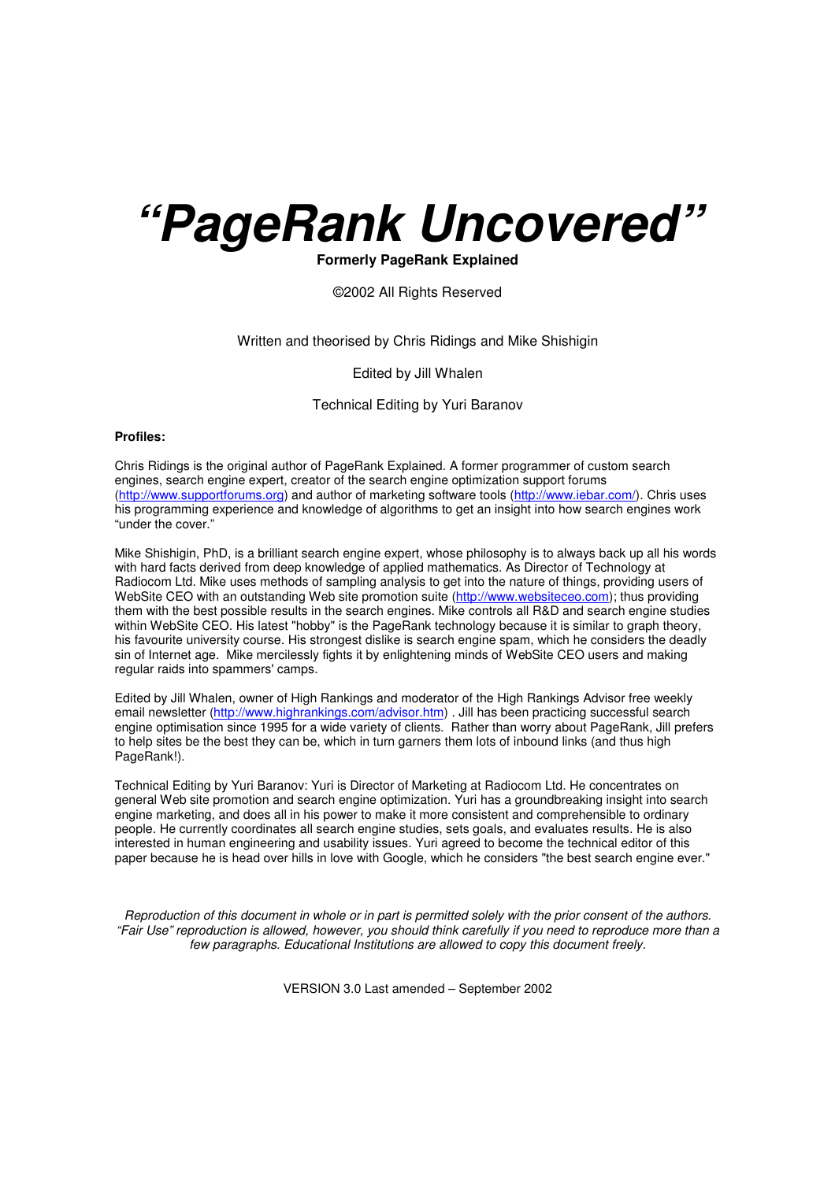# *"PageRank Uncovered"*

#### **Formerly PageRank Explained**

#### ©2002 All Rights Reserved

#### Written and theorised by Chris Ridings and Mike Shishigin

Edited by Jill Whalen

#### Technical Editing by Yuri Baranov

#### **Profiles:**

Chris Ridings is the original author of PageRank Explained. A former programmer of custom search engines, search engine expert, creator of the search engine optimization support forums [\(http://www.supportforums.org\)](http://www.supportforums.org) and author of [marketing](http://www.iebar.com/) software tools [\(http://www.iebar.com/\).](http://www.iebar.com/) Chris uses his programming experience and knowledge of algorithms to get an insight into how search engines work "under the cover."

Mike Shishigin, PhD, is a brilliant search engine expert, whose philosophy is to always back up all his words with hard facts derived from deep knowledge of applied mathematics. As Director of Technology at Radiocom Ltd. Mike uses methods of sampling analysis to get into the nature of things, providing users of WebSite CEO with an outstanding Web site promotion suite [\(http://www.websiteceo.com\)](http://www.websiteceo.com); thus providing them with the best possible results in the search engines. Mike controls all R&D and search engine studies within WebSite CEO. His latest "hobby" is the PageRank technology because it is similar to graph theory, his favourite university course. His strongest dislike is search engine spam, which he considers the deadly sin of Internet age. Mike mercilessly fights it by enlightening minds of WebSite CEO users and making regular raids into spammers' camps.

Edited by Jill Whalen, owner of High Rankings and moderator of the High Rankings Advisor free weekly email newsletter [\(http://www.highrankings.com/advisor.htm\)](http://www.highrankings.com/advisor.htm) . Jill has been practicing successful search engine optimisation since 1995 for a wide variety of clients. Rather than worry about PageRank, Jill prefers to help sites be the best they can be, which in turn garners them lots of inbound links (and thus high PageRank!).

Technical Editing by Yuri Baranov: Yuri is Director of Marketing at Radiocom Ltd. He concentrates on general Web site promotion and search engine optimization. Yuri has a groundbreaking insight into search engine marketing, and does all in his power to make it more consistent and comprehensible to ordinary people. He currently coordinates all search engine studies, sets goals, and evaluates results. He is also interested in human engineering and usability issues. Yuri agreed to become the technical editor of this paper because he is head over hills in love with Google, which he considers "the best search engine ever."

Reproduction of this document in whole or in part is permitted solely with the prior consent of the authors. "Fair Use" reproduction is allowed, however, you should think carefully if you need to reproduce more than a *few paragraphs. Educational Institutions are allowed to copy this document freely.*

VERSION 3.0 Last amended – September 2002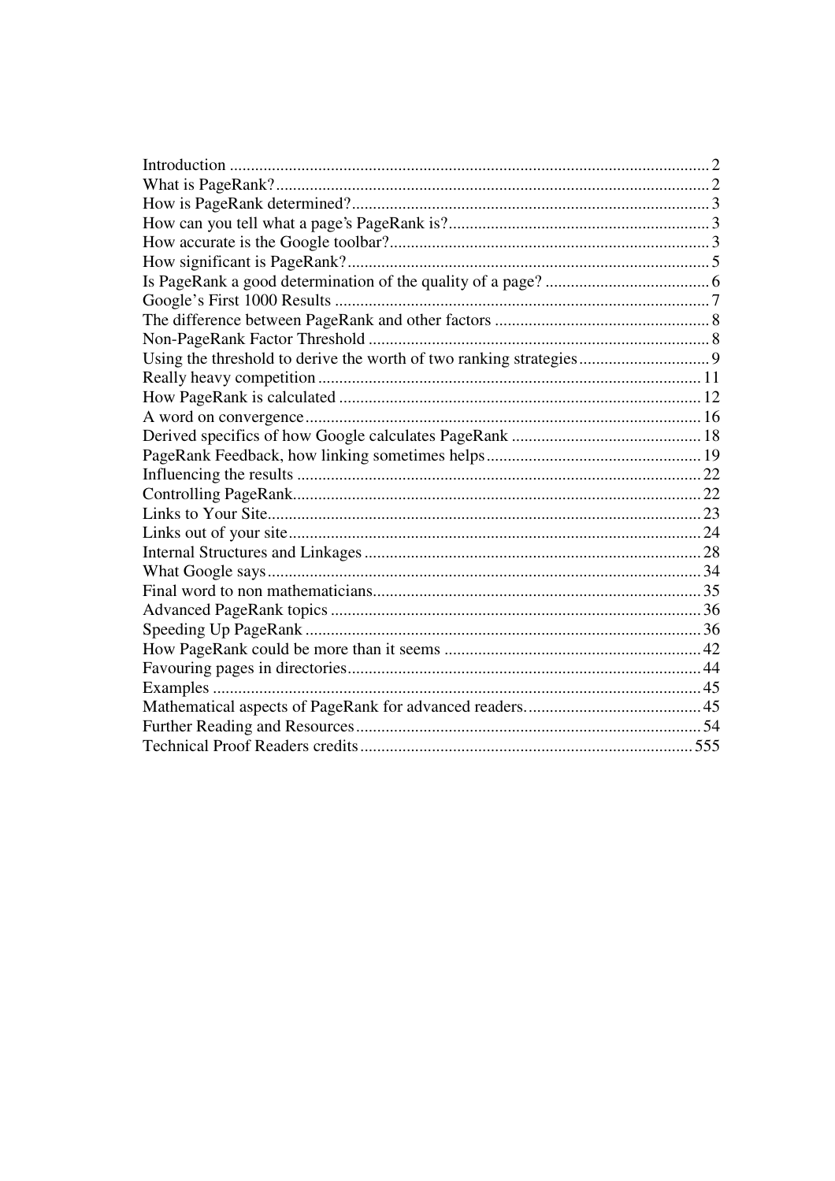| Examples |  |
|----------|--|
|          |  |
|          |  |
|          |  |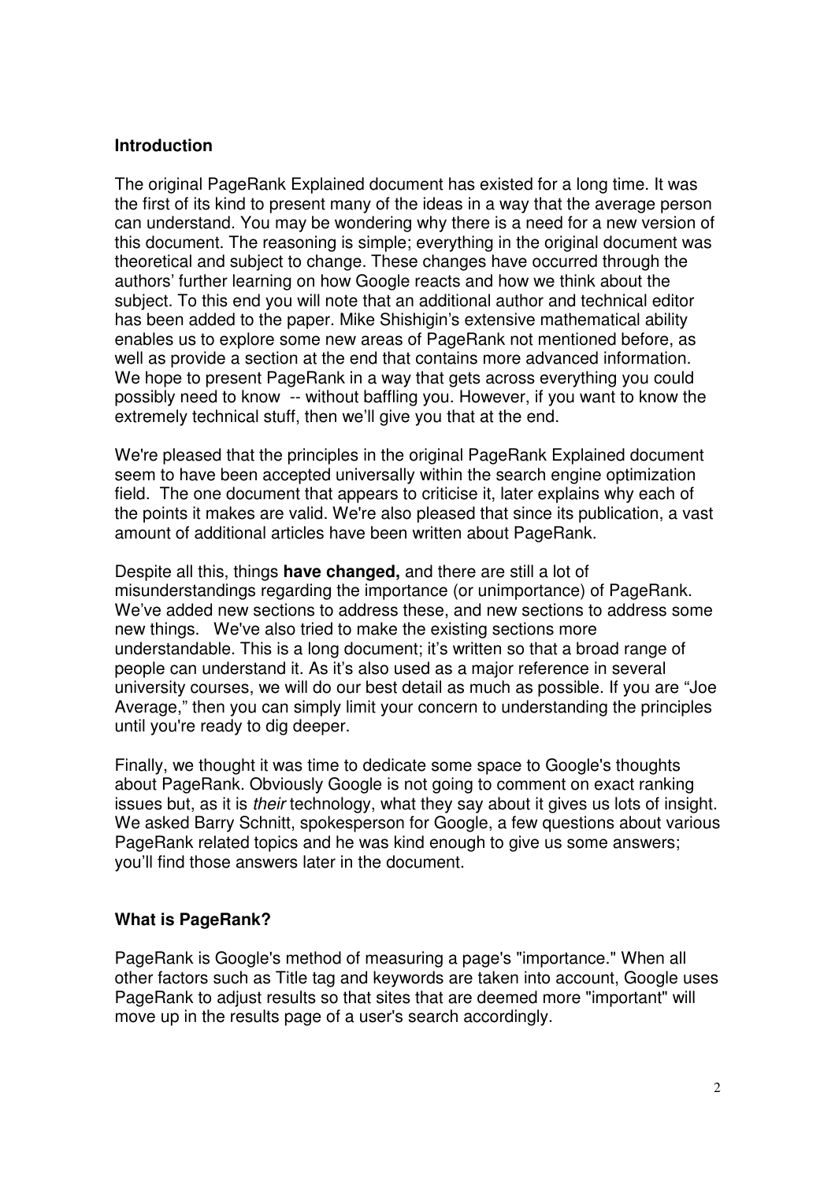## **Introduction**

The original PageRank Explained document has existed for a long time. It was the first of its kind to present many of the ideas in a way that the average person can understand. You may be wondering why there is a need for a new version of this document. The reasoning is simple; everything in the original document was theoretical and subject to change. These changes have occurred through the authors' further learning on how Google reacts and how we think about the subject. To this end you will note that an additional author and technical editor has been added to the paper. Mike Shishigin's extensive mathematical ability enables us to explore some new areas of PageRank not mentioned before, as well as provide a section at the end that contains more advanced information. We hope to present PageRank in a way that gets across everything you could possibly need to know -- without baffling you. However, if you want to know the extremely technical stuff, then we'll give you that at the end.

We're pleased that the principles in the original PageRank Explained document seem to have been accepted universally within the search engine optimization field. The one document that appears to criticise it, later explains why each of the points it makes are valid. We're also pleased that since its publication, a vast amount of additional articles have been written about PageRank.

Despite all this, things **have changed,** and there are still a lot of misunderstandings regarding the importance (or unimportance) of PageRank. We've added new sections to address these, and new sections to address some new things. We've also tried to make the existing sections more understandable. This is a long document; it's written so that a broad range of people can understand it. As it's also used as a major reference in several university courses, we will do our best detail as much as possible. If you are "Joe Average," then you can simply limit your concern to understanding the principles until you're ready to dig deeper.

Finally, we thought it was time to dedicate some space to Google's thoughts about PageRank. Obviously Google is not going to comment on exact ranking issues but, as it is *their* technology, what they say about it gives us lots of insight. We asked Barry Schnitt, spokesperson for Google, a few questions about various PageRank related topics and he was kind enough to give us some answers; you'll find those answers later in the document.

# **What is PageRank?**

PageRank is Google's method of measuring a page's "importance." When all other factors such as Title tag and keywords are taken into account, Google uses PageRank to adjust results so that sites that are deemed more "important" will move up in the results page of a user's search accordingly.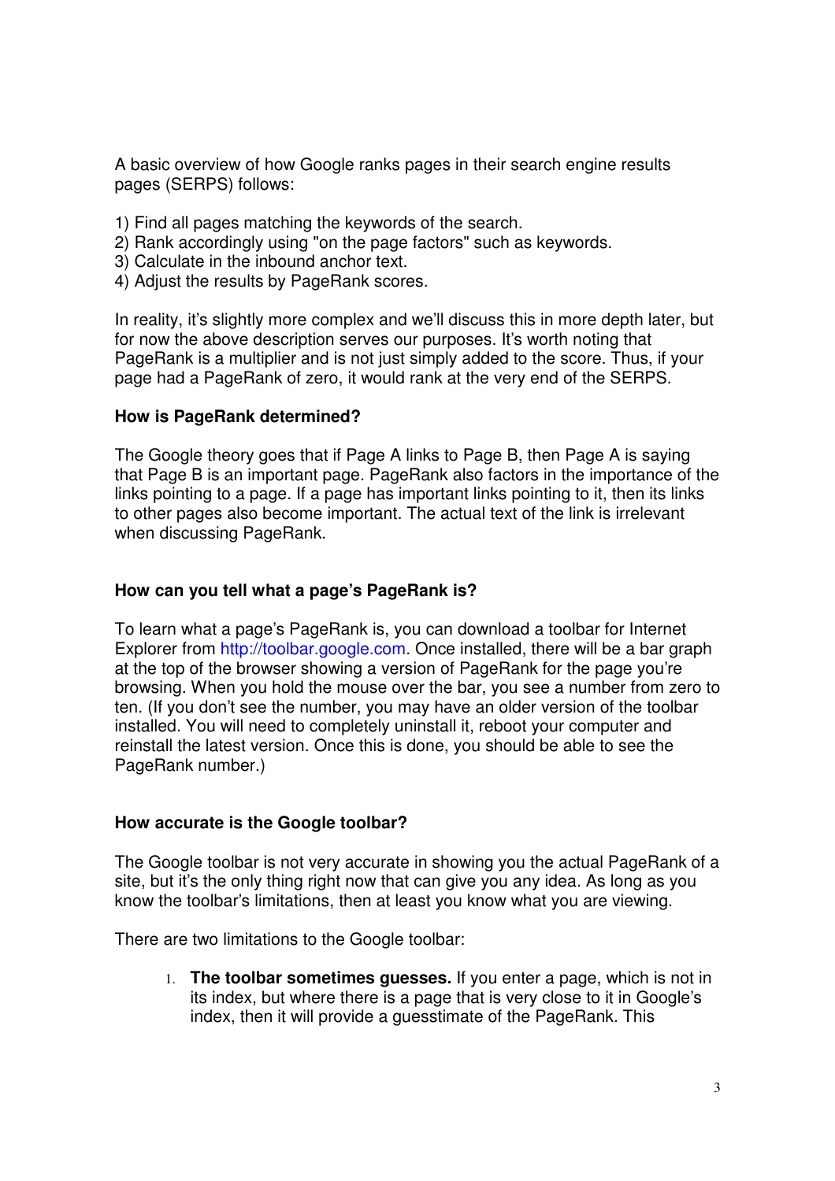A basic overview of how Google ranks pages in their search engine results pages (SERPS) follows:

- 1) Find all pages matching the keywords of the search.
- 2) Rank accordingly using "on the page factors" such as keywords.
- 3) Calculate in the inbound anchor text.
- 4) Adjust the results by PageRank scores.

In reality, it's slightly more complex and we'll discuss this in more depth later, but for now the above description serves our purposes. It's worth noting that PageRank is a multiplier and is not just simply added to the score. Thus, if your page had a PageRank of zero, it would rank at the very end of the SERPS.

#### **How is PageRank determined?**

The Google theory goes that if Page A links to Page B, then Page A is saying that Page B is an important page. PageRank also factors in the importance of the links pointing to a page. If a page has important links pointing to it, then its links to other pages also become important. The actual text of the link is irrelevant when discussing PageRank.

#### **How can you tell what a page's PageRank is?**

To learn what a page's PageRank is, you can download a toolbar for Internet Explorer from [http://toolbar.google.com.](http://toolbar.google.com) Once installed, there will be a bar graph at the top of the browser showing a version of PageRank for the page you're browsing. When you hold the mouse over the bar, you see a number from zero to ten. (If you don't see the number, you may have an older version of the toolbar installed. You will need to completely uninstall it, reboot your computer and reinstall the latest version. Once this is done, you should be able to see the PageRank number.)

#### **How accurate is the Google toolbar?**

The Google toolbar is not very accurate in showing you the actual PageRank of a site, but it's the only thing right now that can give you any idea. As long as you know the toolbar's limitations, then at least you know what you are viewing.

There are two limitations to the Google toolbar:

1. **The toolbar sometimes guesses.** If you enter a page, which is not in its index, but where there is a page that is very close to it in Google's index, then it will provide a guesstimate of the PageRank. This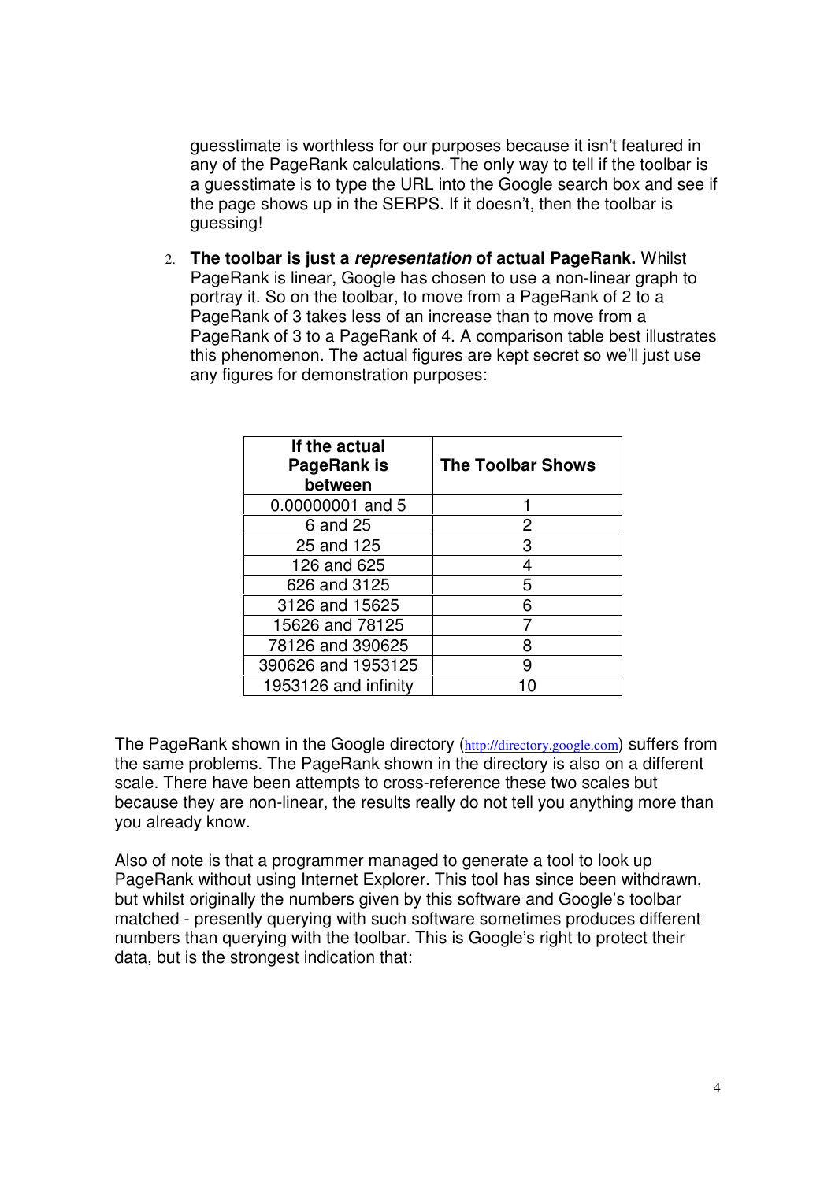guesstimate is worthless for our purposes because it isn't featured in any of the PageRank calculations. The only way to tell if the toolbar is a guesstimate is to type the URL into the Google search box and see if the page shows up in the SERPS. If it doesn't, then the toolbar is guessing!

2. **The toolbar is just a** *representation* **of actual PageRank.** Whilst PageRank is linear, Google has chosen to use a non-linear graph to portray it. So on the toolbar, to move from a PageRank of 2 to a PageRank of 3 takes less of an increase than to move from a PageRank of 3 to a PageRank of 4. A comparison table best illustrates this phenomenon. The actual figures are kept secret so we'll just use any figures for demonstration purposes:

| If the actual<br>PageRank is<br>between | <b>The Toolbar Shows</b> |
|-----------------------------------------|--------------------------|
| 0.00000001 and 5                        |                          |
| 6 and 25                                | 2                        |
| 25 and 125                              | 3                        |
| 126 and 625                             | 4                        |
| 626 and 3125                            | 5                        |
| 3126 and 15625                          | 6                        |
| 15626 and 78125                         | 7                        |
| 78126 and 390625                        | 8                        |
| 390626 and 1953125                      | 9                        |
| 1953126 and infinity                    |                          |

The PageRank shown in the Google directory (<http://directory.google.com>) suffers from the same problems. The PageRank shown in the directory is also on a different scale. There have been attempts to cross-reference these two scales but because they are non-linear, the results really do not tell you anything more than you already know.

Also of note is that a programmer managed to generate a tool to look up PageRank without using Internet Explorer. This tool has since been withdrawn, but whilst originally the numbers given by this software and Google's toolbar matched - presently querying with such software sometimes produces different numbers than querying with the toolbar. This is Google's right to protect their data, but is the strongest indication that: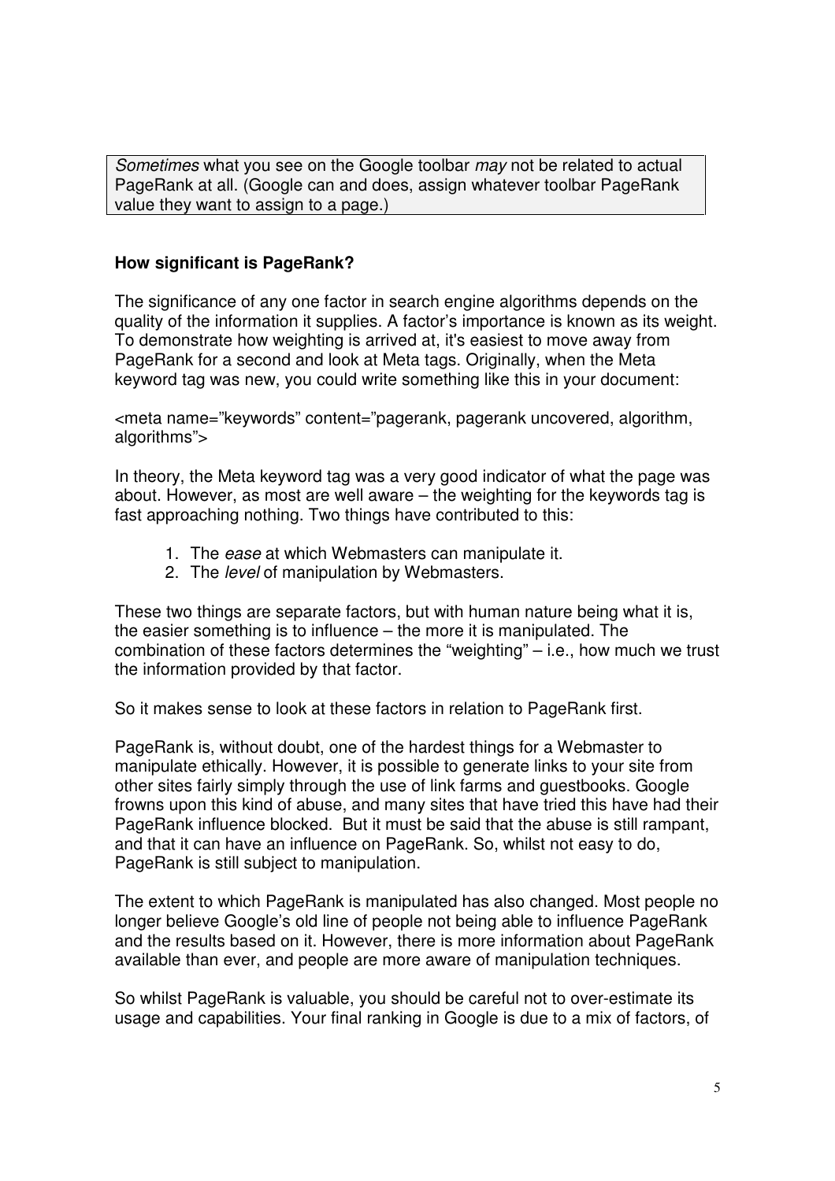*Sometimes* what you see on the Google toolbar *may* not be related to actual PageRank at all. (Google can and does, assign whatever toolbar PageRank value they want to assign to a page.)

#### **How significant is PageRank?**

The significance of any one factor in search engine algorithms depends on the quality of the information it supplies. A factor's importance is known as its weight. To demonstrate how weighting is arrived at, it's easiest to move away from PageRank for a second and look at Meta tags. Originally, when the Meta keyword tag was new, you could write something like this in your document:

<meta name="keywords" content="pagerank, pagerank uncovered, algorithm, algorithms">

In theory, the Meta keyword tag was a very good indicator of what the page was about. However, as most are well aware – the weighting for the keywords tag is fast approaching nothing. Two things have contributed to this:

- 1. The *ease* at which Webmasters can manipulate it.
- 2. The *level* of manipulation by Webmasters.

These two things are separate factors, but with human nature being what it is, the easier something is to influence – the more it is manipulated. The combination of these factors determines the "weighting" – i.e., how much we trust the information provided by that factor.

So it makes sense to look at these factors in relation to PageRank first.

PageRank is, without doubt, one of the hardest things for a Webmaster to manipulate ethically. However, it is possible to generate links to your site from other sites fairly simply through the use of link farms and guestbooks. Google frowns upon this kind of abuse, and many sites that have tried this have had their PageRank influence blocked. But it must be said that the abuse is still rampant, and that it can have an influence on PageRank. So, whilst not easy to do, PageRank is still subject to manipulation.

The extent to which PageRank is manipulated has also changed. Most people no longer believe Google's old line of people not being able to influence PageRank and the results based on it. However, there is more information about PageRank available than ever, and people are more aware of manipulation techniques.

So whilst PageRank is valuable, you should be careful not to over-estimate its usage and capabilities. Your final ranking in Google is due to a mix of factors, of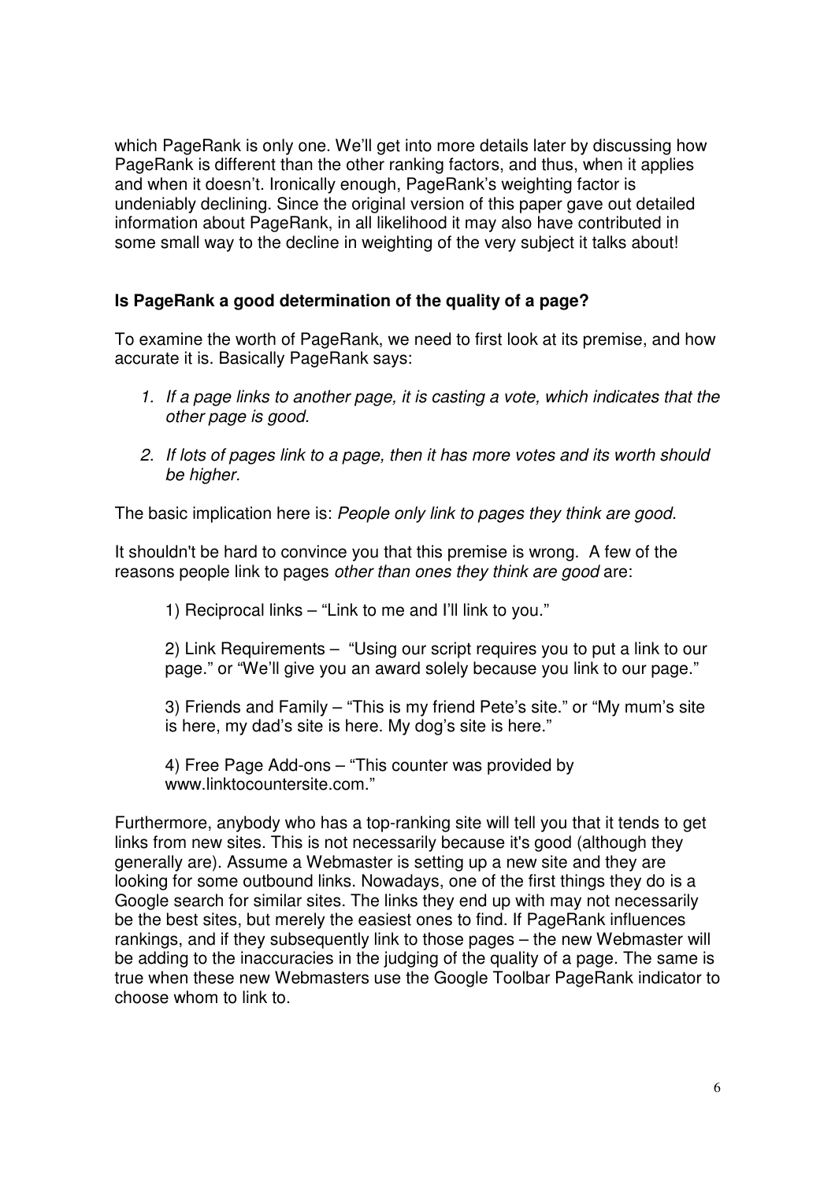which PageRank is only one. We'll get into more details later by discussing how PageRank is different than the other ranking factors, and thus, when it applies and when it doesn't. Ironically enough, PageRank's weighting factor is undeniably declining. Since the original version of this paper gave out detailed information about PageRank, in all likelihood it may also have contributed in some small way to the decline in weighting of the very subject it talks about!

# **Is PageRank a good determination of the quality of a page?**

To examine the worth of PageRank, we need to first look at its premise, and how accurate it is. Basically PageRank says:

- *1. If a page links to another page, it is casting a vote, which indicates that the other page is good.*
- *2. If lots of pages link to a page, then it has more votes and its worth should be higher.*

The basic implication here is: *People only link to pages they think are good.*

It shouldn't be hard to convince you that this premise is wrong. A few of the reasons people link to pages *other than ones they think are good* are:

1) Reciprocal links – "Link to me and I'll link to you."

2) Link Requirements – "Using our script requires you to put a link to our page." or "We'll give you an award solely because you link to our page."

3) Friends and Family – "This is my friend Pete's site." or "My mum's site is here, my dad's site is here. My dog's site is here."

4) Free Page Add-ons – "This counter was provided by [www.linktocountersite.com.](www.linktocountersite.com)"

Furthermore, anybody who has a top-ranking site will tell you that it tends to get links from new sites. This is not necessarily because it's good (although they generally are). Assume a Webmaster is setting up a new site and they are looking for some outbound links. Nowadays, one of the first things they do is a Google search for similar sites. The links they end up with may not necessarily be the best sites, but merely the easiest ones to find. If PageRank influences rankings, and if they subsequently link to those pages – the new Webmaster will be adding to the inaccuracies in the judging of the quality of a page. The same is true when these new Webmasters use the Google Toolbar PageRank indicator to choose whom to link to.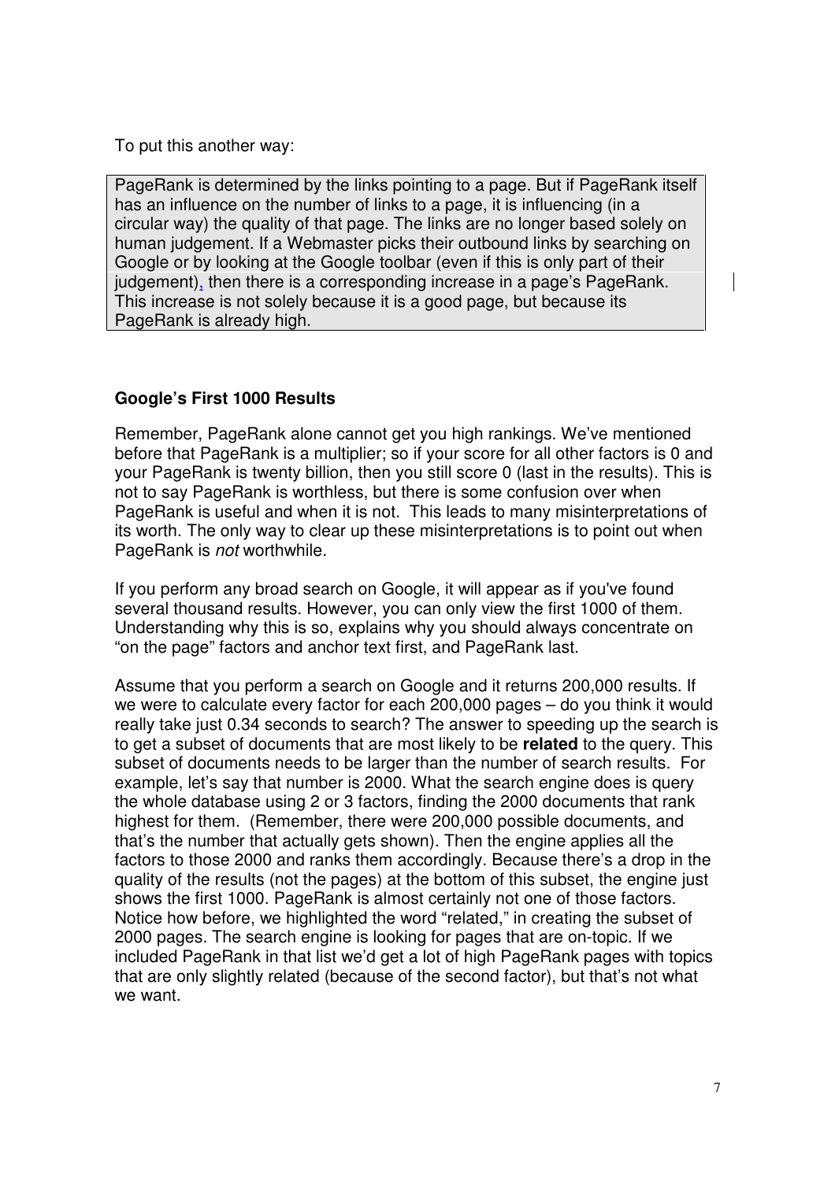To put this another way:

PageRank is determined by the links pointing to a page. But if PageRank itself has an influence on the number of links to a page, it is influencing (in a circular way) the quality of that page. The links are no longer based solely on human judgement. If a Webmaster picks their outbound links by searching on Google or by looking at the Google toolbar (even if this is only part of their judgement), then there is a corresponding increase in a page's PageRank. This increase is not solely because it is a good page, but because its PageRank is already high.

# **Google's First 1000 Results**

Remember, PageRank alone cannot get you high rankings. We've mentioned before that PageRank is a multiplier; so if your score for all other factors is 0 and your PageRank is twenty billion, then you still score 0 (last in the results). This is not to say PageRank is worthless, but there is some confusion over when PageRank is useful and when it is not. This leads to many misinterpretations of its worth. The only way to clear up these misinterpretations is to point out when PageRank is *not* worthwhile.

If you perform any broad search on Google, it will appear as if you've found several thousand results. However, you can only view the first 1000 of them. Understanding why this is so, explains why you should always concentrate on "on the page" factors and anchor text first, and PageRank last.

Assume that you perform a search on Google and it returns 200,000 results. If we were to calculate every factor for each 200,000 pages – do you think it would really take just 0.34 seconds to search? The answer to speeding up the search is to get a subset of documents that are most likely to be **related** to the query. This subset of documents needs to be larger than the number of search results. For example, let's say that number is 2000. What the search engine does is query the whole database using 2 or 3 factors, finding the 2000 documents that rank highest for them. (Remember, there were 200,000 possible documents, and that's the number that actually gets shown). Then the engine applies all the factors to those 2000 and ranks them accordingly. Because there's a drop in the quality of the results (not the pages) at the bottom of this subset, the engine just shows the first 1000. PageRank is almost certainly not one of those factors. Notice how before, we highlighted the word "related," in creating the subset of 2000 pages. The search engine is looking for pages that are on-topic. If we included PageRank in that list we'd get a lot of high PageRank pages with topics that are only slightly related (because of the second factor), but that's not what we want.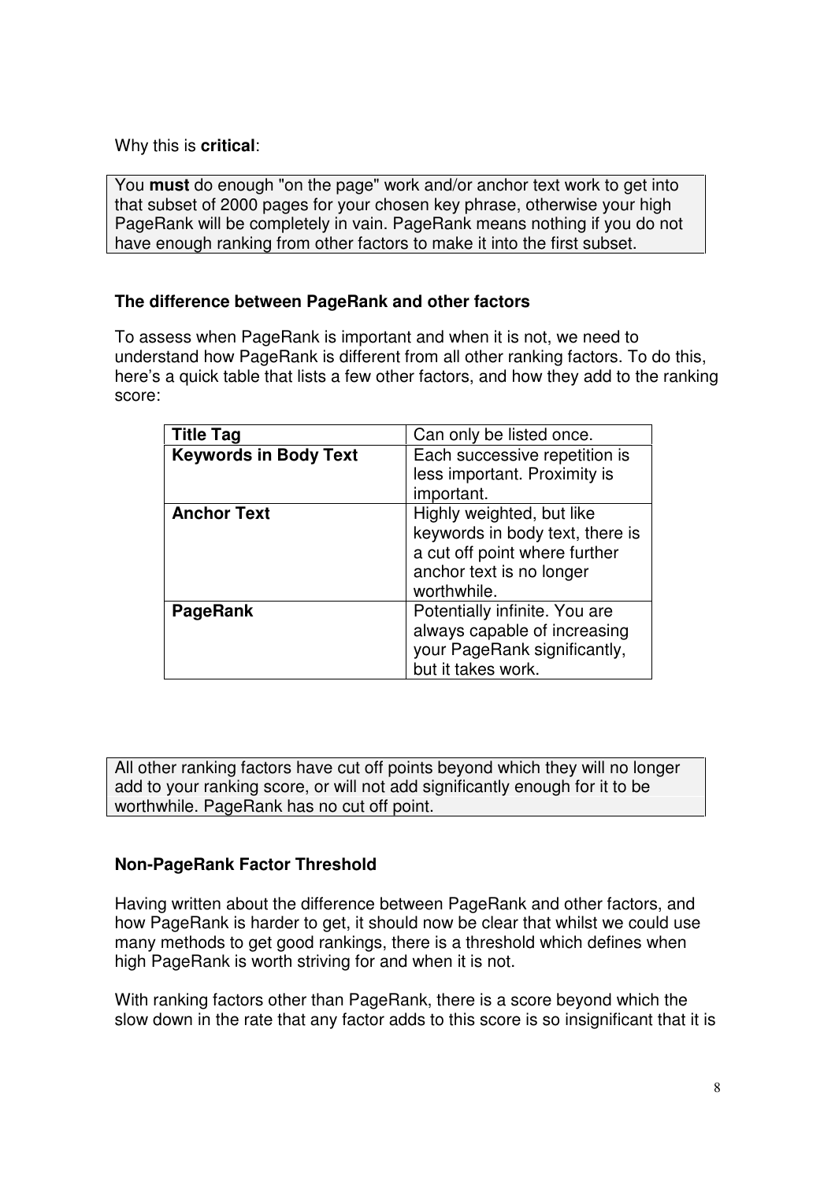Why this is **critical**:

You **must** do enough "on the page" work and/or anchor text work to get into that subset of 2000 pages for your chosen key phrase, otherwise your high PageRank will be completely in vain. PageRank means nothing if you do not have enough ranking from other factors to make it into the first subset.

# **The difference between PageRank and other factors**

To assess when PageRank is important and when it is not, we need to understand how PageRank is different from all other ranking factors. To do this, here's a quick table that lists a few other factors, and how they add to the ranking score:

| <b>Title Tag</b>             | Can only be listed once.        |
|------------------------------|---------------------------------|
| <b>Keywords in Body Text</b> | Each successive repetition is   |
|                              | less important. Proximity is    |
|                              | important.                      |
| <b>Anchor Text</b>           | Highly weighted, but like       |
|                              | keywords in body text, there is |
|                              | a cut off point where further   |
|                              | anchor text is no longer        |
|                              | worthwhile.                     |
| <b>PageRank</b>              | Potentially infinite. You are   |
|                              | always capable of increasing    |
|                              | your PageRank significantly,    |
|                              | but it takes work.              |

All other ranking factors have cut off points beyond which they will no longer add to your ranking score, or will not add significantly enough for it to be worthwhile. PageRank has no cut off point.

# **Non-PageRank Factor Threshold**

Having written about the difference between PageRank and other factors, and how PageRank is harder to get, it should now be clear that whilst we could use many methods to get good rankings, there is a threshold which defines when high PageRank is worth striving for and when it is not.

With ranking factors other than PageRank, there is a score beyond which the slow down in the rate that any factor adds to this score is so insignificant that it is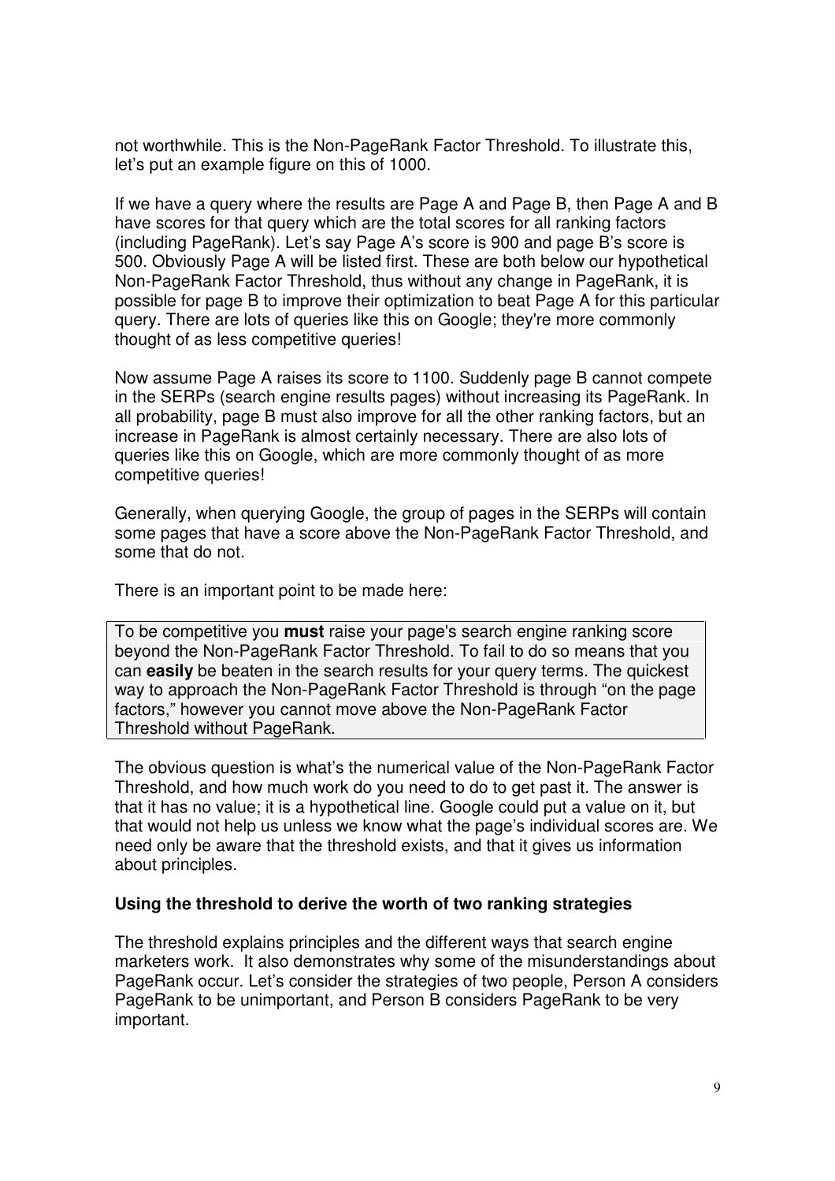not worthwhile. This is the Non-PageRank Factor Threshold. To illustrate this, let's put an example figure on this of 1000.

If we have a query where the results are Page A and Page B, then Page A and B have scores for that query which are the total scores for all ranking factors (including PageRank). Let's say Page A's score is 900 and page B's score is 500. Obviously Page A will be listed first. These are both below our hypothetical Non-PageRank Factor Threshold, thus without any change in PageRank, it is possible for page B to improve their optimization to beat Page A for this particular query. There are lots of queries like this on Google; they're more commonly thought of as less competitive queries!

Now assume Page A raises its score to 1100. Suddenly page B cannot compete in the SERPs (search engine results pages) without increasing its PageRank. In all probability, page B must also improve for all the other ranking factors, but an increase in PageRank is almost certainly necessary. There are also lots of queries like this on Google, which are more commonly thought of as more competitive queries!

Generally, when querying Google, the group of pages in the SERPs will contain some pages that have a score above the Non-PageRank Factor Threshold, and some that do not.

There is an important point to be made here:

To be competitive you **must** raise your page's search engine ranking score beyond the Non-PageRank Factor Threshold. To fail to do so means that you can **easily** be beaten in the search results for your query terms. The quickest way to approach the Non-PageRank Factor Threshold is through "on the page factors," however you cannot move above the Non-PageRank Factor Threshold without PageRank.

The obvious question is what's the numerical value of the Non-PageRank Factor Threshold, and how much work do you need to do to get past it. The answer is that it has no value; it is a hypothetical line. Google could put a value on it, but that would not help us unless we know what the page's individual scores are. We need only be aware that the threshold exists, and that it gives us information about principles.

#### **Using the threshold to derive the worth of two ranking strategies**

The threshold explains principles and the different ways that search engine marketers work. It also demonstrates why some of the misunderstandings about PageRank occur. Let's consider the strategies of two people, Person A considers PageRank to be unimportant, and Person B considers PageRank to be very important.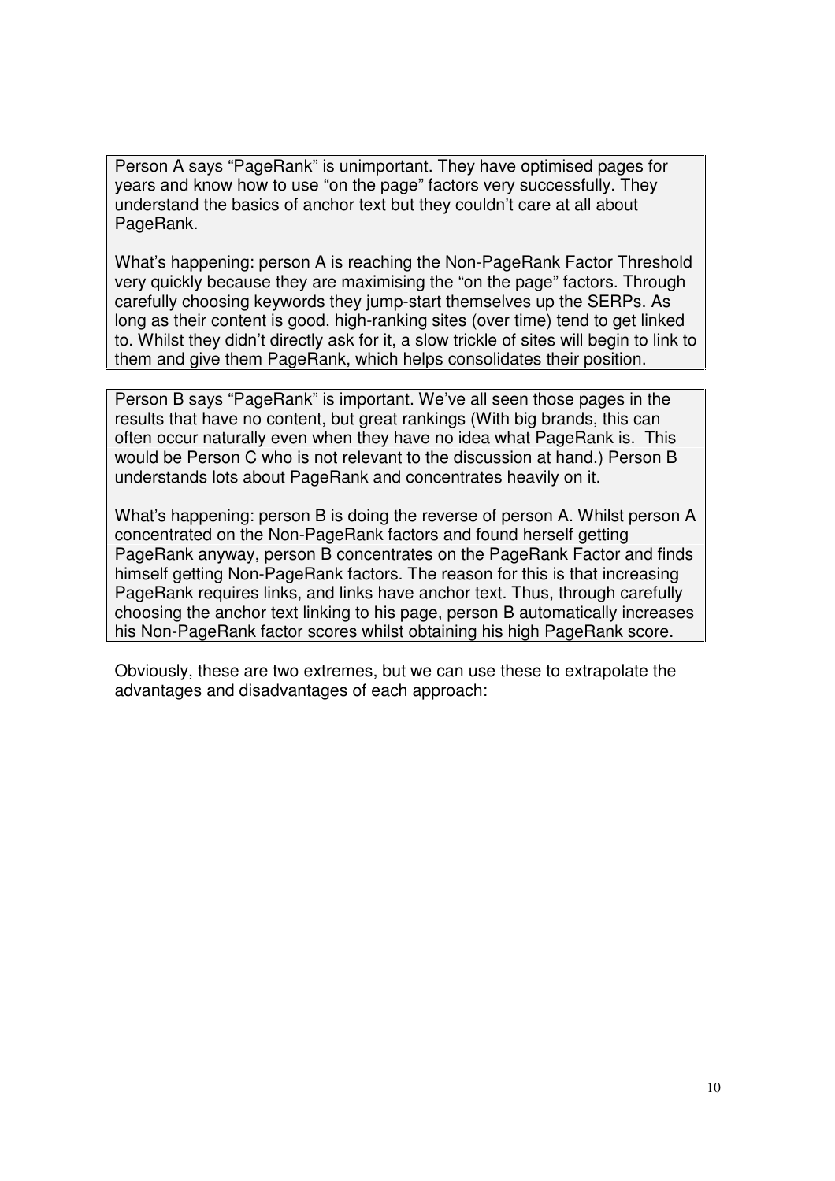Person A says "PageRank" is unimportant. They have optimised pages for years and know how to use "on the page" factors very successfully. They understand the basics of anchor text but they couldn't care at all about PageRank.

What's happening: person A is reaching the Non-PageRank Factor Threshold very quickly because they are maximising the "on the page" factors. Through carefully choosing keywords they jump-start themselves up the SERPs. As long as their content is good, high-ranking sites (over time) tend to get linked to. Whilst they didn't directly ask for it, a slow trickle of sites will begin to link to them and give them PageRank, which helps consolidates their position.

Person B says "PageRank" is important. We've all seen those pages in the results that have no content, but great rankings (With big brands, this can often occur naturally even when they have no idea what PageRank is. This would be Person C who is not relevant to the discussion at hand.) Person B understands lots about PageRank and concentrates heavily on it.

What's happening: person B is doing the reverse of person A. Whilst person A concentrated on the Non-PageRank factors and found herself getting PageRank anyway, person B concentrates on the PageRank Factor and finds himself getting Non-PageRank factors. The reason for this is that increasing PageRank requires links, and links have anchor text. Thus, through carefully choosing the anchor text linking to his page, person B automatically increases his Non-PageRank factor scores whilst obtaining his high PageRank score.

Obviously, these are two extremes, but we can use these to extrapolate the advantages and disadvantages of each approach: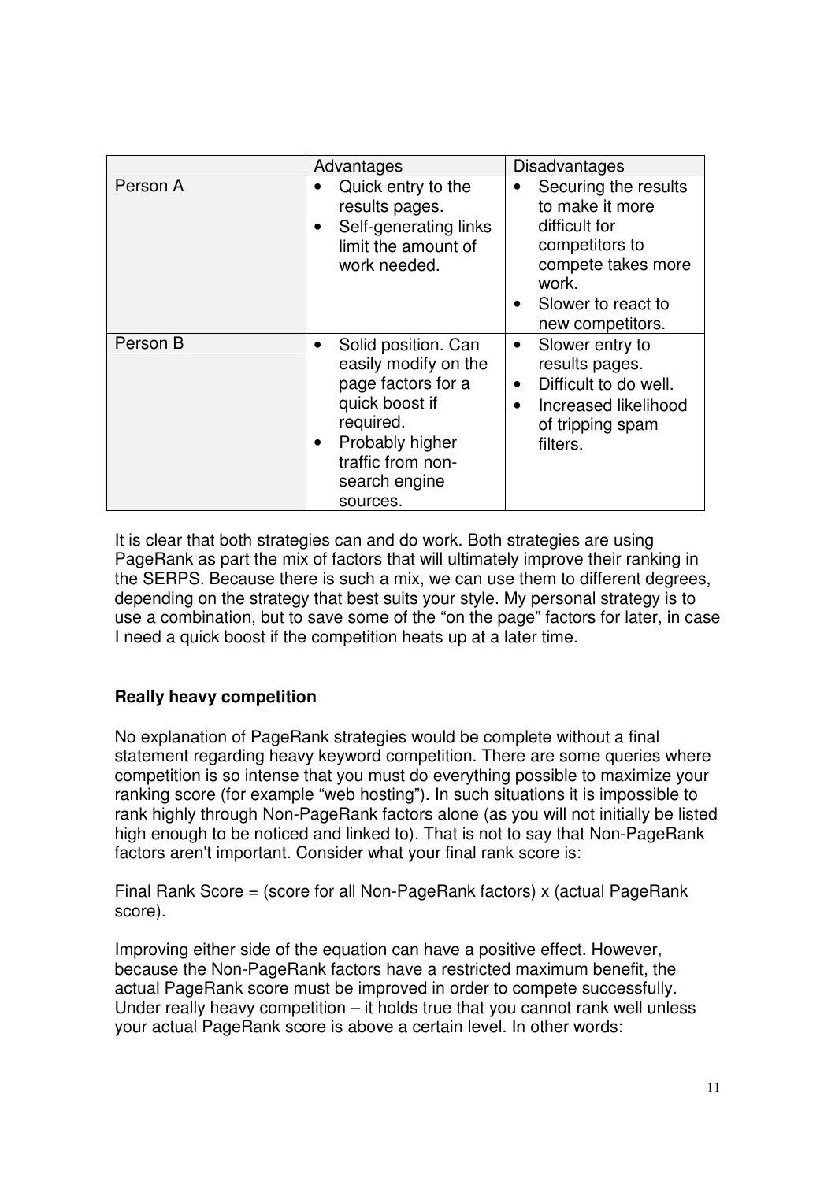|          | Advantages                                                                                                                                                                                      | Disadvantages                                                                                                                                                                 |
|----------|-------------------------------------------------------------------------------------------------------------------------------------------------------------------------------------------------|-------------------------------------------------------------------------------------------------------------------------------------------------------------------------------|
| Person A | Quick entry to the<br>results pages.<br>Self-generating links<br>$\bullet$<br>limit the amount of<br>work needed.                                                                               | Securing the results<br>$\bullet$<br>to make it more<br>difficult for<br>competitors to<br>compete takes more<br>work.<br>Slower to react to<br>$\bullet$<br>new competitors. |
| Person B | Solid position. Can<br>$\bullet$<br>easily modify on the<br>page factors for a<br>quick boost if<br>required.<br>Probably higher<br>$\bullet$<br>traffic from non-<br>search engine<br>sources. | Slower entry to<br>$\bullet$<br>results pages.<br>Difficult to do well.<br>$\bullet$<br>Increased likelihood<br>$\bullet$<br>of tripping spam<br>filters.                     |

It is clear that both strategies can and do work. Both strategies are using PageRank as part the mix of factors that will ultimately improve their ranking in the SERPS. Because there is such a mix, we can use them to different degrees, depending on the strategy that best suits your style. My personal strategy is to use a combination, but to save some of the "on the page" factors for later, in case I need a quick boost if the competition heats up at a later time.

# **Really heavy competition**

No explanation of PageRank strategies would be complete without a final statement regarding heavy keyword competition. There are some queries where competition is so intense that you must do everything possible to maximize your ranking score (for example "web hosting"). In such situations it is impossible to rank highly through Non-PageRank factors alone (as you will not initially be listed high enough to be noticed and linked to). That is not to say that Non-PageRank factors aren't important. Consider what your final rank score is:

Final Rank Score = (score for all Non-PageRank factors) x (actual PageRank score).

Improving either side of the equation can have a positive effect. However, because the Non-PageRank factors have a restricted maximum benefit, the actual PageRank score must be improved in order to compete successfully. Under really heavy competition – it holds true that you cannot rank well unless your actual PageRank score is above a certain level. In other words: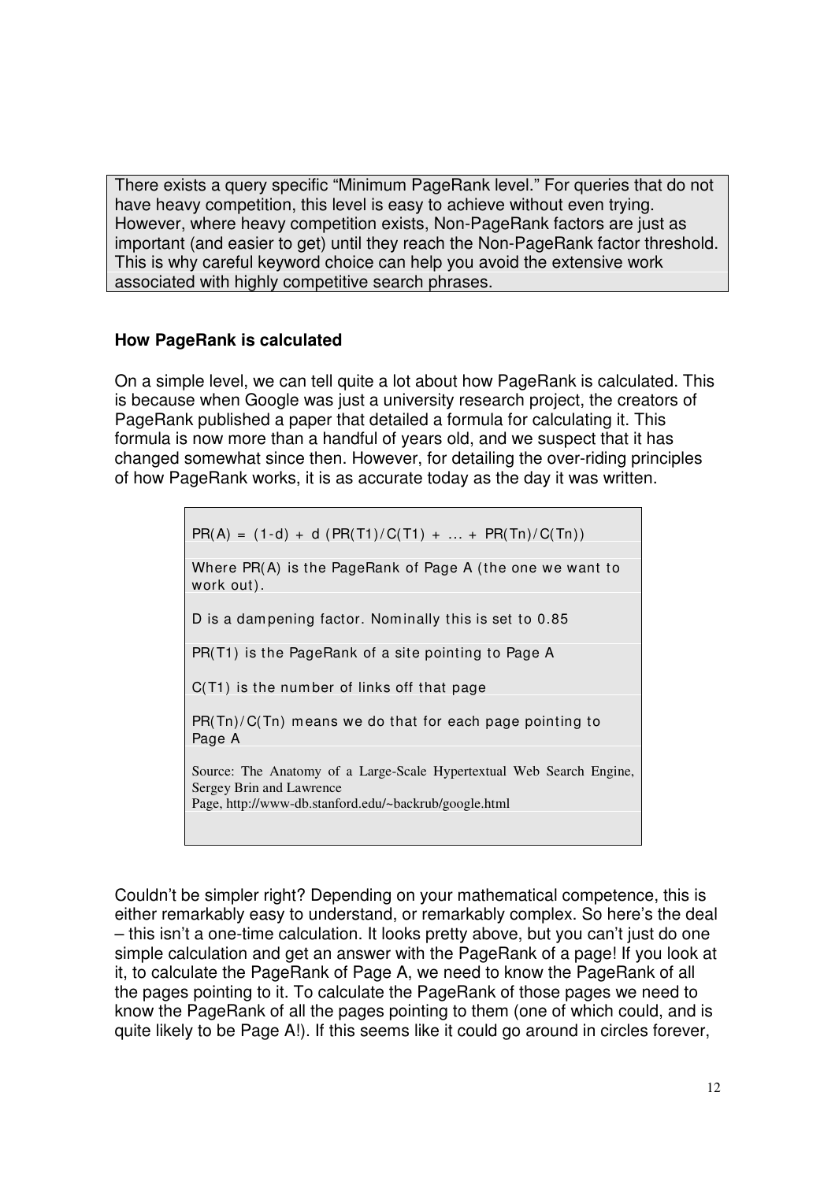There exists a query specific "Minimum PageRank level." For queries that do not have heavy competition, this level is easy to achieve without even trying. However, where heavy competition exists, Non-PageRank factors are just as important (and easier to get) until they reach the Non-PageRank factor threshold. This is why careful keyword choice can help you avoid the extensive work associated with highly competitive search phrases.

#### **How PageRank is calculated**

On a simple level, we can tell quite a lot about how PageRank is calculated. This is because when Google was just a university research project, the creators of PageRank published a paper that detailed a formula for calculating it. This formula is now more than a handful of years old, and we suspect that it has changed somewhat since then. However, for detailing the over-riding principles of how PageRank works, it is as accurate today as the day it was written.

 $PR(A) = (1-d) + d (PR(T1)/C(T1) + ... + PR(Tn)/C(Tn))$ 

Where PR(A) is the PageRank of Page A (the one we want to work out).

D is a dam pening factor. Nom inally this is set to 0.85

PR(T1) is the PageRank of a site pointing to Page A

C(T1) is the num ber of links off that page

PR(Tn)/ C(Tn) means we do that for each page pointing to Page A

Source: The Anatomy of a Large-Scale Hypertextual Web Search Engine, Sergey Brin and Lawrence Page, <http://www-db.stanford.edu/~backrub/google.html>

Couldn't be simpler right? Depending on your mathematical competence, this is either remarkably easy to understand, or remarkably complex. So here's the deal – this isn't a one-time calculation. It looks pretty above, but you can't just do one simple calculation and get an answer with the PageRank of a page! If you look at it, to calculate the PageRank of Page A, we need to know the PageRank of all the pages pointing to it. To calculate the PageRank of those pages we need to know the PageRank of all the pages pointing to them (one of which could, and is quite likely to be Page A!). If this seems like it could go around in circles forever,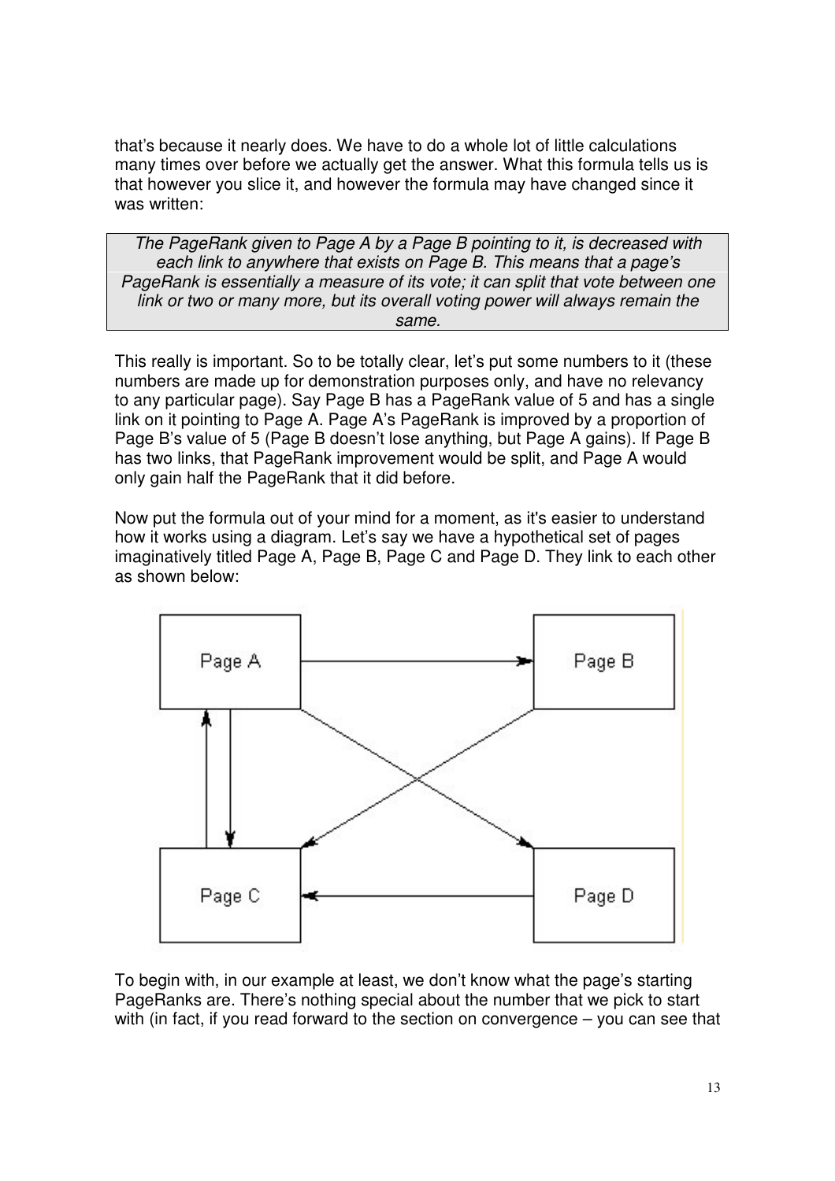that's because it nearly does. We have to do a whole lot of little calculations many times over before we actually get the answer. What this formula tells us is that however you slice it, and however the formula may have changed since it was written:

*The PageRank given to Page A by a Page B pointing to it, is decreased with each link to anywhere that exists on Page B. This means that a page's PageRank is essentially a measure of its vote; it can split that vote between one link or two or many more, but its overall voting power will always remain the same.*

This really is important. So to be totally clear, let's put some numbers to it (these numbers are made up for demonstration purposes only, and have no relevancy to any particular page). Say Page B has a PageRank value of 5 and has a single link on it pointing to Page A. Page A's PageRank is improved by a proportion of Page B's value of 5 (Page B doesn't lose anything, but Page A gains). If Page B has two links, that PageRank improvement would be split, and Page A would only gain half the PageRank that it did before.

Now put the formula out of your mind for a moment, as it's easier to understand how it works using a diagram. Let's say we have a hypothetical set of pages imaginatively titled Page A, Page B, Page C and Page D. They link to each other as shown below:



To begin with, in our example at least, we don't know what the page's starting PageRanks are. There's nothing special about the number that we pick to start with (in fact, if you read forward to the section on convergence – you can see that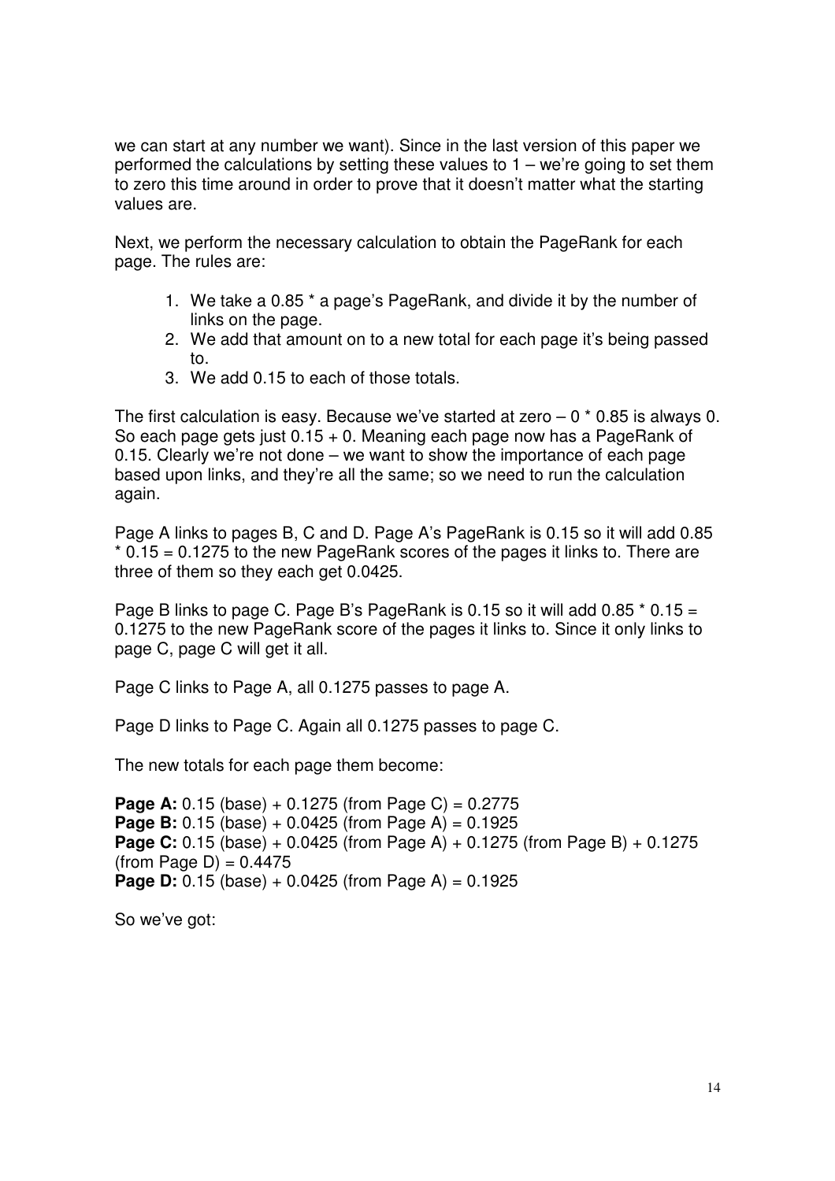we can start at any number we want). Since in the last version of this paper we performed the calculations by setting these values to  $1 -$  we're going to set them to zero this time around in order to prove that it doesn't matter what the starting values are.

Next, we perform the necessary calculation to obtain the PageRank for each page. The rules are:

- 1. We take a 0.85 \* a page's PageRank, and divide it by the number of links on the page.
- 2. We add that amount on to a new total for each page it's being passed to.
- 3. We add 0.15 to each of those totals.

The first calculation is easy. Because we've started at zero  $-0$   $*$  0.85 is always 0. So each page gets just 0.15 + 0. Meaning each page now has a PageRank of 0.15. Clearly we're not done – we want to show the importance of each page based upon links, and they're all the same; so we need to run the calculation again.

Page A links to pages B, C and D. Page A's PageRank is 0.15 so it will add 0.85  $*$  0.15 = 0.1275 to the new PageRank scores of the pages it links to. There are three of them so they each get 0.0425.

Page B links to page C. Page B's PageRank is 0.15 so it will add 0.85  $*$  0.15 = 0.1275 to the new PageRank score of the pages it links to. Since it only links to page C, page C will get it all.

Page C links to Page A, all 0.1275 passes to page A.

Page D links to Page C. Again all 0.1275 passes to page C.

The new totals for each page them become:

```
Page A: 0.15 (base) + 0.1275 (from Page C) = 0.2775
Page B: 0.15 (base) + 0.0425 (from Page A) = 0.1925
Page C: 0.15 (base) + 0.0425 (from Page A) + 0.1275 (from Page B) + 0.1275
(from Page D) = 0.4475Page D: 0.15 (base) + 0.0425 (from Page A) = 0.1925
```
So we've got: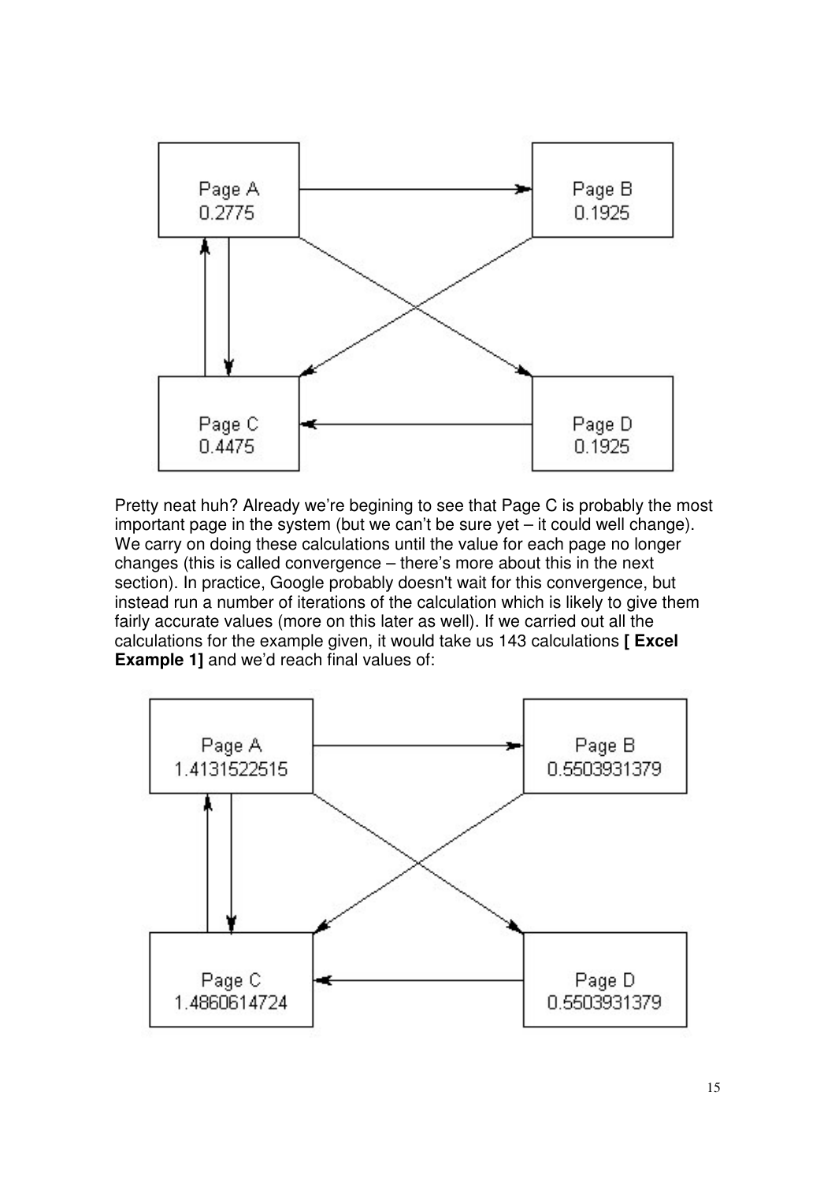

Pretty neat huh? Already we're begining to see that Page C is probably the most important page in the system (but we can't be sure yet – it could well change). We carry on doing these calculations until the value for each page no longer changes (this is called convergence – there's more about this in the next section). In practice, Google probably doesn't wait for this convergence, but instead run a number of iterations of the calculation which is likely to give them fairly accurate values (more on this later as well). If we carried out all the calculations for the example given, it would take us 143 calculations **[ Excel Example 1]** and we'd reach final values of:

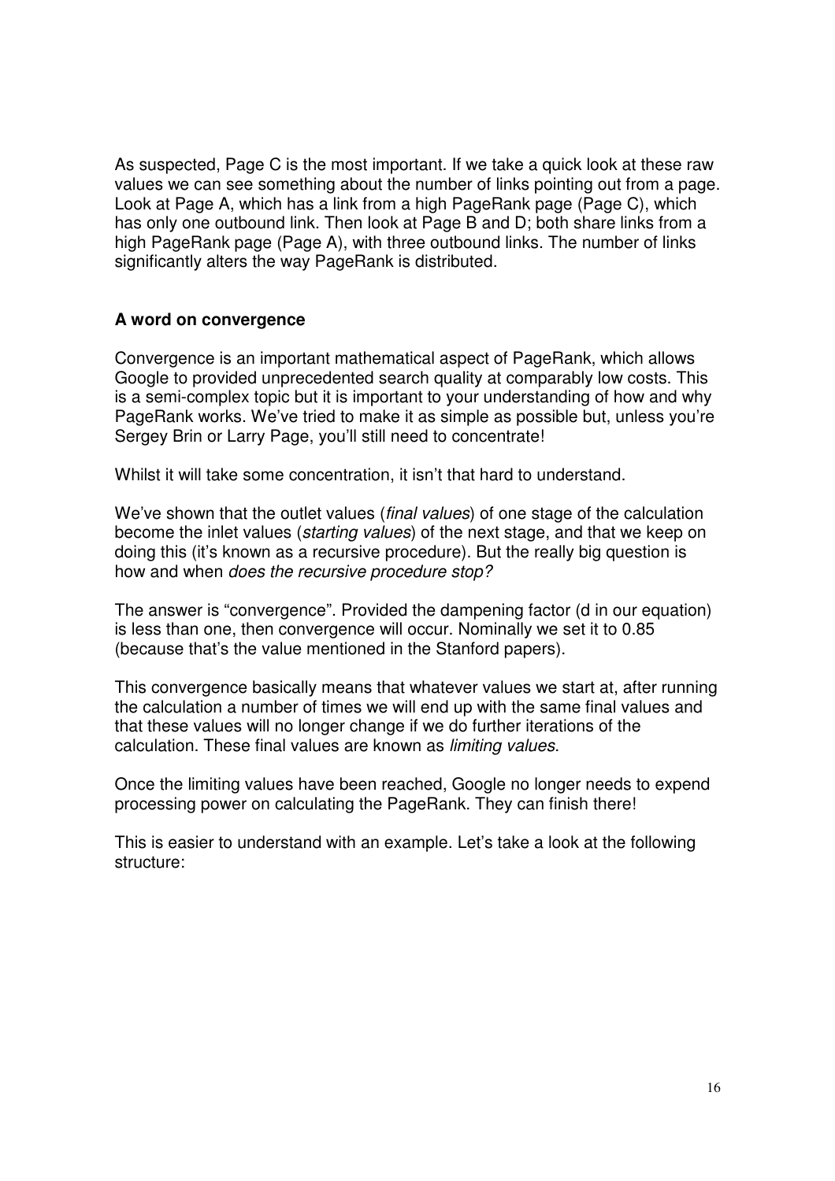As suspected, Page C is the most important. If we take a quick look at these raw values we can see something about the number of links pointing out from a page. Look at Page A, which has a link from a high PageRank page (Page C), which has only one outbound link. Then look at Page B and D; both share links from a high PageRank page (Page A), with three outbound links. The number of links significantly alters the way PageRank is distributed.

#### **A word on convergence**

Convergence is an important mathematical aspect of PageRank, which allows Google to provided unprecedented search quality at comparably low costs. This is a semi-complex topic but it is important to your understanding of how and why PageRank works. We've tried to make it as simple as possible but, unless you're Sergey Brin or Larry Page, you'll still need to concentrate!

Whilst it will take some concentration, it isn't that hard to understand.

We've shown that the outlet values (*final values*) of one stage of the calculation become the inlet values (*starting values*) of the next stage, and that we keep on doing this (it's known as a recursive procedure). But the really big question is how and when *does the recursive procedure stop?*

The answer is "convergence". Provided the dampening factor (d in our equation) is less than one, then convergence will occur. Nominally we set it to 0.85 (because that's the value mentioned in the Stanford papers).

This convergence basically means that whatever values we start at, after running the calculation a number of times we will end up with the same final values and that these values will no longer change if we do further iterations of the calculation. These final values are known as *limiting values*.

Once the limiting values have been reached, Google no longer needs to expend processing power on calculating the PageRank. They can finish there!

This is easier to understand with an example. Let's take a look at the following structure: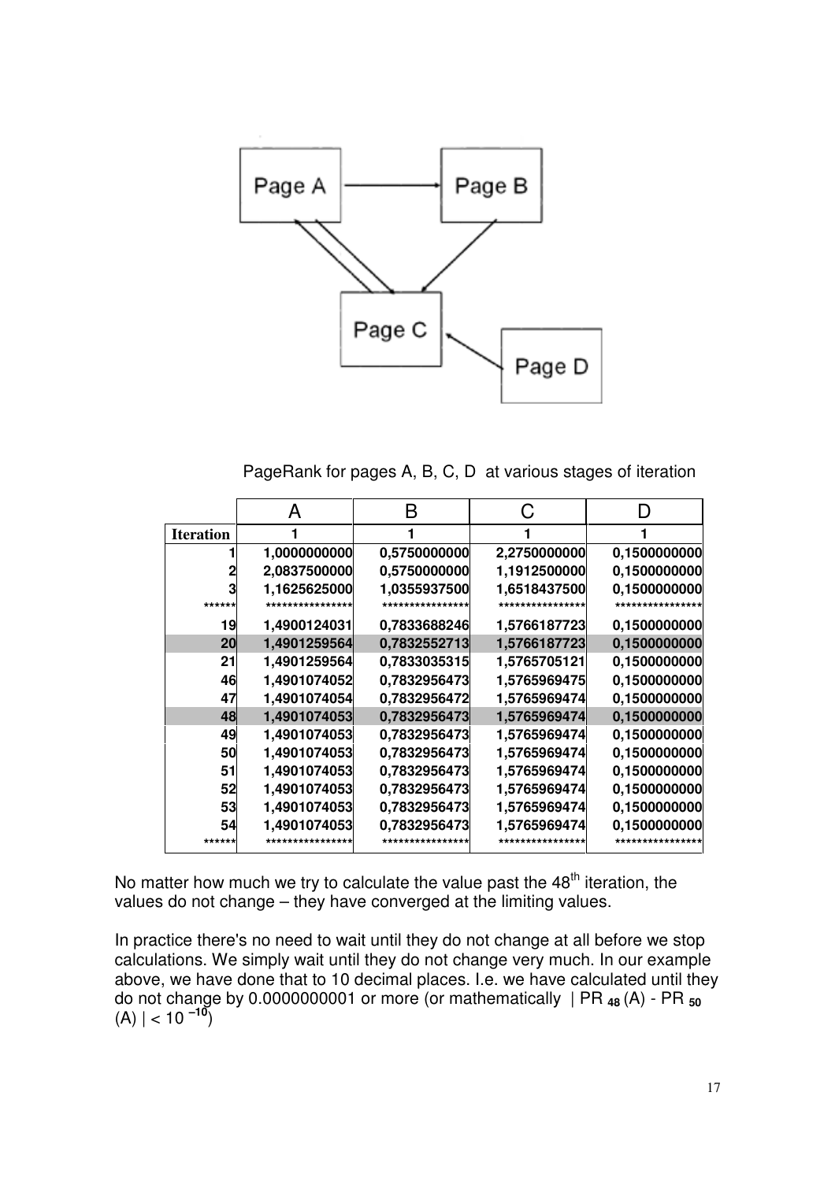

PageRank for pages A, B, C, D at various stages of iteration

|                  | А             | R                |                  |              |
|------------------|---------------|------------------|------------------|--------------|
| <b>Iteration</b> |               |                  |                  |              |
|                  | 1,0000000000  | 0,5750000000     | 2,2750000000     | 0,1500000000 |
|                  | 2,0837500000  | 0,5750000000     | 1,1912500000     | 0,1500000000 |
|                  | 1,1625625000  | 1,0355937500     | 1,6518437500     | 0,1500000000 |
| ******           | ************* | **************** | **************** |              |
| 19               | 1,4900124031  | 0,7833688246     | 1,5766187723     | 0,1500000000 |
| 20               | 1,4901259564  | 0,7832552713     | 1,5766187723     | 0,1500000000 |
| 21               | 1,4901259564  | 0,7833035315     | 1,5765705121     | 0,1500000000 |
| 46               | 1,4901074052  | 0,7832956473     | 1,5765969475     | 0,1500000000 |
| 47               | 1,4901074054  | 0,7832956472     | 1,5765969474     | 0,1500000000 |
| 48               | 1,4901074053  | 0,7832956473     | 1,5765969474     | 0,1500000000 |
| 49               | 1,4901074053  | 0,7832956473     | 1,5765969474     | 0,1500000000 |
| 50               | 1,4901074053  | 0,7832956473     | 1,5765969474     | 0.1500000000 |
| 51               | 1,4901074053  | 0,7832956473     | 1,5765969474     | 0,1500000000 |
| 52               | 1,4901074053  | 0,7832956473     | 1,5765969474     | 0,1500000000 |
| 53               | 1,4901074053  | 0,7832956473     | 1,5765969474     | 0,1500000000 |
| 54               | 1,4901074053  | 0,7832956473     | 1,5765969474     | 0,1500000000 |
| ******           |               | **************** | ***************  |              |

No matter how much we try to calculate the value past the 48<sup>th</sup> iteration, the values do not change – they have converged at the limiting values.

In practice there's no need to wait until they do not change at all before we stop calculations. We simply wait until they do not change very much. In our example above, we have done that to 10 decimal places. I.e. we have calculated until they do not change by 0.0000000001 or more (or mathematically | PR **<sup>48</sup>** (A) - PR **<sup>50</sup>**  $(A)$  | < 10  $^{-10}$ )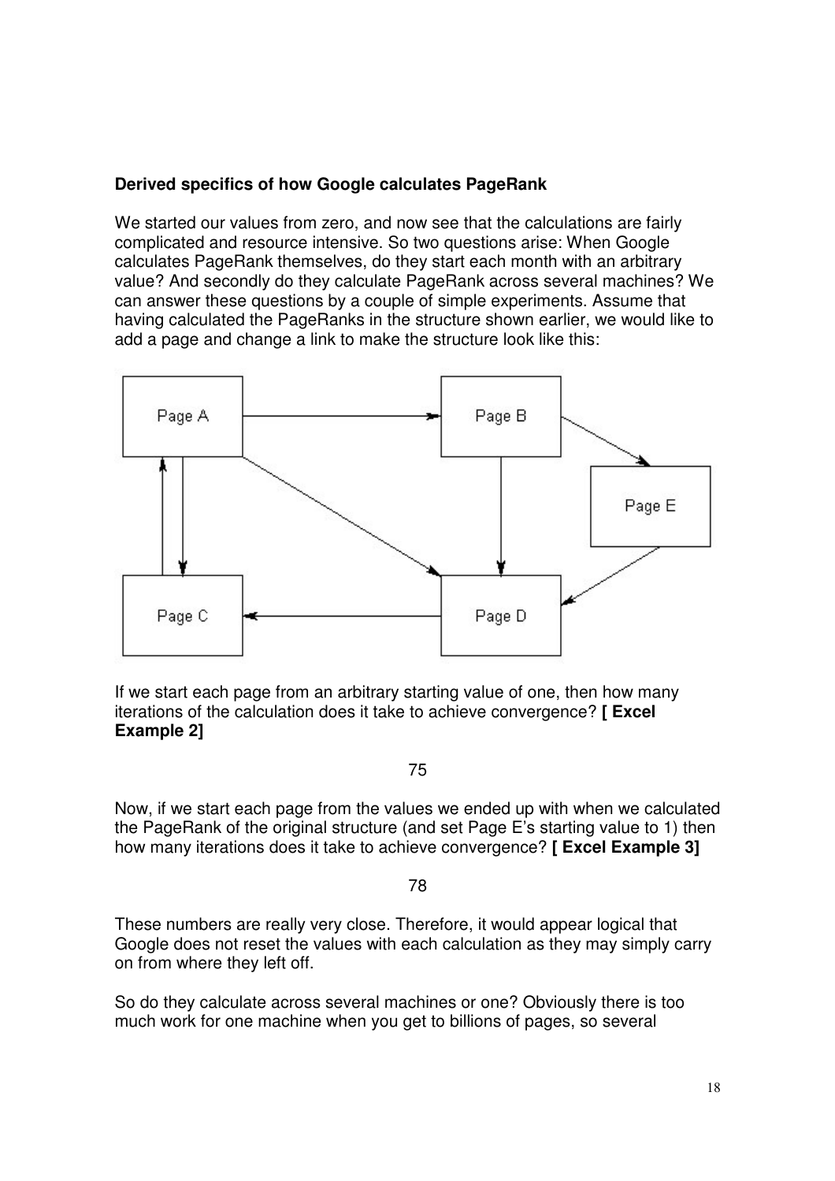# **Derived specifics of how Google calculates PageRank**

We started our values from zero, and now see that the calculations are fairly complicated and resource intensive. So two questions arise: When Google calculates PageRank themselves, do they start each month with an arbitrary value? And secondly do they calculate PageRank across several machines? We can answer these questions by a couple of simple experiments. Assume that having calculated the PageRanks in the structure shown earlier, we would like to add a page and change a link to make the structure look like this:



If we start each page from an arbitrary starting value of one, then how many iterations of the calculation does it take to achieve convergence? **[ Excel Example 2]**

75

Now, if we start each page from the values we ended up with when we calculated the PageRank of the original structure (and set Page E's starting value to 1) then how many iterations does it take to achieve convergence? **[ Excel Example 3]**

#### 78

These numbers are really very close. Therefore, it would appear logical that Google does not reset the values with each calculation as they may simply carry on from where they left off.

So do they calculate across several machines or one? Obviously there is too much work for one machine when you get to billions of pages, so several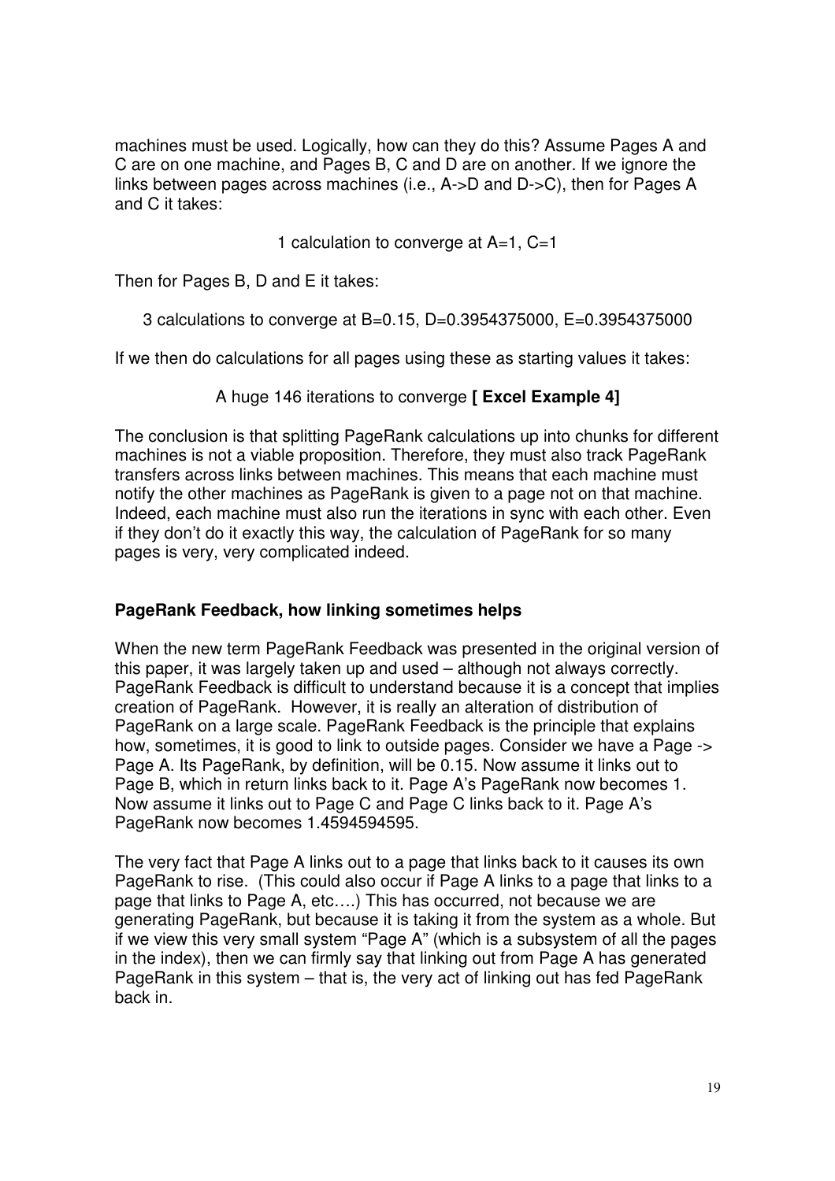machines must be used. Logically, how can they do this? Assume Pages A and C are on one machine, and Pages B, C and D are on another. If we ignore the links between pages across machines (i.e., A->D and D->C), then for Pages A and C it takes:

1 calculation to converge at A=1, C=1

Then for Pages B, D and E it takes:

3 calculations to converge at B=0.15, D=0.3954375000, E=0.3954375000

If we then do calculations for all pages using these as starting values it takes:

# A huge 146 iterations to converge **[ Excel Example 4]**

The conclusion is that splitting PageRank calculations up into chunks for different machines is not a viable proposition. Therefore, they must also track PageRank transfers across links between machines. This means that each machine must notify the other machines as PageRank is given to a page not on that machine. Indeed, each machine must also run the iterations in sync with each other. Even if they don't do it exactly this way, the calculation of PageRank for so many pages is very, very complicated indeed.

# **PageRank Feedback, how linking sometimes helps**

When the new term PageRank Feedback was presented in the original version of this paper, it was largely taken up and used – although not always correctly. PageRank Feedback is difficult to understand because it is a concept that implies creation of PageRank. However, it is really an alteration of distribution of PageRank on a large scale. PageRank Feedback is the principle that explains how, sometimes, it is good to link to outside pages. Consider we have a Page -> Page A. Its PageRank, by definition, will be 0.15. Now assume it links out to Page B, which in return links back to it. Page A's PageRank now becomes 1. Now assume it links out to Page C and Page C links back to it. Page A's PageRank now becomes 1.4594594595.

The very fact that Page A links out to a page that links back to it causes its own PageRank to rise. (This could also occur if Page A links to a page that links to a page that links to Page A, etc….) This has occurred, not because we are generating PageRank, but because it is taking it from the system as a whole. But if we view this very small system "Page A" (which is a subsystem of all the pages in the index), then we can firmly say that linking out from Page A has generated PageRank in this system – that is, the very act of linking out has fed PageRank back in.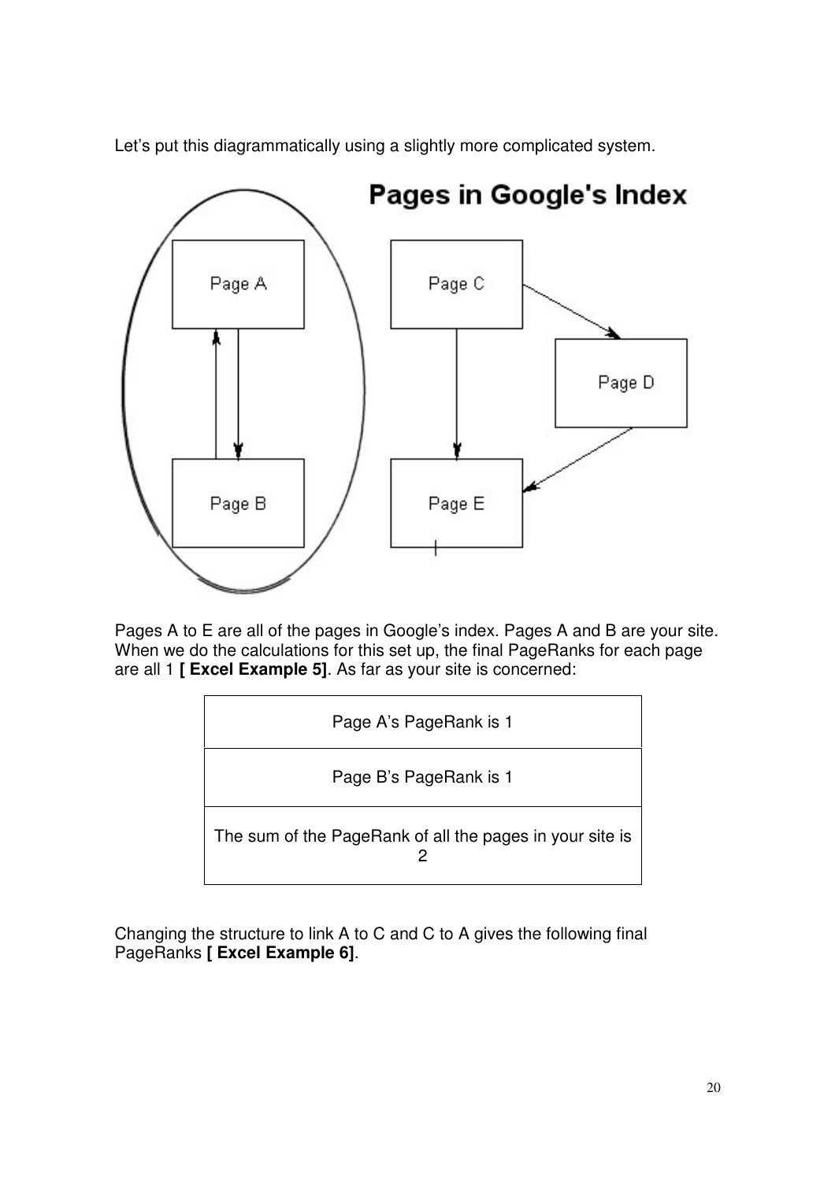

Let's put this diagrammatically using a slightly more complicated system.

Pages A to E are all of the pages in Google's index. Pages A and B are your site. When we do the calculations for this set up, the final PageRanks for each page are all 1 **[ Excel Example 5]**. As far as your site is concerned:



Changing the structure to link A to C and C to A gives the following final PageRanks **[ Excel Example 6]**.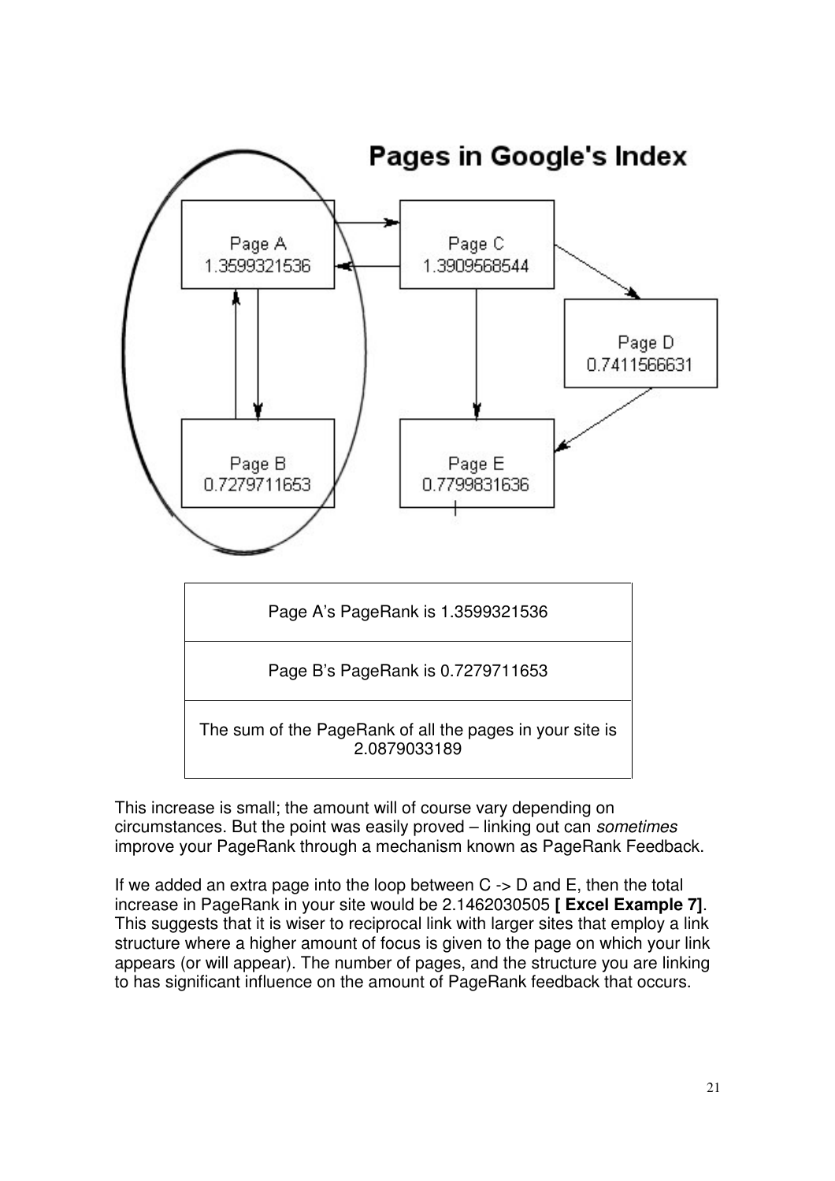

This increase is small; the amount will of course vary depending on circumstances. But the point was easily proved – linking out can *sometimes* improve your PageRank through a mechanism known as PageRank Feedback.

If we added an extra page into the loop between  $C \rightarrow D$  and E, then the total increase in PageRank in your site would be 2.1462030505 **[ Excel Example 7]**. This suggests that it is wiser to reciprocal link with larger sites that employ a link structure where a higher amount of focus is given to the page on which your link appears (or will appear). The number of pages, and the structure you are linking to has significant influence on the amount of PageRank feedback that occurs.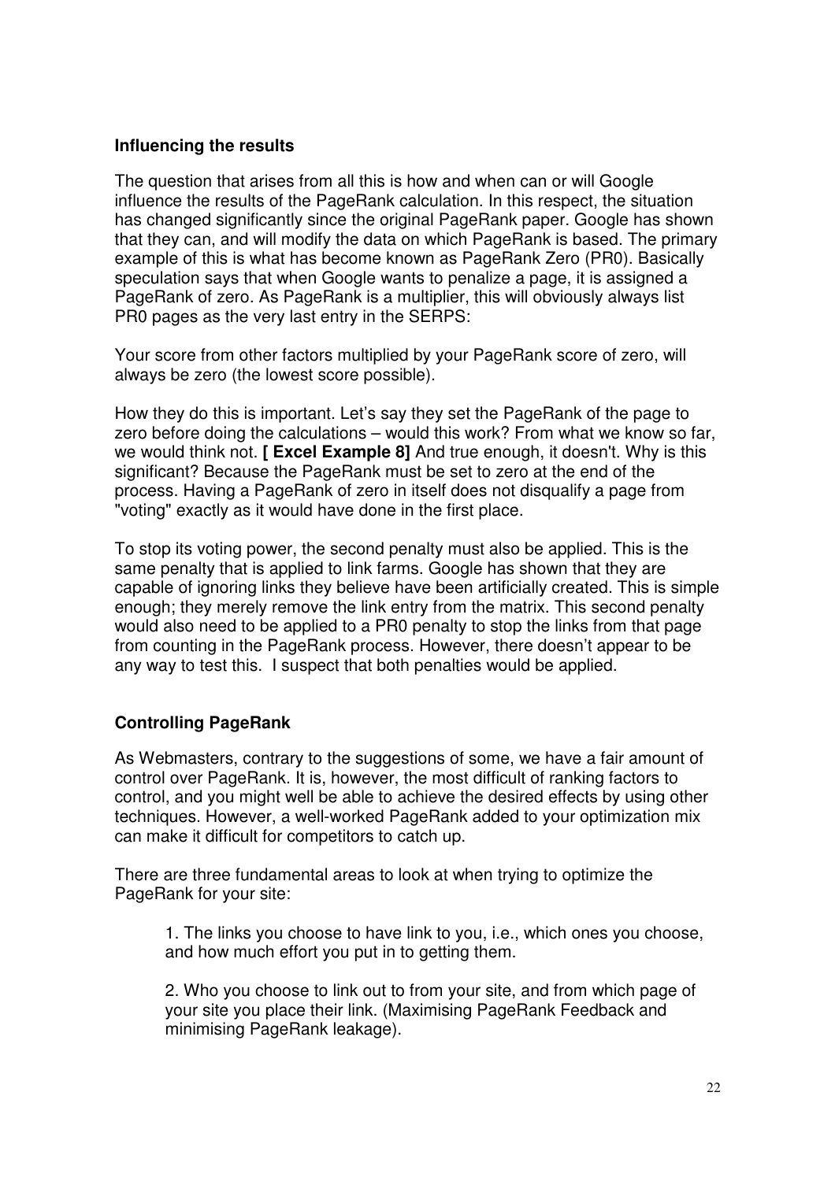#### **Influencing the results**

The question that arises from all this is how and when can or will Google influence the results of the PageRank calculation. In this respect, the situation has changed significantly since the original PageRank paper. Google has shown that they can, and will modify the data on which PageRank is based. The primary example of this is what has become known as PageRank Zero (PR0). Basically speculation says that when Google wants to penalize a page, it is assigned a PageRank of zero. As PageRank is a multiplier, this will obviously always list PR0 pages as the very last entry in the SERPS:

Your score from other factors multiplied by your PageRank score of zero, will always be zero (the lowest score possible).

How they do this is important. Let's say they set the PageRank of the page to zero before doing the calculations – would this work? From what we know so far, we would think not. **[ Excel Example 8]** And true enough, it doesn't. Why is this significant? Because the PageRank must be set to zero at the end of the process. Having a PageRank of zero in itself does not disqualify a page from "voting" exactly as it would have done in the first place.

To stop its voting power, the second penalty must also be applied. This is the same penalty that is applied to link farms. Google has shown that they are capable of ignoring links they believe have been artificially created. This is simple enough; they merely remove the link entry from the matrix. This second penalty would also need to be applied to a PR0 penalty to stop the links from that page from counting in the PageRank process. However, there doesn't appear to be any way to test this. I suspect that both penalties would be applied.

# **Controlling PageRank**

As Webmasters, contrary to the suggestions of some, we have a fair amount of control over PageRank. It is, however, the most difficult of ranking factors to control, and you might well be able to achieve the desired effects by using other techniques. However, a well-worked PageRank added to your optimization mix can make it difficult for competitors to catch up.

There are three fundamental areas to look at when trying to optimize the PageRank for your site:

1. The links you choose to have link to you, i.e., which ones you choose, and how much effort you put in to getting them.

2. Who you choose to link out to from your site, and from which page of your site you place their link. (Maximising PageRank Feedback and minimising PageRank leakage).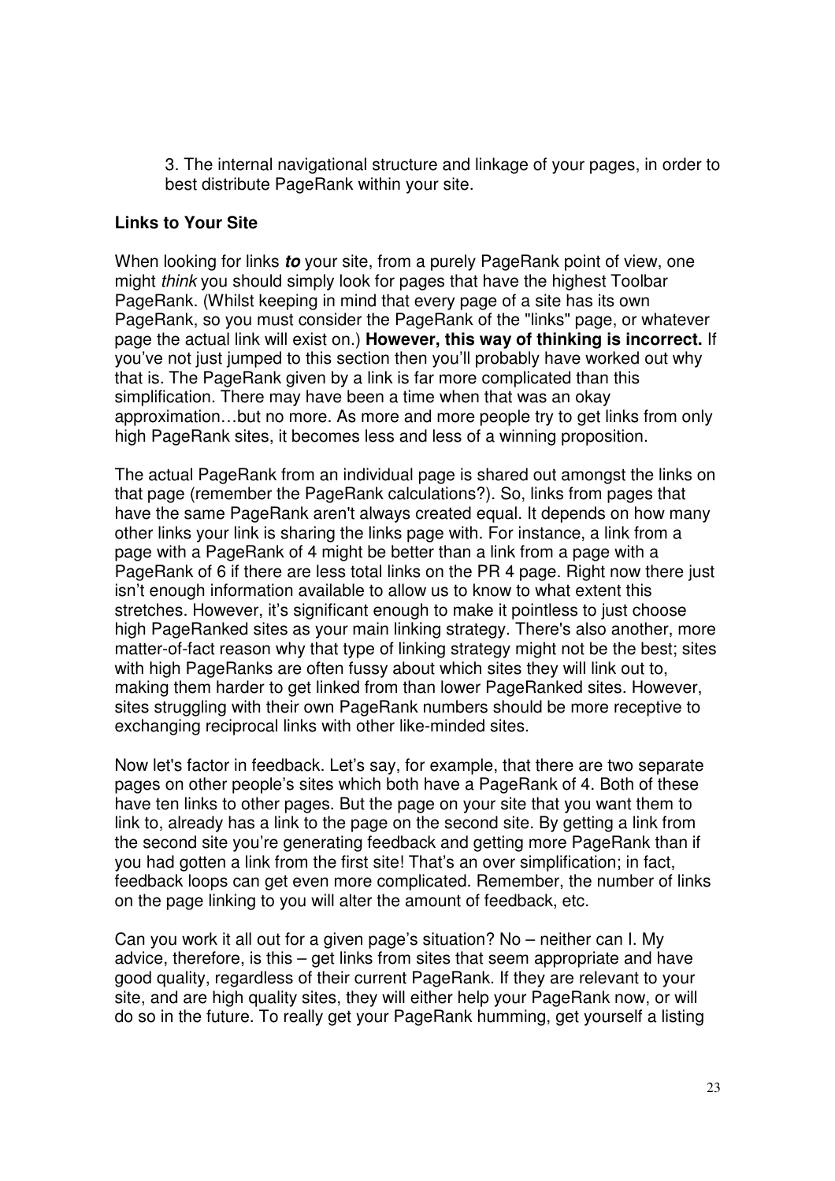3. The internal navigational structure and linkage of your pages, in order to best distribute PageRank within your site.

#### **Links to Your Site**

When looking for links *to* your site, from a purely PageRank point of view, one might *think* you should simply look for pages that have the highest Toolbar PageRank. (Whilst keeping in mind that every page of a site has its own PageRank, so you must consider the PageRank of the "links" page, or whatever page the actual link will exist on.) **However, this way of thinking is incorrect.** If you've not just jumped to this section then you'll probably have worked out why that is. The PageRank given by a link is far more complicated than this simplification. There may have been a time when that was an okay approximation…but no more. As more and more people try to get links from only high PageRank sites, it becomes less and less of a winning proposition.

The actual PageRank from an individual page is shared out amongst the links on that page (remember the PageRank calculations?). So, links from pages that have the same PageRank aren't always created equal. It depends on how many other links your link is sharing the links page with. For instance, a link from a page with a PageRank of 4 might be better than a link from a page with a PageRank of 6 if there are less total links on the PR 4 page. Right now there just isn't enough information available to allow us to know to what extent this stretches. However, it's significant enough to make it pointless to just choose high PageRanked sites as your main linking strategy. There's also another, more matter-of-fact reason why that type of linking strategy might not be the best; sites with high PageRanks are often fussy about which sites they will link out to. making them harder to get linked from than lower PageRanked sites. However, sites struggling with their own PageRank numbers should be more receptive to exchanging reciprocal links with other like-minded sites.

Now let's factor in feedback. Let's say, for example, that there are two separate pages on other people's sites which both have a PageRank of 4. Both of these have ten links to other pages. But the page on your site that you want them to link to, already has a link to the page on the second site. By getting a link from the second site you're generating feedback and getting more PageRank than if you had gotten a link from the first site! That's an over simplification; in fact, feedback loops can get even more complicated. Remember, the number of links on the page linking to you will alter the amount of feedback, etc.

Can you work it all out for a given page's situation? No – neither can I. My advice, therefore, is this – get links from sites that seem appropriate and have good quality, regardless of their current PageRank. If they are relevant to your site, and are high quality sites, they will either help your PageRank now, or will do so in the future. To really get your PageRank humming, get yourself a listing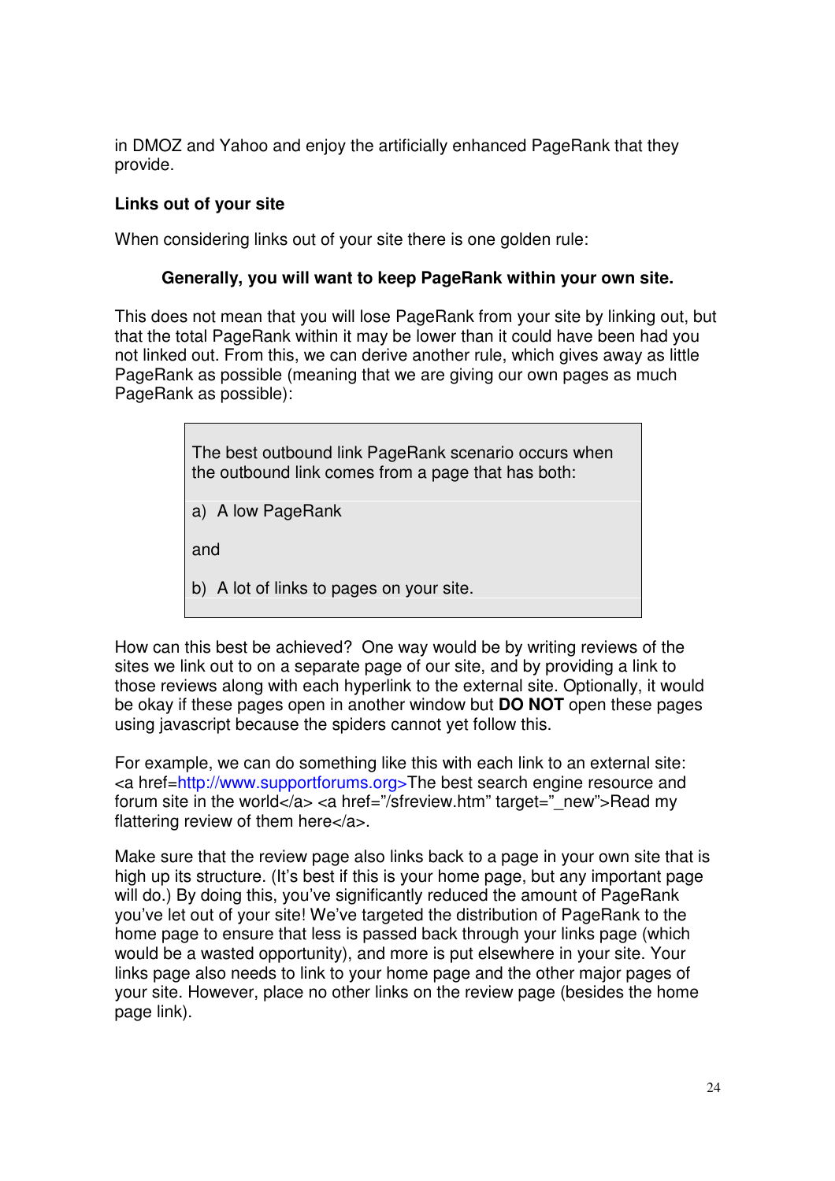in DMOZ and Yahoo and enjoy the artificially enhanced PageRank that they provide.

## **Links out of your site**

When considering links out of your site there is one golden rule:

## **Generally, you will want to keep PageRank within your own site.**

This does not mean that you will lose PageRank from your site by linking out, but that the total PageRank within it may be lower than it could have been had you not linked out. From this, we can derive another rule, which gives away as little PageRank as possible (meaning that we are giving our own pages as much PageRank as possible):

| The best outbound link PageRank scenario occurs when<br>the outbound link comes from a page that has both: |
|------------------------------------------------------------------------------------------------------------|
| a) A low PageRank                                                                                          |
| and                                                                                                        |
| b) A lot of links to pages on your site.                                                                   |

How can this best be achieved? One way would be by writing reviews of the sites we link out to on a separate page of our site, and by providing a link to those reviews along with each hyperlink to the external site. Optionally, it would be okay if these pages open in another window but **DO NOT** open these pages using javascript because the spiders cannot yet follow this.

For example, we can do something like this with each link to an external site: <a href[=http://www.supportforums.org>The](http://www.supportforums.org>The) best search engine resource and forum site in the world</a> <a href="/sfreview.htm" target=" new">Read my flattering review of them here</a>.

Make sure that the review page also links back to a page in your own site that is high up its structure. (It's best if this is your home page, but any important page will do.) By doing this, you've significantly reduced the amount of PageRank you've let out of your site! We've targeted the distribution of PageRank to the home page to ensure that less is passed back through your links page (which would be a wasted opportunity), and more is put elsewhere in your site. Your links page also needs to link to your home page and the other major pages of your site. However, place no other links on the review page (besides the home page link).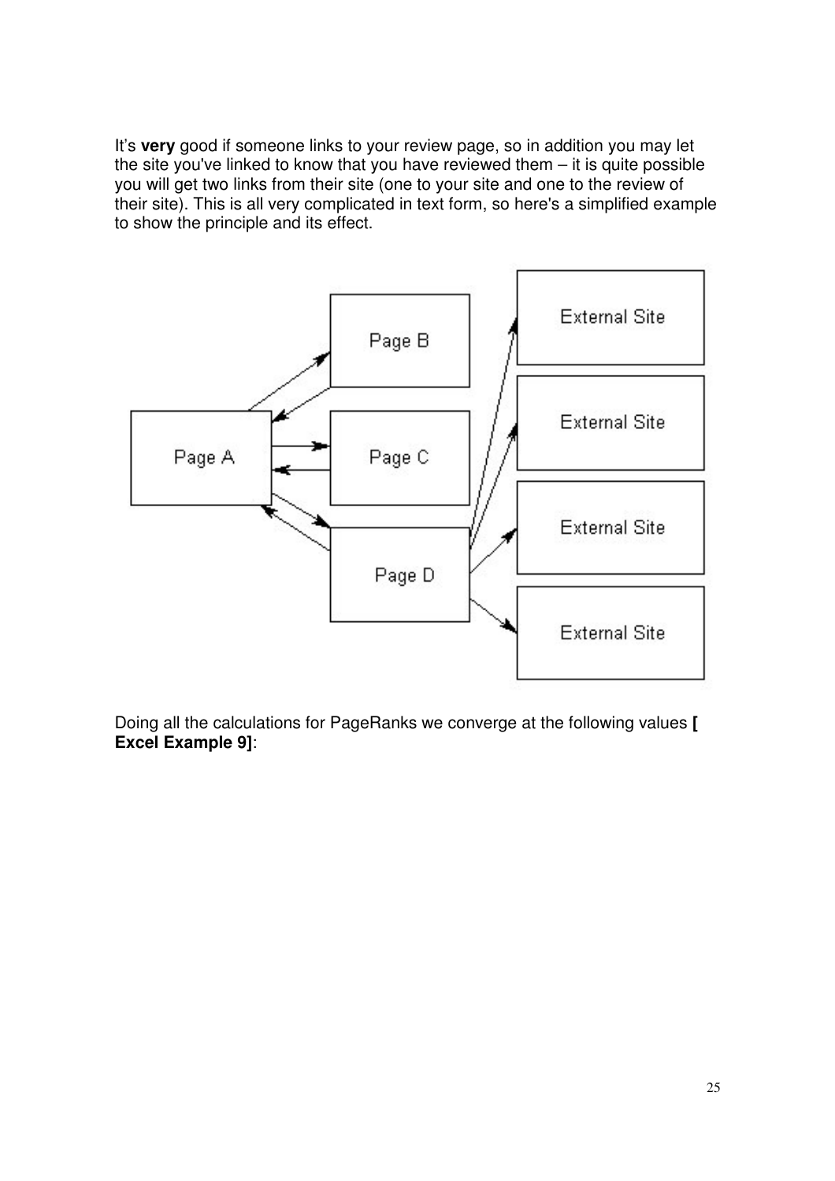It's **very** good if someone links to your review page, so in addition you may let the site you've linked to know that you have reviewed them – it is quite possible you will get two links from their site (one to your site and one to the review of their site). This is all very complicated in text form, so here's a simplified example to show the principle and its effect.



Doing all the calculations for PageRanks we converge at the following values **[ Excel Example 9]**: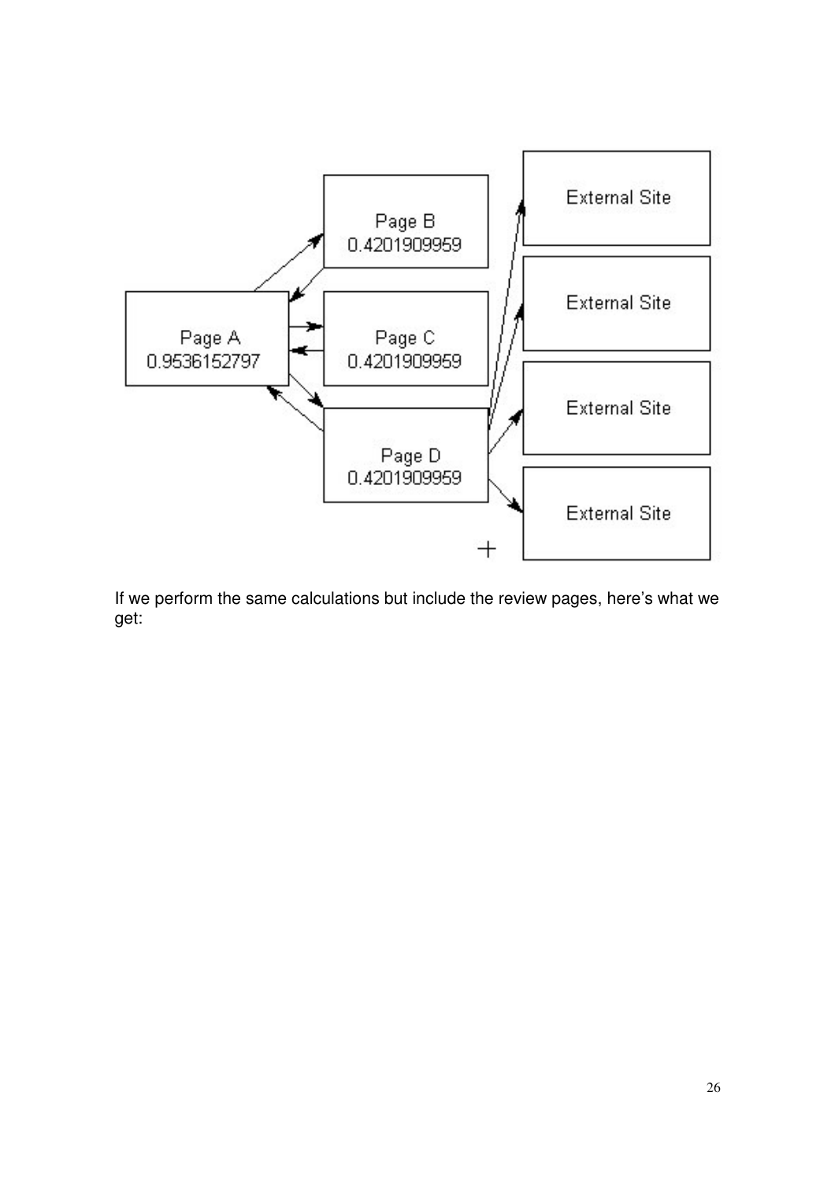

If we perform the same calculations but include the review pages, here's what we get: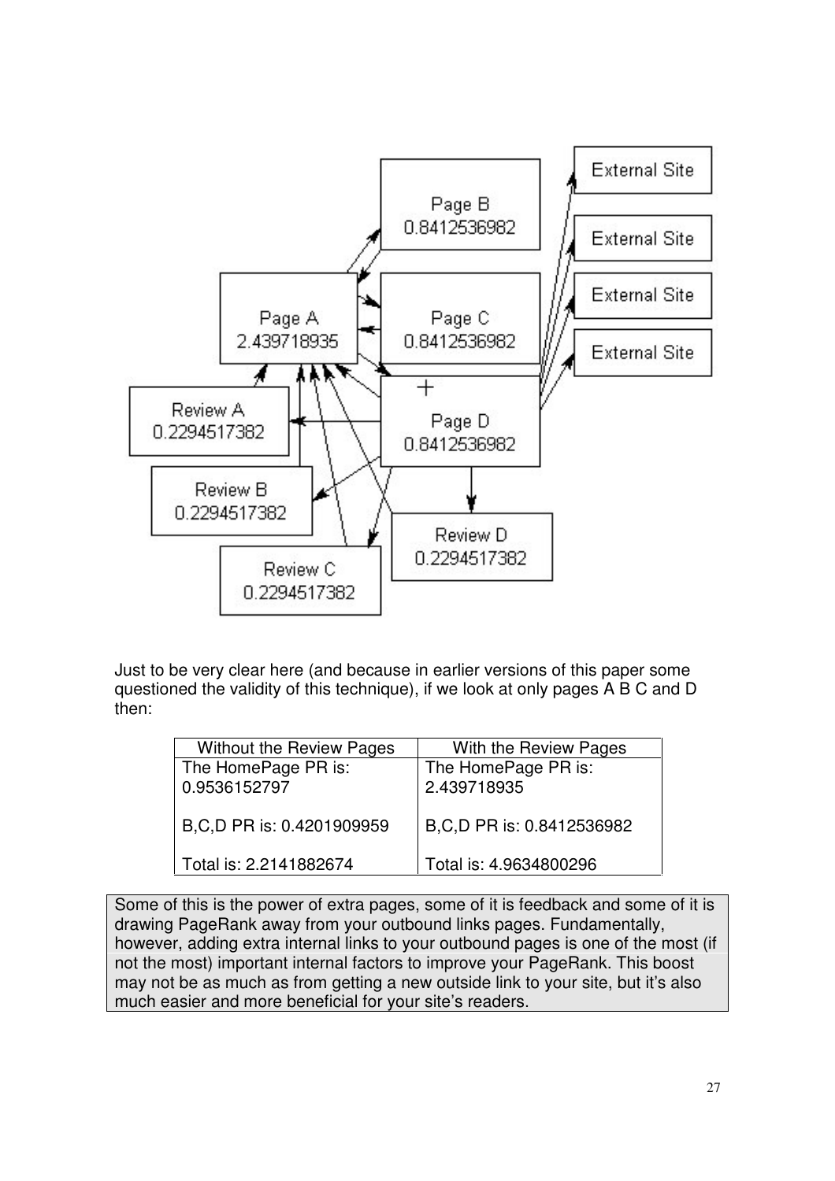

Just to be very clear here (and because in earlier versions of this paper some questioned the validity of this technique), if we look at only pages A B C and D then:

| <b>Without the Review Pages</b> | With the Review Pages       |
|---------------------------------|-----------------------------|
| The HomePage PR is:             | The HomePage PR is:         |
| 0.9536152797                    | 2.439718935                 |
|                                 |                             |
| B, C, D PR is: 0.4201909959     | B, C, D PR is: 0.8412536982 |
|                                 |                             |
| Total is: 2.2141882674          | Total is: 4.9634800296      |

Some of this is the power of extra pages, some of it is feedback and some of it is drawing PageRank away from your outbound links pages. Fundamentally, however, adding extra internal links to your outbound pages is one of the most (if not the most) important internal factors to improve your PageRank. This boost may not be as much as from getting a new outside link to your site, but it's also much easier and more beneficial for your site's readers.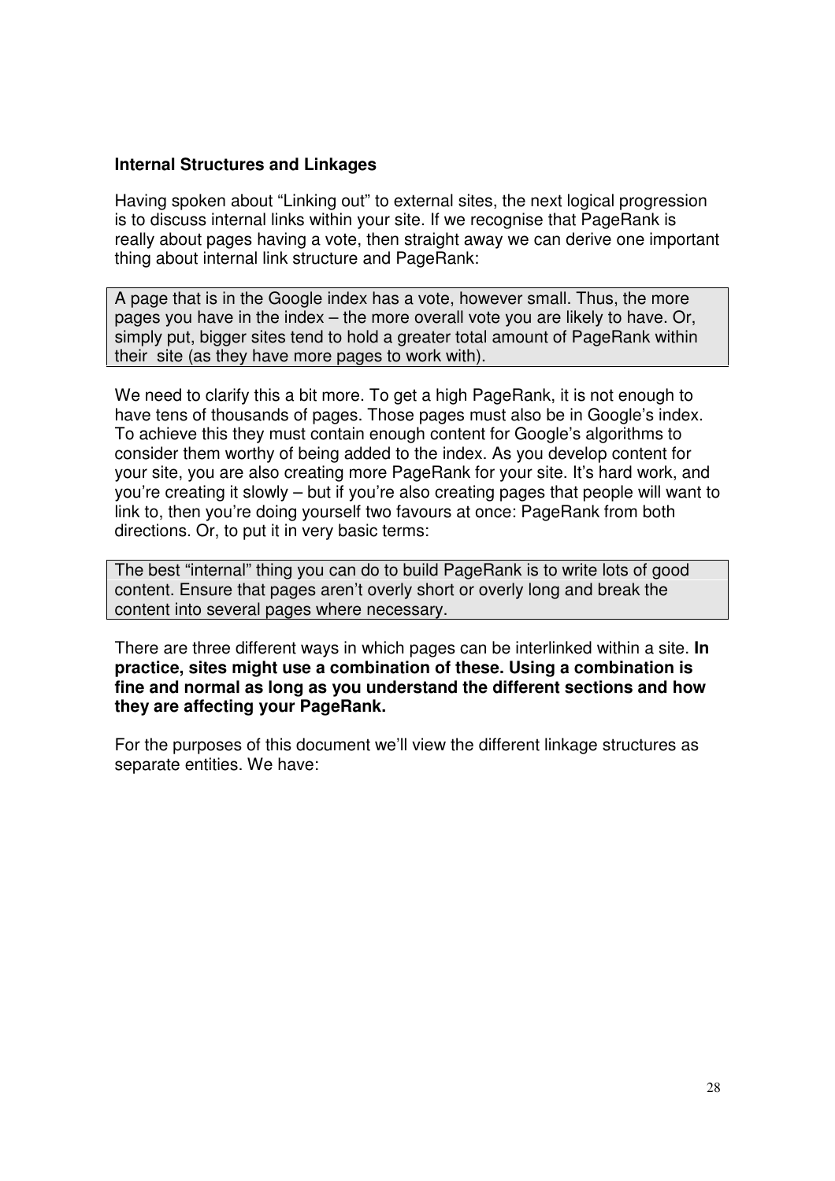## **Internal Structures and Linkages**

Having spoken about "Linking out" to external sites, the next logical progression is to discuss internal links within your site. If we recognise that PageRank is really about pages having a vote, then straight away we can derive one important thing about internal link structure and PageRank:

A page that is in the Google index has a vote, however small. Thus, the more pages you have in the index – the more overall vote you are likely to have. Or, simply put, bigger sites tend to hold a greater total amount of PageRank within their site (as they have more pages to work with).

We need to clarify this a bit more. To get a high PageRank, it is not enough to have tens of thousands of pages. Those pages must also be in Google's index. To achieve this they must contain enough content for Google's algorithms to consider them worthy of being added to the index. As you develop content for your site, you are also creating more PageRank for your site. It's hard work, and you're creating it slowly – but if you're also creating pages that people will want to link to, then you're doing yourself two favours at once: PageRank from both directions. Or, to put it in very basic terms:

The best "internal" thing you can do to build PageRank is to write lots of good content. Ensure that pages aren't overly short or overly long and break the content into several pages where necessary.

There are three different ways in which pages can be interlinked within a site. **In practice, sites might use a combination of these. Using a combination is fine and normal as long as you understand the different sections and how they are affecting your PageRank.**

For the purposes of this document we'll view the different linkage structures as separate entities. We have: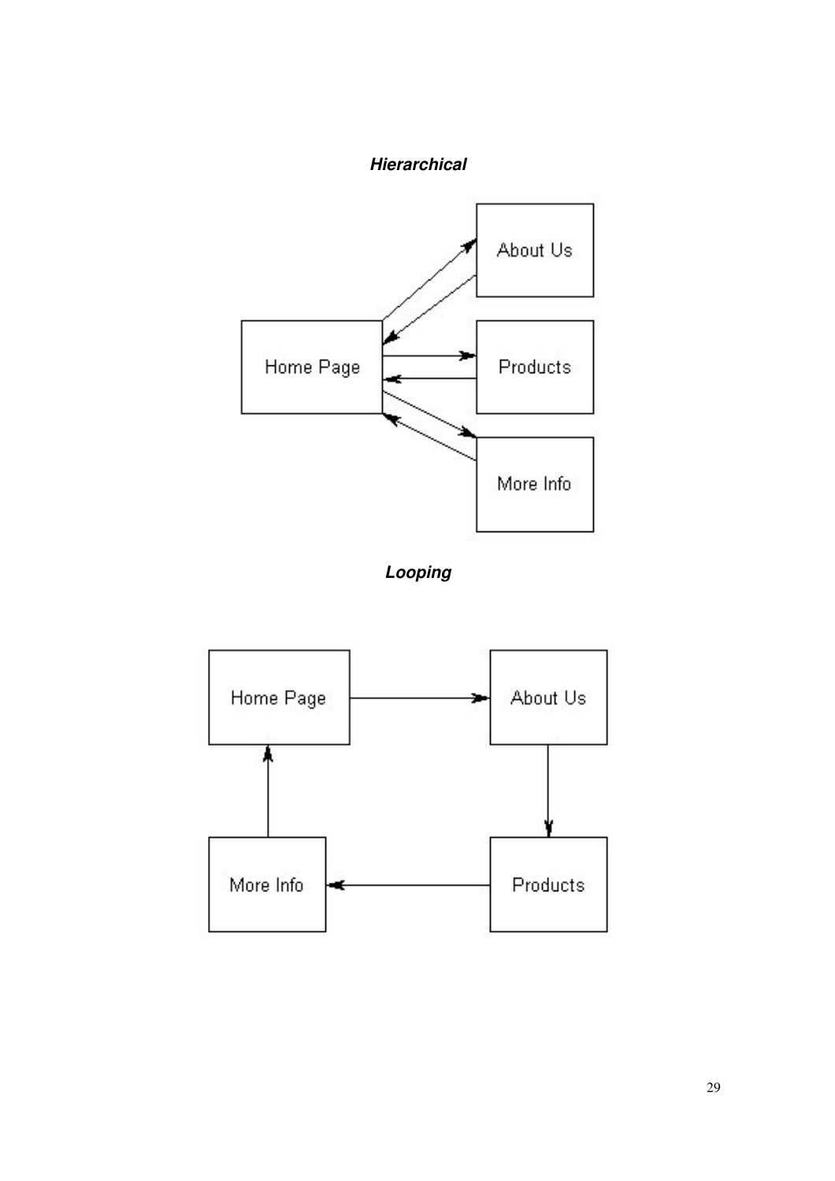# *Hierarchical*





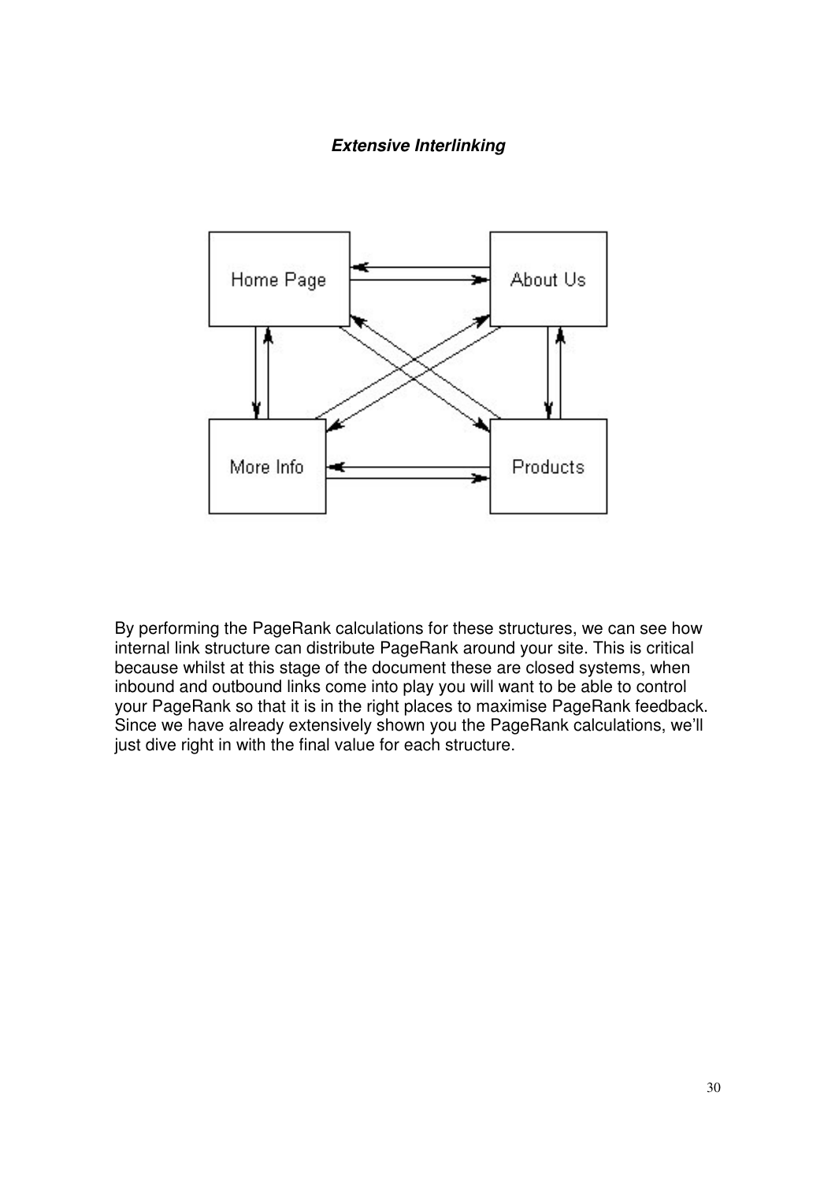#### *Extensive Interlinking*



By performing the PageRank calculations for these structures, we can see how internal link structure can distribute PageRank around your site. This is critical because whilst at this stage of the document these are closed systems, when inbound and outbound links come into play you will want to be able to control your PageRank so that it is in the right places to maximise PageRank feedback. Since we have already extensively shown you the PageRank calculations, we'll just dive right in with the final value for each structure.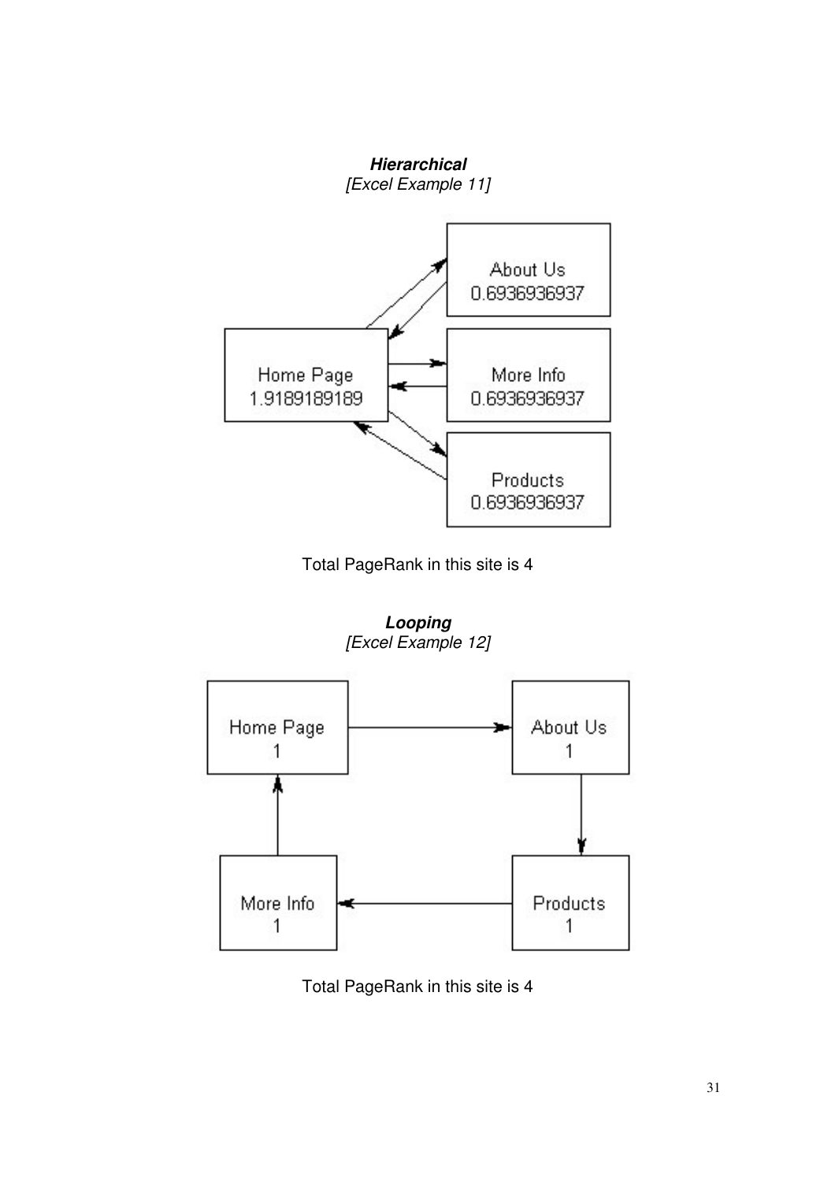

Total PageRank in this site is 4

*Looping [Excel Example 12]*



Total PageRank in this site is 4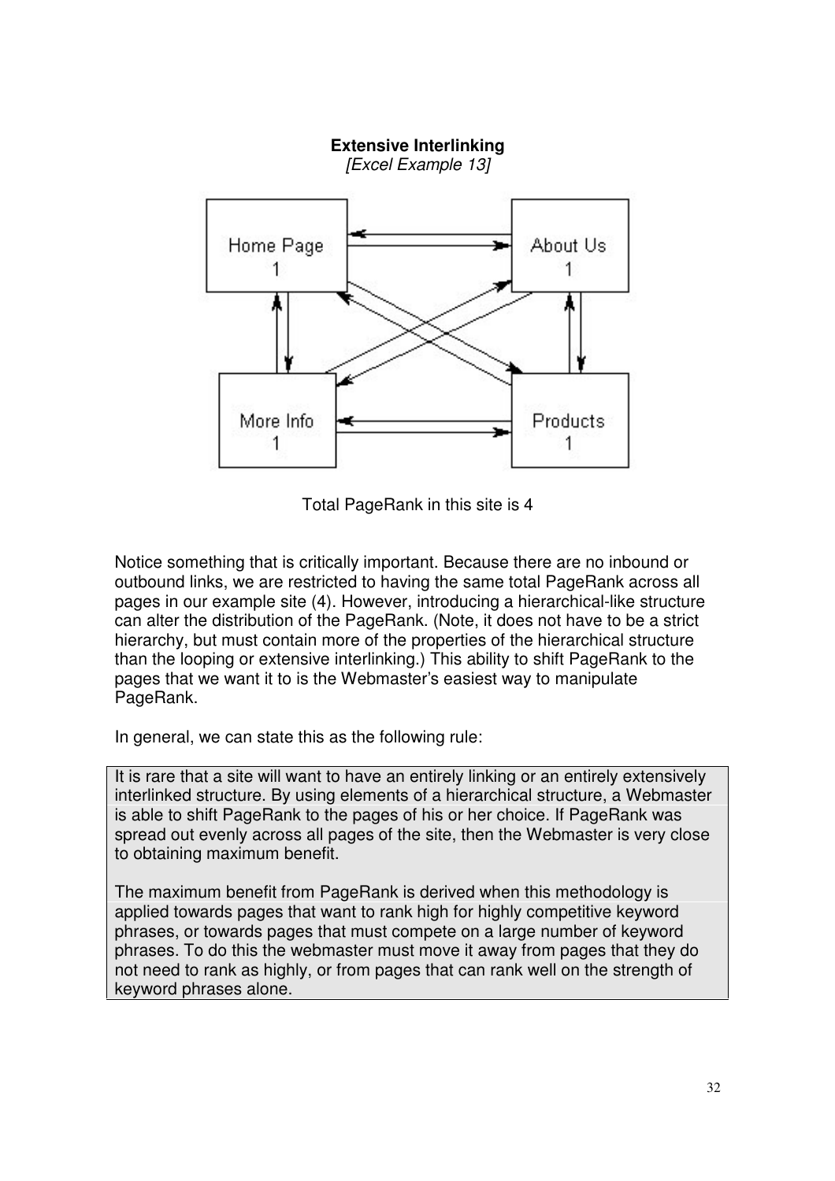

Total PageRank in this site is 4

Notice something that is critically important. Because there are no inbound or outbound links, we are restricted to having the same total PageRank across all pages in our example site (4). However, introducing a hierarchical-like structure can alter the distribution of the PageRank. (Note, it does not have to be a strict hierarchy, but must contain more of the properties of the hierarchical structure than the looping or extensive interlinking.) This ability to shift PageRank to the pages that we want it to is the Webmaster's easiest way to manipulate PageRank.

In general, we can state this as the following rule:

It is rare that a site will want to have an entirely linking or an entirely extensively interlinked structure. By using elements of a hierarchical structure, a Webmaster is able to shift PageRank to the pages of his or her choice. If PageRank was spread out evenly across all pages of the site, then the Webmaster is very close to obtaining maximum benefit.

The maximum benefit from PageRank is derived when this methodology is applied towards pages that want to rank high for highly competitive keyword phrases, or towards pages that must compete on a large number of keyword phrases. To do this the webmaster must move it away from pages that they do not need to rank as highly, or from pages that can rank well on the strength of keyword phrases alone.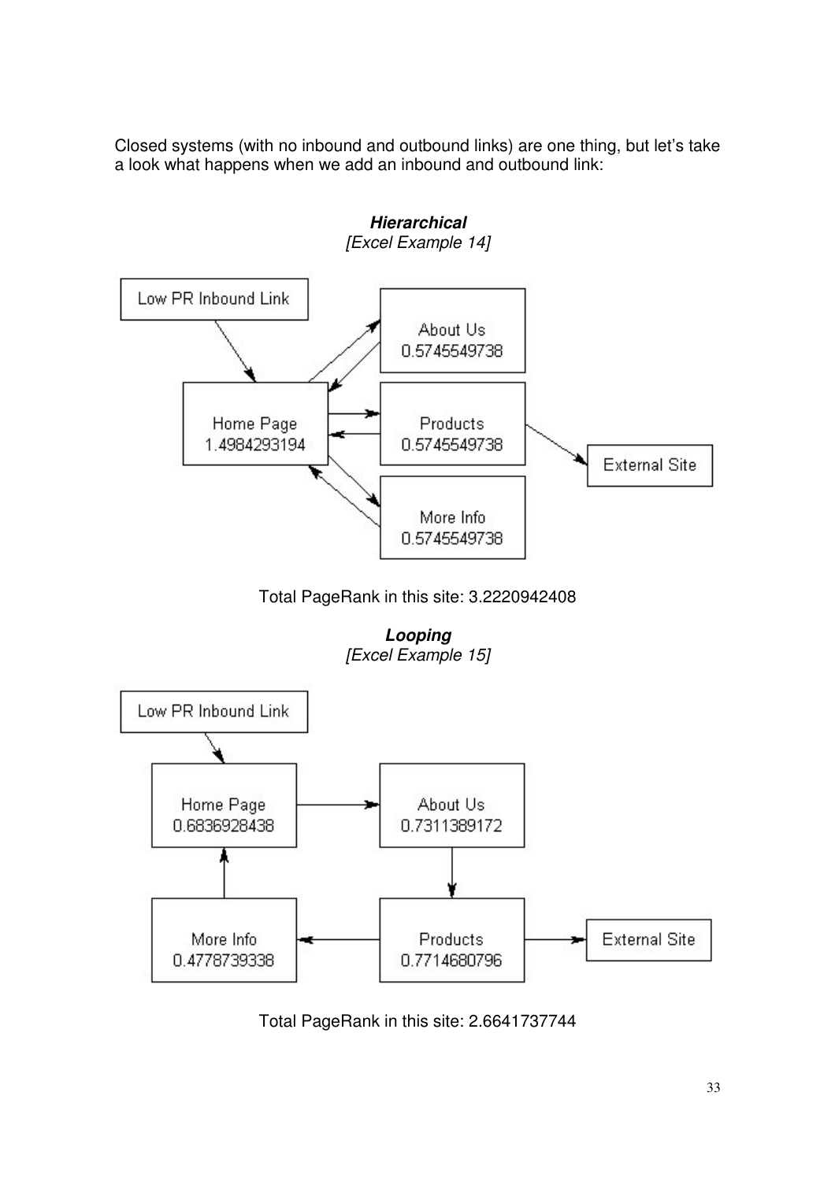Closed systems (with no inbound and outbound links) are one thing, but let's take a look what happens when we add an inbound and outbound link:



Total PageRank in this site: 2.6641737744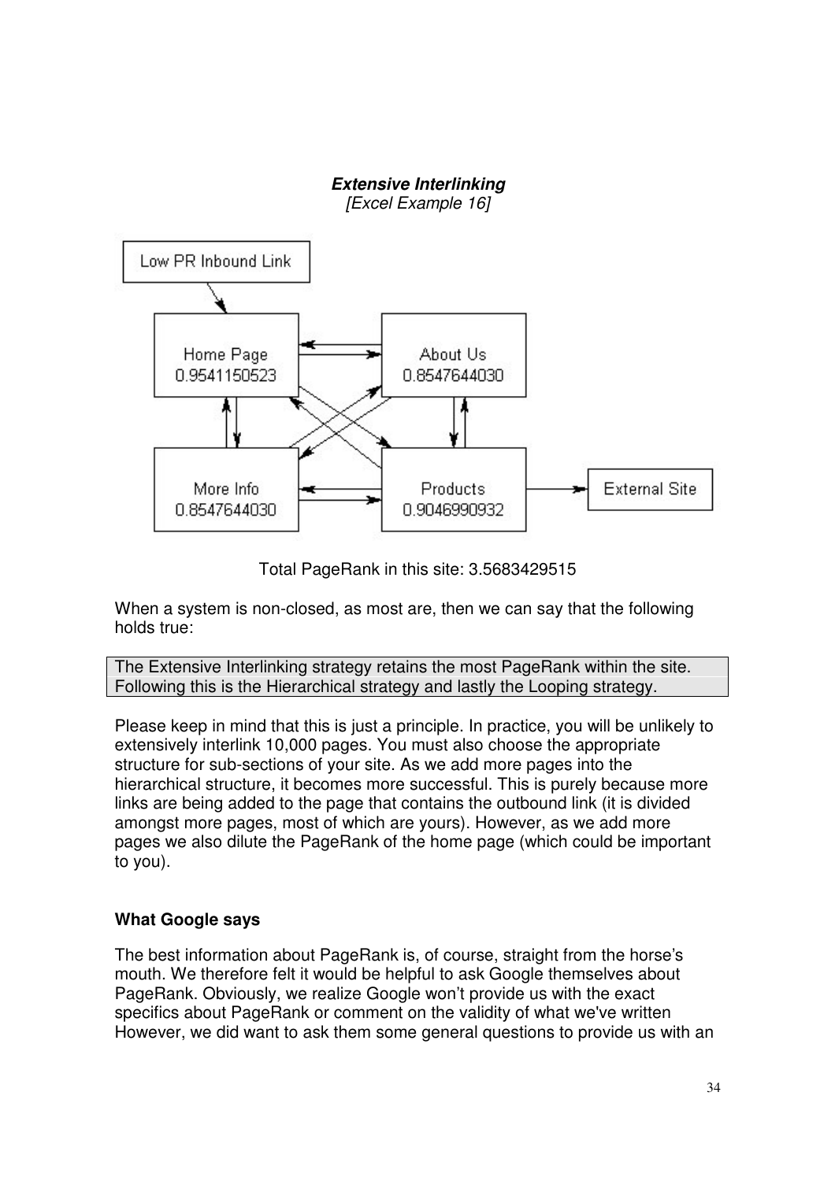

Total PageRank in this site: 3.5683429515

When a system is non-closed, as most are, then we can say that the following holds true:

The Extensive Interlinking strategy retains the most PageRank within the site. Following this is the Hierarchical strategy and lastly the Looping strategy.

Please keep in mind that this is just a principle. In practice, you will be unlikely to extensively interlink 10,000 pages. You must also choose the appropriate structure for sub-sections of your site. As we add more pages into the hierarchical structure, it becomes more successful. This is purely because more links are being added to the page that contains the outbound link (it is divided amongst more pages, most of which are yours). However, as we add more pages we also dilute the PageRank of the home page (which could be important to you).

# **What Google says**

The best information about PageRank is, of course, straight from the horse's mouth. We therefore felt it would be helpful to ask Google themselves about PageRank. Obviously, we realize Google won't provide us with the exact specifics about PageRank or comment on the validity of what we've written However, we did want to ask them some general questions to provide us with an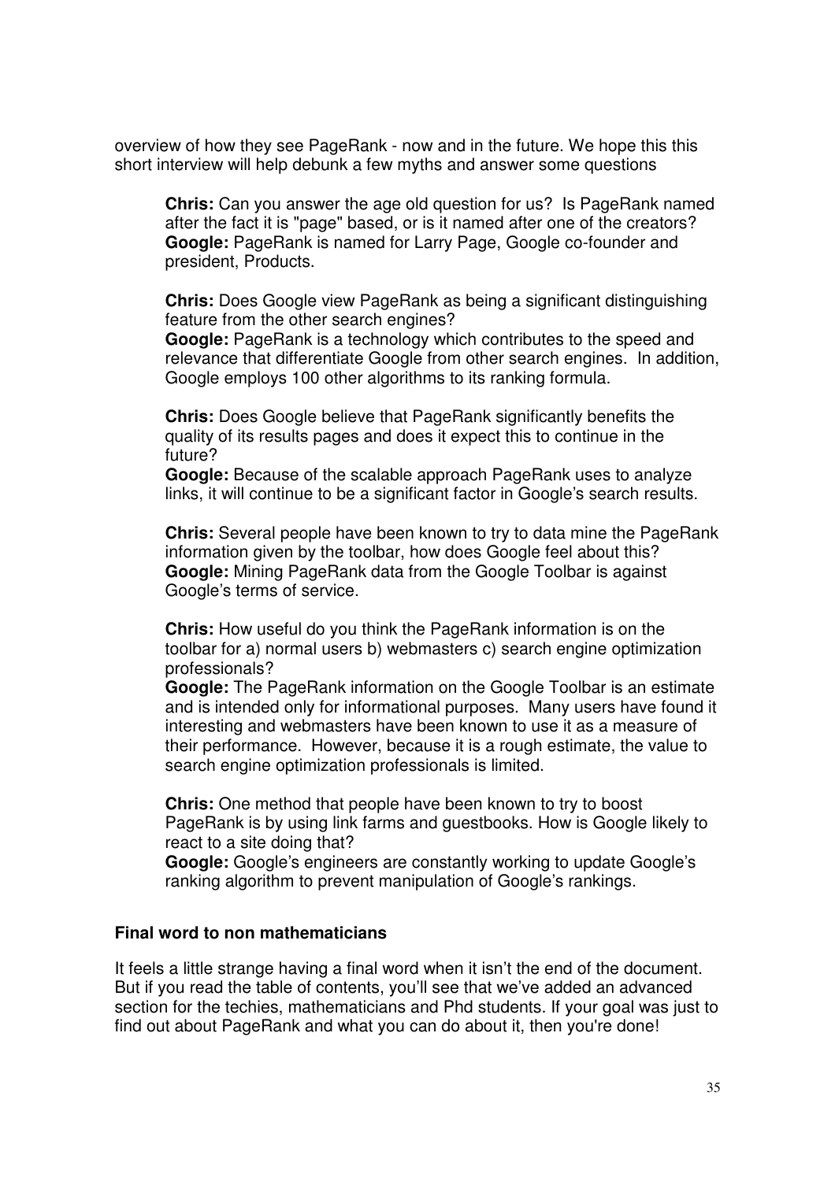overview of how they see PageRank - now and in the future. We hope this this short interview will help debunk a few myths and answer some questions

**Chris:** Can you answer the age old question for us? Is PageRank named after the fact it is "page" based, or is it named after one of the creators? **Google:** PageRank is named for Larry Page, Google co-founder and president, Products.

**Chris:** Does Google view PageRank as being a significant distinguishing feature from the other search engines?

**Google:** PageRank is a technology which contributes to the speed and relevance that differentiate Google from other search engines. In addition, Google employs 100 other algorithms to its ranking formula.

**Chris:** Does Google believe that PageRank significantly benefits the quality of its results pages and does it expect this to continue in the future?

**Google:** Because of the scalable approach PageRank uses to analyze links, it will continue to be a significant factor in Google's search results.

**Chris:** Several people have been known to try to data mine the PageRank information given by the toolbar, how does Google feel about this? **Google:** Mining PageRank data from the Google Toolbar is against Google's terms of service.

**Chris:** How useful do you think the PageRank information is on the toolbar for a) normal users b) webmasters c) search engine optimization professionals?

**Google:** The PageRank information on the Google Toolbar is an estimate and is intended only for informational purposes. Many users have found it interesting and webmasters have been known to use it as a measure of their performance. However, because it is a rough estimate, the value to search engine optimization professionals is limited.

**Chris:** One method that people have been known to try to boost PageRank is by using link farms and guestbooks. How is Google likely to react to a site doing that?

**Google:** Google's engineers are constantly working to update Google's ranking algorithm to prevent manipulation of Google's rankings.

#### **Final word to non mathematicians**

It feels a little strange having a final word when it isn't the end of the document. But if you read the table of contents, you'll see that we've added an advanced section for the techies, mathematicians and Phd students. If your goal was just to find out about PageRank and what you can do about it, then you're done!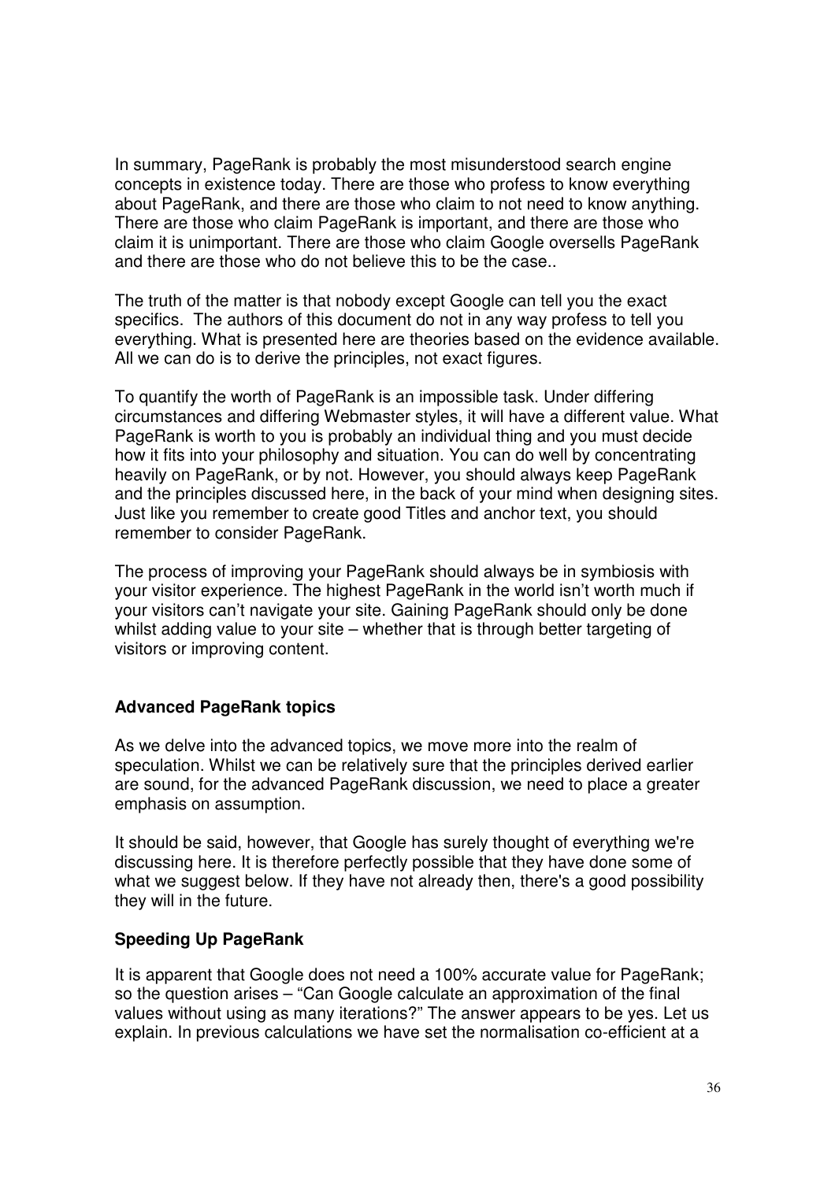In summary, PageRank is probably the most misunderstood search engine concepts in existence today. There are those who profess to know everything about PageRank, and there are those who claim to not need to know anything. There are those who claim PageRank is important, and there are those who claim it is unimportant. There are those who claim Google oversells PageRank and there are those who do not believe this to be the case..

The truth of the matter is that nobody except Google can tell you the exact specifics. The authors of this document do not in any way profess to tell you everything. What is presented here are theories based on the evidence available. All we can do is to derive the principles, not exact figures.

To quantify the worth of PageRank is an impossible task. Under differing circumstances and differing Webmaster styles, it will have a different value. What PageRank is worth to you is probably an individual thing and you must decide how it fits into your philosophy and situation. You can do well by concentrating heavily on PageRank, or by not. However, you should always keep PageRank and the principles discussed here, in the back of your mind when designing sites. Just like you remember to create good Titles and anchor text, you should remember to consider PageRank.

The process of improving your PageRank should always be in symbiosis with your visitor experience. The highest PageRank in the world isn't worth much if your visitors can't navigate your site. Gaining PageRank should only be done whilst adding value to your site – whether that is through better targeting of visitors or improving content.

# **Advanced PageRank topics**

As we delve into the advanced topics, we move more into the realm of speculation. Whilst we can be relatively sure that the principles derived earlier are sound, for the advanced PageRank discussion, we need to place a greater emphasis on assumption.

It should be said, however, that Google has surely thought of everything we're discussing here. It is therefore perfectly possible that they have done some of what we suggest below. If they have not already then, there's a good possibility they will in the future.

# **Speeding Up PageRank**

It is apparent that Google does not need a 100% accurate value for PageRank: so the question arises – "Can Google calculate an approximation of the final values without using as many iterations?" The answer appears to be yes. Let us explain. In previous calculations we have set the normalisation co-efficient at a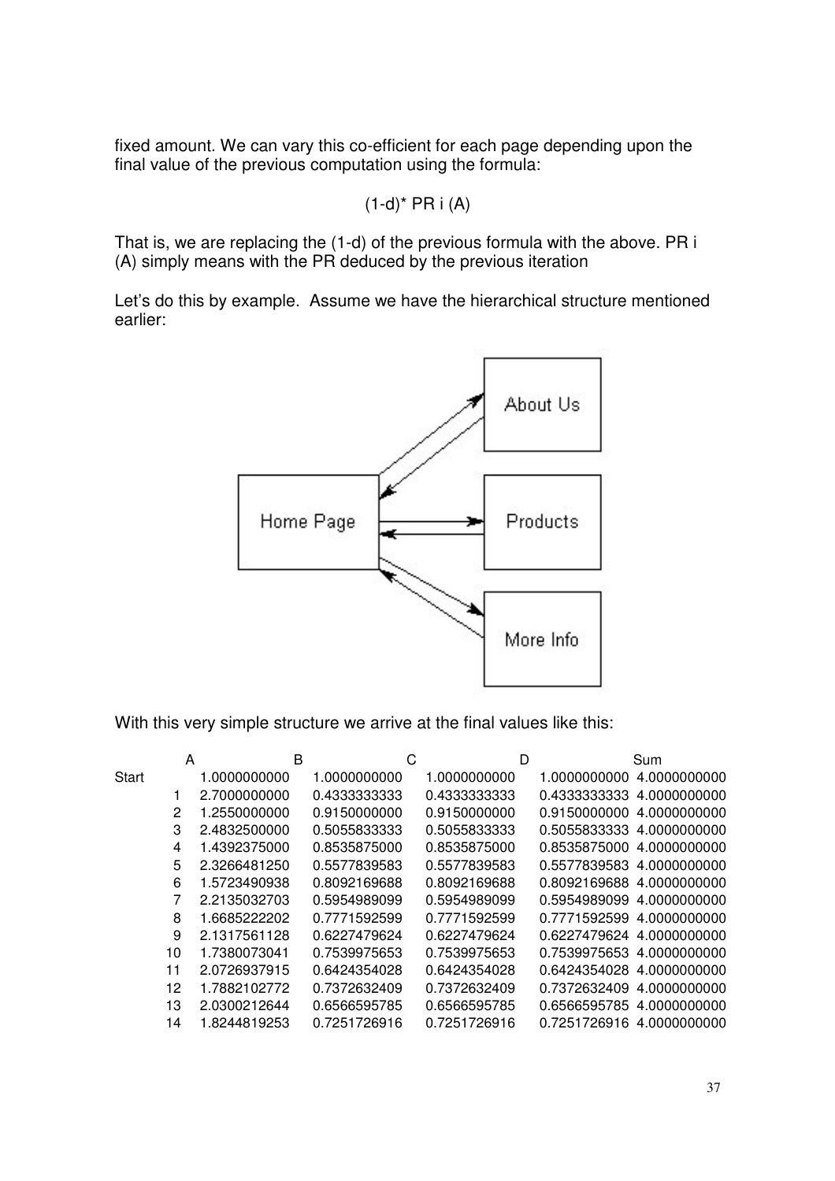fixed amount. We can vary this co-efficient for each page depending upon the final value of the previous computation using the formula:

$$
(1-d)^* PR i (A)
$$

That is, we are replacing the (1-d) of the previous formula with the above. PR i (A) simply means with the PR deduced by the previous iteration

Let's do this by example. Assume we have the hierarchical structure mentioned earlier:



With this very simple structure we arrive at the final values like this:

|              | A  |              | B |              | C |              | D |                           | Sum          |
|--------------|----|--------------|---|--------------|---|--------------|---|---------------------------|--------------|
| <b>Start</b> |    | 1.0000000000 |   | 1.0000000000 |   | 1.0000000000 |   | 1.0000000000              | 4.0000000000 |
|              |    | 2.7000000000 |   | 0.4333333333 |   | 0.4333333333 |   | 0.4333333333              | 4.0000000000 |
|              | 2  | 1.2550000000 |   | 0.9150000000 |   | 0.9150000000 |   | 0.9150000000              | 4.0000000000 |
|              | 3  | 2.4832500000 |   | 0.5055833333 |   | 0.5055833333 |   | 0.5055833333              | 4.0000000000 |
|              | 4  | 1.4392375000 |   | 0.8535875000 |   | 0.8535875000 |   | 0.8535875000              | 4.0000000000 |
|              | 5  | 2.3266481250 |   | 0.5577839583 |   | 0.5577839583 |   | 0.5577839583              | 4.0000000000 |
|              | 6  | 1.5723490938 |   | 0.8092169688 |   | 0.8092169688 |   | 0.8092169688              | 4.0000000000 |
|              |    | 2.2135032703 |   | 0.5954989099 |   | 0.5954989099 |   | 0.5954989099              | 4.0000000000 |
|              | 8  | 1.6685222202 |   | 0.7771592599 |   | 0.7771592599 |   | 0.7771592599              | 4.0000000000 |
|              | 9  | 2.1317561128 |   | 0.6227479624 |   | 0.6227479624 |   | 0.6227479624 4.0000000000 |              |
|              | 10 | 1.7380073041 |   | 0.7539975653 |   | 0.7539975653 |   | 0.7539975653 4.0000000000 |              |
|              | 11 | 2.0726937915 |   | 0.6424354028 |   | 0.6424354028 |   | 0.6424354028              | 4.0000000000 |
|              | 12 | 1.7882102772 |   | 0.7372632409 |   | 0.7372632409 |   | 0.7372632409              | 4.0000000000 |
|              | 13 | 2.0300212644 |   | 0.6566595785 |   | 0.6566595785 |   | 0.6566595785 4.0000000000 |              |
|              | 14 | 1.8244819253 |   | 0.7251726916 |   | 0.7251726916 |   | 0.7251726916 4.0000000000 |              |
|              |    |              |   |              |   |              |   |                           |              |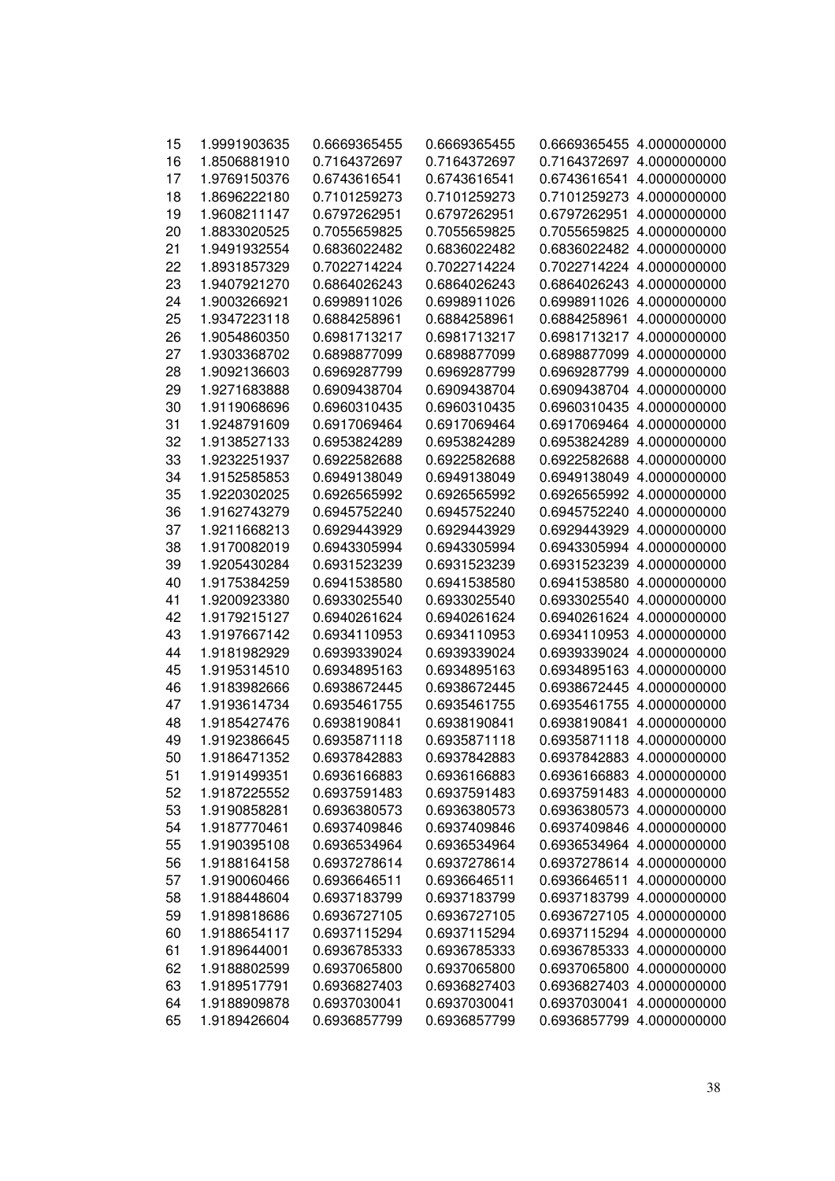| 15 | 1.9991903635 | 0.6669365455 | 0.6669365455 |              | 0.6669365455 4.0000000000 |
|----|--------------|--------------|--------------|--------------|---------------------------|
| 16 | 1.8506881910 | 0.7164372697 | 0.7164372697 |              | 0.7164372697 4.0000000000 |
| 17 | 1.9769150376 | 0.6743616541 | 0.6743616541 | 0.6743616541 | 4.0000000000              |
| 18 | 1.8696222180 | 0.7101259273 | 0.7101259273 | 0.7101259273 | 4.0000000000              |
| 19 | 1.9608211147 | 0.6797262951 | 0.6797262951 | 0.6797262951 | 4.0000000000              |
| 20 | 1.8833020525 | 0.7055659825 | 0.7055659825 | 0.7055659825 | 4.0000000000              |
| 21 | 1.9491932554 | 0.6836022482 | 0.6836022482 |              | 0.6836022482 4.0000000000 |
| 22 | 1.8931857329 | 0.7022714224 | 0.7022714224 |              | 0.7022714224 4.0000000000 |
| 23 | 1.9407921270 | 0.6864026243 | 0.6864026243 |              | 0.6864026243 4.0000000000 |
| 24 | 1.9003266921 | 0.6998911026 | 0.6998911026 |              | 0.6998911026 4.0000000000 |
| 25 | 1.9347223118 | 0.6884258961 | 0.6884258961 | 0.6884258961 | 4.0000000000              |
| 26 | 1.9054860350 | 0.6981713217 | 0.6981713217 |              | 0.6981713217 4.0000000000 |
| 27 | 1.9303368702 | 0.6898877099 | 0.6898877099 |              | 0.6898877099 4.0000000000 |
| 28 | 1.9092136603 | 0.6969287799 | 0.6969287799 | 0.6969287799 | 4.0000000000              |
| 29 | 1.9271683888 | 0.6909438704 | 0.6909438704 | 0.6909438704 | 4.0000000000              |
| 30 | 1.9119068696 | 0.6960310435 | 0.6960310435 | 0.6960310435 | 4.0000000000              |
| 31 | 1.9248791609 | 0.6917069464 | 0.6917069464 | 0.6917069464 | 4.0000000000              |
| 32 | 1.9138527133 | 0.6953824289 | 0.6953824289 | 0.6953824289 | 4.0000000000              |
| 33 | 1.9232251937 | 0.6922582688 | 0.6922582688 | 0.6922582688 | 4.0000000000              |
| 34 | 1.9152585853 | 0.6949138049 | 0.6949138049 | 0.6949138049 | 4.0000000000              |
| 35 | 1.9220302025 | 0.6926565992 | 0.6926565992 |              | 0.6926565992 4.0000000000 |
| 36 | 1.9162743279 | 0.6945752240 | 0.6945752240 |              | 0.6945752240 4.0000000000 |
| 37 | 1.9211668213 | 0.6929443929 | 0.6929443929 |              | 0.6929443929 4.0000000000 |
| 38 | 1.9170082019 | 0.6943305994 | 0.6943305994 |              | 0.6943305994 4.0000000000 |
| 39 | 1.9205430284 | 0.6931523239 | 0.6931523239 |              | 0.6931523239 4.0000000000 |
| 40 | 1.9175384259 | 0.6941538580 | 0.6941538580 |              | 0.6941538580 4.0000000000 |
| 41 | 1.9200923380 | 0.6933025540 | 0.6933025540 | 0.6933025540 | 4.0000000000              |
| 42 | 1.9179215127 | 0.6940261624 | 0.6940261624 | 0.6940261624 | 4.0000000000              |
| 43 | 1.9197667142 | 0.6934110953 | 0.6934110953 | 0.6934110953 | 4.0000000000              |
| 44 | 1.9181982929 | 0.6939339024 | 0.6939339024 | 0.6939339024 | 4.0000000000              |
| 45 | 1.9195314510 | 0.6934895163 | 0.6934895163 | 0.6934895163 | 4.0000000000              |
| 46 | 1.9183982666 | 0.6938672445 | 0.6938672445 |              | 0.6938672445 4.0000000000 |
| 47 | 1.9193614734 | 0.6935461755 | 0.6935461755 | 0.6935461755 | 4.0000000000              |
| 48 | 1.9185427476 | 0.6938190841 | 0.6938190841 | 0.6938190841 | 4.0000000000              |
| 49 | 1.9192386645 | 0.6935871118 | 0.6935871118 |              | 0.6935871118 4.0000000000 |
| 50 | 1.9186471352 | 0.6937842883 | 0.6937842883 |              | 0.6937842883 4.0000000000 |
| 51 | 1.9191499351 | 0.6936166883 | 0.6936166883 |              | 0.6936166883 4.0000000000 |
| 52 | 1.9187225552 | 0.6937591483 | 0.6937591483 |              | 0.6937591483 4.0000000000 |
| 53 | 1.9190858281 | 0.6936380573 | 0.6936380573 |              | 0.6936380573 4.0000000000 |
| 54 | 1.9187770461 | 0.6937409846 | 0.6937409846 |              | 0.6937409846 4.0000000000 |
| 55 | 1.9190395108 | 0.6936534964 | 0.6936534964 |              | 0.6936534964 4.0000000000 |
| 56 | 1.9188164158 | 0.6937278614 | 0.6937278614 |              | 0.6937278614 4.0000000000 |
| 57 | 1.9190060466 | 0.6936646511 | 0.6936646511 | 0.6936646511 | 4.0000000000              |
| 58 | 1.9188448604 | 0.6937183799 | 0.6937183799 | 0.6937183799 | 4.0000000000              |
| 59 | 1.9189818686 | 0.6936727105 | 0.6936727105 |              | 0.6936727105 4.0000000000 |
| 60 | 1.9188654117 | 0.6937115294 | 0.6937115294 |              | 0.6937115294 4.0000000000 |
| 61 | 1.9189644001 | 0.6936785333 | 0.6936785333 |              | 0.6936785333 4.0000000000 |
| 62 | 1.9188802599 | 0.6937065800 | 0.6937065800 |              | 0.6937065800 4.0000000000 |
| 63 | 1.9189517791 | 0.6936827403 | 0.6936827403 |              | 0.6936827403 4.0000000000 |
| 64 | 1.9188909878 | 0.6937030041 | 0.6937030041 | 0.6937030041 | 4.0000000000              |
| 65 | 1.9189426604 | 0.6936857799 | 0.6936857799 |              | 0.6936857799 4.0000000000 |
|    |              |              |              |              |                           |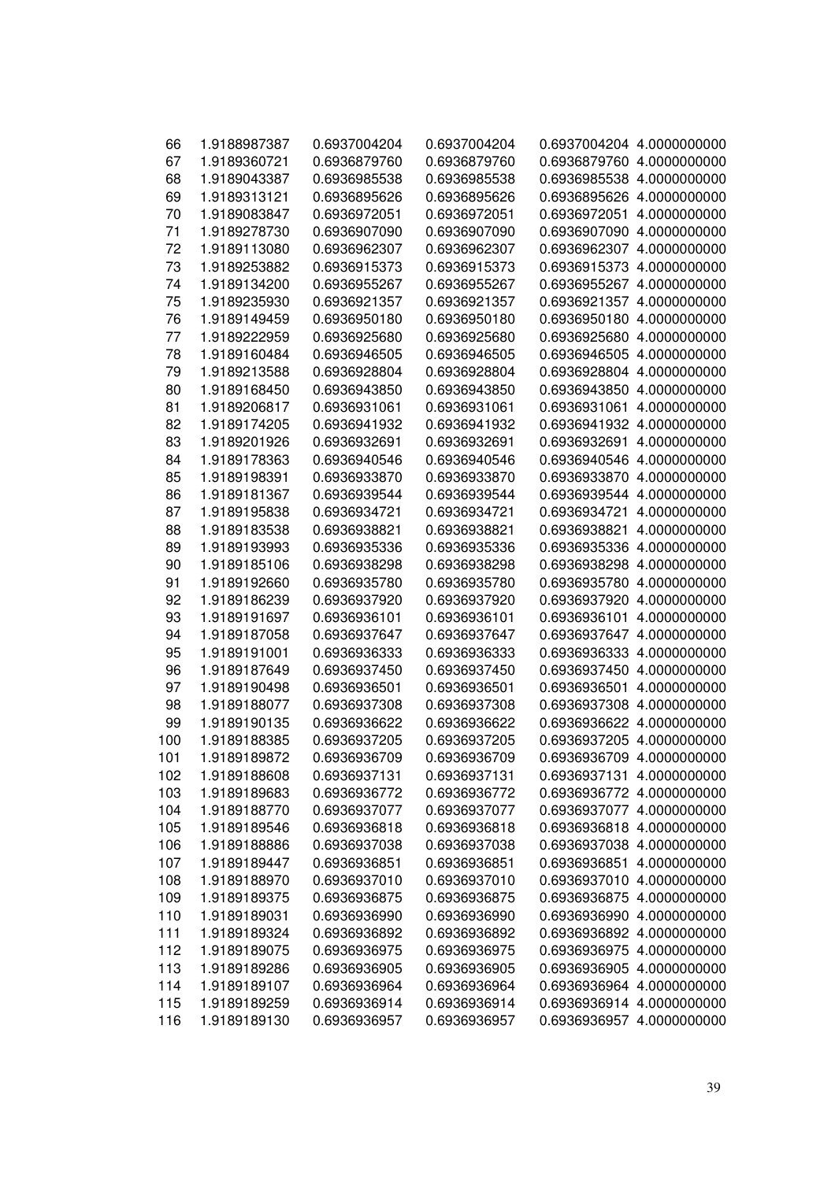| 66  | 1.9188987387 | 0.6937004204 | 0.6937004204 |              | 0.6937004204 4.0000000000 |
|-----|--------------|--------------|--------------|--------------|---------------------------|
| 67  | 1.9189360721 | 0.6936879760 | 0.6936879760 |              | 0.6936879760 4.0000000000 |
| 68  | 1.9189043387 | 0.6936985538 | 0.6936985538 | 0.6936985538 | 4.0000000000              |
| 69  | 1.9189313121 | 0.6936895626 | 0.6936895626 | 0.6936895626 | 4.0000000000              |
| 70  | 1.9189083847 | 0.6936972051 | 0.6936972051 | 0.6936972051 | 4.0000000000              |
| 71  | 1.9189278730 | 0.6936907090 | 0.6936907090 | 0.6936907090 | 4.0000000000              |
| 72  | 1.9189113080 | 0.6936962307 | 0.6936962307 | 0.6936962307 | 4.0000000000              |
| 73  | 1.9189253882 | 0.6936915373 | 0.6936915373 | 0.6936915373 | 4.0000000000              |
| 74  | 1.9189134200 | 0.6936955267 | 0.6936955267 | 0.6936955267 | 4.0000000000              |
| 75  | 1.9189235930 | 0.6936921357 | 0.6936921357 | 0.6936921357 | 4.0000000000              |
| 76  | 1.9189149459 | 0.6936950180 | 0.6936950180 | 0.6936950180 | 4.0000000000              |
| 77  | 1.9189222959 | 0.6936925680 | 0.6936925680 | 0.6936925680 | 4.0000000000              |
| 78  | 1.9189160484 | 0.6936946505 | 0.6936946505 | 0.6936946505 | 4.0000000000              |
| 79  | 1.9189213588 | 0.6936928804 | 0.6936928804 | 0.6936928804 | 4.0000000000              |
| 80  | 1.9189168450 | 0.6936943850 | 0.6936943850 | 0.6936943850 | 4.0000000000              |
| 81  | 1.9189206817 | 0.6936931061 | 0.6936931061 | 0.6936931061 | 4.0000000000              |
| 82  | 1.9189174205 | 0.6936941932 | 0.6936941932 | 0.6936941932 | 4.0000000000              |
| 83  | 1.9189201926 | 0.6936932691 | 0.6936932691 | 0.6936932691 | 4.0000000000              |
| 84  | 1.9189178363 | 0.6936940546 | 0.6936940546 | 0.6936940546 | 4.0000000000              |
| 85  | 1.9189198391 | 0.6936933870 | 0.6936933870 | 0.6936933870 | 4.0000000000              |
| 86  | 1.9189181367 | 0.6936939544 | 0.6936939544 | 0.6936939544 | 4.0000000000              |
| 87  | 1.9189195838 | 0.6936934721 | 0.6936934721 | 0.6936934721 | 4.0000000000              |
| 88  | 1.9189183538 | 0.6936938821 | 0.6936938821 | 0.6936938821 | 4.0000000000              |
| 89  | 1.9189193993 | 0.6936935336 | 0.6936935336 | 0.6936935336 | 4.0000000000              |
| 90  | 1.9189185106 | 0.6936938298 | 0.6936938298 | 0.6936938298 | 4.0000000000              |
| 91  | 1.9189192660 | 0.6936935780 | 0.6936935780 | 0.6936935780 | 4.0000000000              |
| 92  | 1.9189186239 | 0.6936937920 | 0.6936937920 | 0.6936937920 | 4.0000000000              |
| 93  | 1.9189191697 | 0.6936936101 | 0.6936936101 | 0.6936936101 | 4.0000000000              |
| 94  | 1.9189187058 | 0.6936937647 | 0.6936937647 | 0.6936937647 | 4.0000000000              |
| 95  | 1.9189191001 | 0.6936936333 | 0.6936936333 | 0.6936936333 | 4.0000000000              |
| 96  | 1.9189187649 | 0.6936937450 | 0.6936937450 | 0.6936937450 | 4.0000000000              |
| 97  | 1.9189190498 | 0.6936936501 | 0.6936936501 | 0.6936936501 | 4.0000000000              |
| 98  | 1.9189188077 | 0.6936937308 | 0.6936937308 | 0.6936937308 | 4.0000000000              |
| 99  | 1.9189190135 | 0.6936936622 | 0.6936936622 | 0.6936936622 | 4.0000000000              |
| 100 | 1.9189188385 | 0.6936937205 | 0.6936937205 | 0.6936937205 | 4.0000000000              |
| 101 | 1.9189189872 | 0.6936936709 | 0.6936936709 |              | 0.6936936709 4.0000000000 |
| 102 | 1.9189188608 | 0.6936937131 | 0.6936937131 |              | 0.6936937131 4.0000000000 |
| 103 | 1.9189189683 | 0.6936936772 | 0.6936936772 | 0.6936936772 | 4.0000000000              |
| 104 | 1.9189188770 | 0.6936937077 | 0.6936937077 | 0.6936937077 | 4.0000000000              |
| 105 | 1.9189189546 | 0.6936936818 | 0.6936936818 | 0.6936936818 | 4.0000000000              |
| 106 | 1.9189188886 | 0.6936937038 | 0.6936937038 | 0.6936937038 | 4.0000000000              |
| 107 | 1.9189189447 | 0.6936936851 | 0.6936936851 | 0.6936936851 | 4.0000000000              |
| 108 | 1.9189188970 | 0.6936937010 | 0.6936937010 | 0.6936937010 | 4.0000000000              |
| 109 | 1.9189189375 | 0.6936936875 | 0.6936936875 | 0.6936936875 | 4.0000000000              |
| 110 | 1.9189189031 | 0.6936936990 | 0.6936936990 | 0.6936936990 | 4.0000000000              |
| 111 | 1.9189189324 | 0.6936936892 | 0.6936936892 |              | 0.6936936892 4.0000000000 |
| 112 | 1.9189189075 | 0.6936936975 | 0.6936936975 | 0.6936936975 | 4.0000000000              |
| 113 | 1.9189189286 | 0.6936936905 | 0.6936936905 | 0.6936936905 | 4.0000000000              |
| 114 | 1.9189189107 | 0.6936936964 | 0.6936936964 | 0.6936936964 | 4.0000000000              |
| 115 | 1.9189189259 | 0.6936936914 | 0.6936936914 | 0.6936936914 | 4.0000000000              |
| 116 | 1.9189189130 | 0.6936936957 | 0.6936936957 | 0.6936936957 | 4.0000000000              |
|     |              |              |              |              |                           |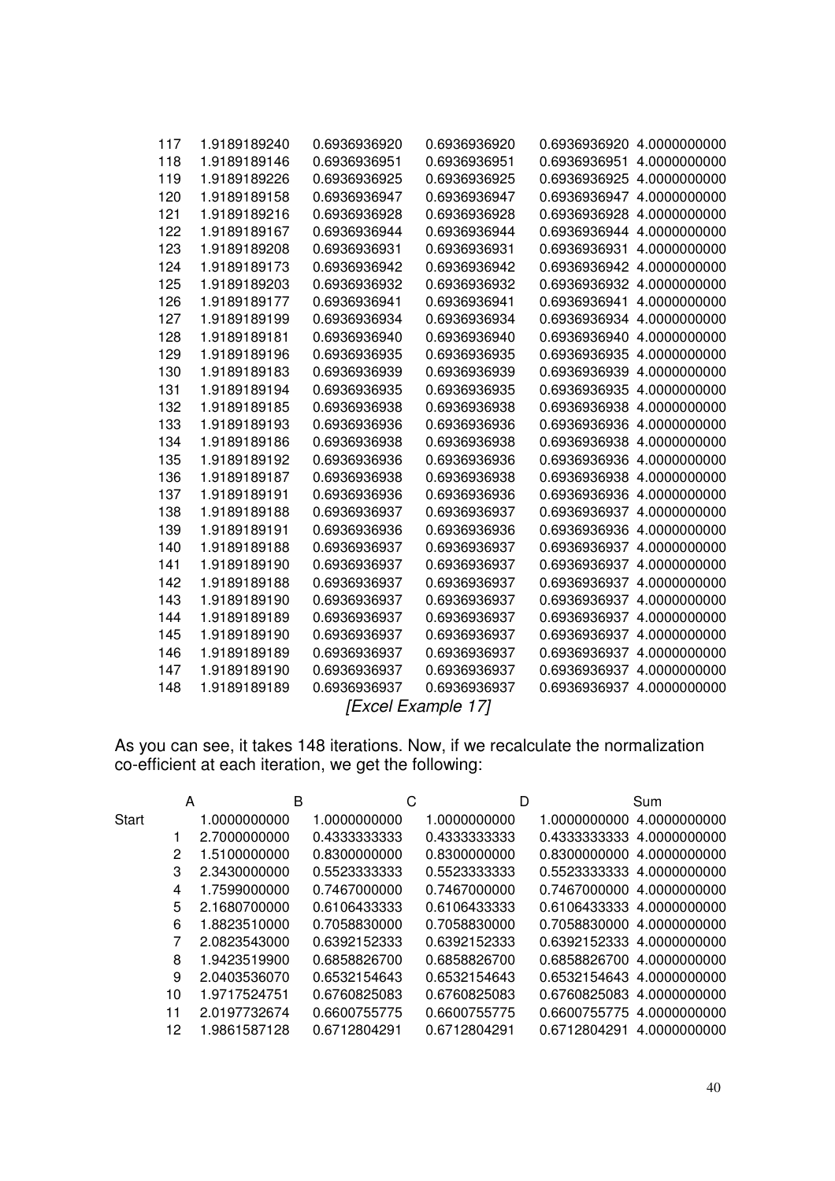| 117                | 1.9189189240 | 0.6936936920 | 0.6936936920 | 0.6936936920 | 4.0000000000 |  |  |
|--------------------|--------------|--------------|--------------|--------------|--------------|--|--|
| 118                | 1.9189189146 | 0.6936936951 | 0.6936936951 | 0.6936936951 | 4.0000000000 |  |  |
| 119                | 1.9189189226 | 0.6936936925 | 0.6936936925 | 0.6936936925 | 4.0000000000 |  |  |
| 120                | 1.9189189158 | 0.6936936947 | 0.6936936947 | 0.6936936947 | 4.0000000000 |  |  |
| 121                | 1.9189189216 | 0.6936936928 | 0.6936936928 | 0.6936936928 | 4.0000000000 |  |  |
| 122                | 1.9189189167 | 0.6936936944 | 0.6936936944 | 0.6936936944 | 4.0000000000 |  |  |
| 123                | 1.9189189208 | 0.6936936931 | 0.6936936931 | 0.6936936931 | 4.0000000000 |  |  |
| 124                | 1.9189189173 | 0.6936936942 | 0.6936936942 | 0.6936936942 | 4.0000000000 |  |  |
| 125                | 1.9189189203 | 0.6936936932 | 0.6936936932 | 0.6936936932 | 4.0000000000 |  |  |
| 126                | 1.9189189177 | 0.6936936941 | 0.6936936941 | 0.6936936941 | 4.0000000000 |  |  |
| 127                | 1.9189189199 | 0.6936936934 | 0.6936936934 | 0.6936936934 | 4.0000000000 |  |  |
| 128                | 1.9189189181 | 0.6936936940 | 0.6936936940 | 0.6936936940 | 4.0000000000 |  |  |
| 129                | 1.9189189196 | 0.6936936935 | 0.6936936935 | 0.6936936935 | 4.0000000000 |  |  |
| 130                | 1.9189189183 | 0.6936936939 | 0.6936936939 | 0.6936936939 | 4.0000000000 |  |  |
| 131                | 1.9189189194 | 0.6936936935 | 0.6936936935 | 0.6936936935 | 4.0000000000 |  |  |
| 132                | 1.9189189185 | 0.6936936938 | 0.6936936938 | 0.6936936938 | 4.0000000000 |  |  |
| 133                | 1.9189189193 | 0.6936936936 | 0.6936936936 | 0.6936936936 | 4.0000000000 |  |  |
| 134                | 1.9189189186 | 0.6936936938 | 0.6936936938 | 0.6936936938 | 4.0000000000 |  |  |
| 135                | 1.9189189192 | 0.6936936936 | 0.6936936936 | 0.6936936936 | 4.0000000000 |  |  |
| 136                | 1.9189189187 | 0.6936936938 | 0.6936936938 | 0.6936936938 | 4.0000000000 |  |  |
| 137                | 1.9189189191 | 0.6936936936 | 0.6936936936 | 0.6936936936 | 4.0000000000 |  |  |
| 138                | 1.9189189188 | 0.6936936937 | 0.6936936937 | 0.6936936937 | 4.0000000000 |  |  |
| 139                | 1.9189189191 | 0.6936936936 | 0.6936936936 | 0.6936936936 | 4.0000000000 |  |  |
| 140                | 1.9189189188 | 0.6936936937 | 0.6936936937 | 0.6936936937 | 4.0000000000 |  |  |
| 141                | 1.9189189190 | 0.6936936937 | 0.6936936937 | 0.6936936937 | 4.0000000000 |  |  |
| 142                | 1.9189189188 | 0.6936936937 | 0.6936936937 | 0.6936936937 | 4.0000000000 |  |  |
| 143                | 1.9189189190 | 0.6936936937 | 0.6936936937 | 0.6936936937 | 4.0000000000 |  |  |
| 144                | 1.9189189189 | 0.6936936937 | 0.6936936937 | 0.6936936937 | 4.0000000000 |  |  |
| 145                | 1.9189189190 | 0.6936936937 | 0.6936936937 | 0.6936936937 | 4.0000000000 |  |  |
| 146                | 1.9189189189 | 0.6936936937 | 0.6936936937 | 0.6936936937 | 4.0000000000 |  |  |
| 147                | 1.9189189190 | 0.6936936937 | 0.6936936937 | 0.6936936937 | 4.0000000000 |  |  |
| 148                | 1.9189189189 | 0.6936936937 | 0.6936936937 | 0.6936936937 | 4.0000000000 |  |  |
| [Excel Example 17] |              |              |              |              |              |  |  |

As you can see, it takes 148 iterations. Now, if we recalculate the normalization co-efficient at each iteration, we get the following:

|       | A   | B            |              | С |              | D |                            | Sum          |
|-------|-----|--------------|--------------|---|--------------|---|----------------------------|--------------|
| Start |     | 1.0000000000 | 1.0000000000 |   | 1.0000000000 |   | 1.0000000000               | 4.0000000000 |
|       |     | 2.7000000000 | 0.4333333333 |   | 0.4333333333 |   | 0.43333333333 4.0000000000 |              |
|       | 2   | 1.5100000000 | 0.8300000000 |   | 0.8300000000 |   | 0.8300000000               | 4.0000000000 |
|       | 3   | 2.3430000000 | 0.5523333333 |   | 0.5523333333 |   | 0.55233333333 4.0000000000 |              |
|       | 4   | 1.7599000000 | 0.7467000000 |   | 0.7467000000 |   | 0.7467000000 4.0000000000  |              |
|       | 5   | 2.1680700000 | 0.6106433333 |   | 0.6106433333 |   | 0.6106433333 4.0000000000  |              |
|       | 6   | 1.8823510000 | 0.7058830000 |   | 0.7058830000 |   | 0.7058830000               | 4.0000000000 |
|       |     | 2.0823543000 | 0.6392152333 |   | 0.6392152333 |   | 0.6392152333 4.0000000000  |              |
|       | 8   | 1.9423519900 | 0.6858826700 |   | 0.6858826700 |   | 0.6858826700 4.0000000000  |              |
|       | 9   | 2.0403536070 | 0.6532154643 |   | 0.6532154643 |   | 0.6532154643 4.0000000000  |              |
|       | 10  | 1.9717524751 | 0.6760825083 |   | 0.6760825083 |   | 0.6760825083               | 4.0000000000 |
|       | 11  | 2.0197732674 | 0.6600755775 |   | 0.6600755775 |   | 0.6600755775 4.0000000000  |              |
|       | 12. | 1.9861587128 | 0.6712804291 |   | 0.6712804291 |   | 0.6712804291               | 4.0000000000 |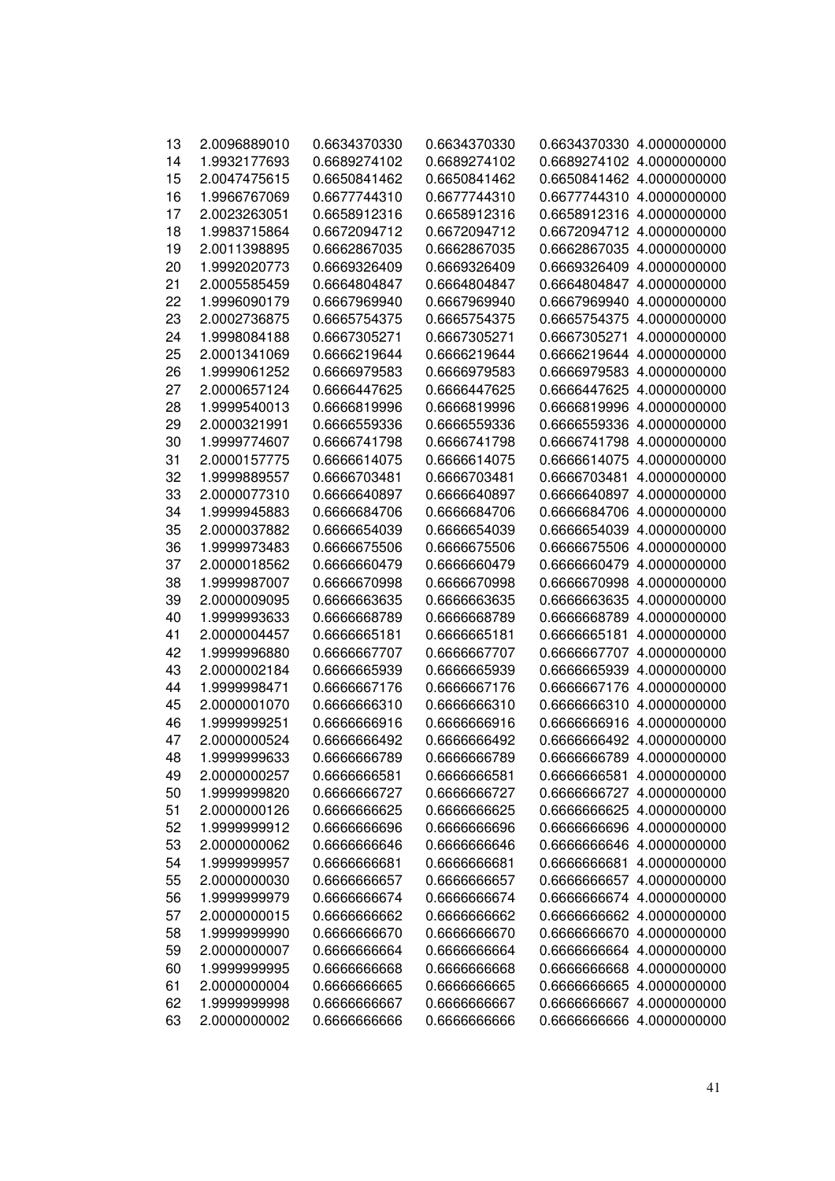| 13 | 2.0096889010 | 0.6634370330 | 0.6634370330 |              | 0.6634370330 4.0000000000 |
|----|--------------|--------------|--------------|--------------|---------------------------|
| 14 | 1.9932177693 | 0.6689274102 | 0.6689274102 |              | 0.6689274102 4.0000000000 |
| 15 | 2.0047475615 | 0.6650841462 | 0.6650841462 |              | 0.6650841462 4.0000000000 |
| 16 | 1.9966767069 | 0.6677744310 | 0.6677744310 | 0.6677744310 | 4.0000000000              |
| 17 | 2.0023263051 | 0.6658912316 | 0.6658912316 |              | 0.6658912316 4.0000000000 |
| 18 | 1.9983715864 | 0.6672094712 | 0.6672094712 |              | 0.6672094712 4.0000000000 |
| 19 | 2.0011398895 | 0.6662867035 | 0.6662867035 | 0.6662867035 | 4.0000000000              |
| 20 | 1.9992020773 | 0.6669326409 | 0.6669326409 | 0.6669326409 | 4.0000000000              |
| 21 | 2.0005585459 | 0.6664804847 | 0.6664804847 | 0.6664804847 | 4.0000000000              |
| 22 | 1.9996090179 | 0.6667969940 | 0.6667969940 | 0.6667969940 | 4.0000000000              |
| 23 | 2.0002736875 | 0.6665754375 | 0.6665754375 |              | 0.6665754375 4.0000000000 |
| 24 | 1.9998084188 | 0.6667305271 | 0.6667305271 | 0.6667305271 | 4.0000000000              |
| 25 | 2.0001341069 | 0.6666219644 | 0.6666219644 |              | 0.6666219644 4.0000000000 |
| 26 | 1.9999061252 | 0.6666979583 | 0.6666979583 |              | 0.6666979583 4.0000000000 |
| 27 | 2.0000657124 | 0.6666447625 | 0.6666447625 | 0.6666447625 | 4.0000000000              |
| 28 | 1.9999540013 | 0.6666819996 | 0.6666819996 | 0.6666819996 | 4.0000000000              |
| 29 | 2.0000321991 | 0.6666559336 | 0.6666559336 | 0.6666559336 | 4.0000000000              |
| 30 | 1.9999774607 | 0.6666741798 | 0.6666741798 | 0.6666741798 | 4.0000000000              |
| 31 | 2.0000157775 | 0.6666614075 | 0.6666614075 | 0.6666614075 | 4.0000000000              |
| 32 | 1.9999889557 | 0.6666703481 | 0.6666703481 | 0.6666703481 | 4.0000000000              |
| 33 | 2.0000077310 | 0.6666640897 | 0.6666640897 | 0.6666640897 | 4.0000000000              |
| 34 | 1.9999945883 | 0.6666684706 | 0.6666684706 | 0.6666684706 | 4.0000000000              |
| 35 | 2.0000037882 | 0.6666654039 | 0.6666654039 | 0.6666654039 | 4.0000000000              |
| 36 | 1.9999973483 | 0.6666675506 | 0.6666675506 | 0.6666675506 | 4.0000000000              |
| 37 | 2.0000018562 | 0.666660479  | 0.666660479  | 0.666660479  | 4.0000000000              |
| 38 | 1.9999987007 | 0.6666670998 | 0.6666670998 | 0.6666670998 | 4.0000000000              |
| 39 | 2.0000009095 | 0.6666663635 | 0.6666663635 | 0.6666663635 | 4.0000000000              |
| 40 | 1.9999993633 | 0.6666668789 | 0.6666668789 | 0.666668789  | 4.0000000000              |
| 41 | 2.0000004457 | 0.6666665181 | 0.6666665181 | 0.6666665181 | 4.0000000000              |
| 42 | 1.9999996880 | 0.6666667707 | 0.6666667707 | 0.6666667707 | 4.0000000000              |
| 43 | 2.0000002184 | 0.6666665939 | 0.6666665939 | 0.666665939  | 4.0000000000              |
| 44 | 1.9999998471 | 0.6666667176 | 0.6666667176 | 0.6666667176 | 4.0000000000              |
| 45 | 2.0000001070 | 0.6666666310 | 0.6666666310 | 0.666666310  | 4.0000000000              |
| 46 | 1.9999999251 | 0.666666916  | 0.666666916  | 0.666666916  | 4.0000000000              |
| 47 | 2.0000000524 | 0.666666492  | 0.666666492  | 0.666666492  | 4.0000000000              |
| 48 | 1.9999999633 | 0.666666789  | 0.6666666789 |              | 0.6666666789 4.0000000000 |
| 49 | 2.0000000257 | 0.6666666581 | 0.6666666581 | 0.666666581  | 4.0000000000              |
| 50 | 1.9999999820 | 0.6666666727 | 0.6666666727 | 0.6666666727 | 4.0000000000              |
| 51 | 2.0000000126 | 0.666666625  | 0.666666625  | 0.666666625  | 4.0000000000              |
| 52 | 1.9999999912 | 0.666666696  | 0.666666696  | 0.666666696  | 4.0000000000              |
| 53 | 2.0000000062 | 0.666666646  | 0.666666646  | 0.666666646  | 4.0000000000              |
| 54 | 1.9999999957 | 0.666666681  | 0.666666681  | 0.666666681  | 4.0000000000              |
| 55 | 2.0000000030 | 0.666666657  | 0.666666657  | 0.666666657  | 4.0000000000              |
| 56 | 1.9999999979 | 0.666666674  | 0.666666674  | 0.666666674  | 4.0000000000              |
| 57 | 2.0000000015 | 0.666666662  | 0.666666662  |              | 0.6666666662 4.0000000000 |
| 58 | 1.999999990  | 0.666666670  | 0.666666670  | 0.666666670  | 4.0000000000              |
| 59 | 2.0000000007 | 0.666666664  | 0.666666664  |              | 0.6666666664 4.0000000000 |
| 60 | 1.999999995  | 0.666666668  | 0.666666668  |              | 0.6666666668 4.0000000000 |
| 61 | 2.0000000004 | 0.666666665  | 0.666666665  |              | 0.6666666665 4.0000000000 |
| 62 | 1.999999998  | 0.666666667  | 0.666666667  |              | 0.6666666667 4.0000000000 |
| 63 | 2.000000002  | 0.666666666  | 0.666666666  |              | 0.6666666666 4.0000000000 |
|    |              |              |              |              |                           |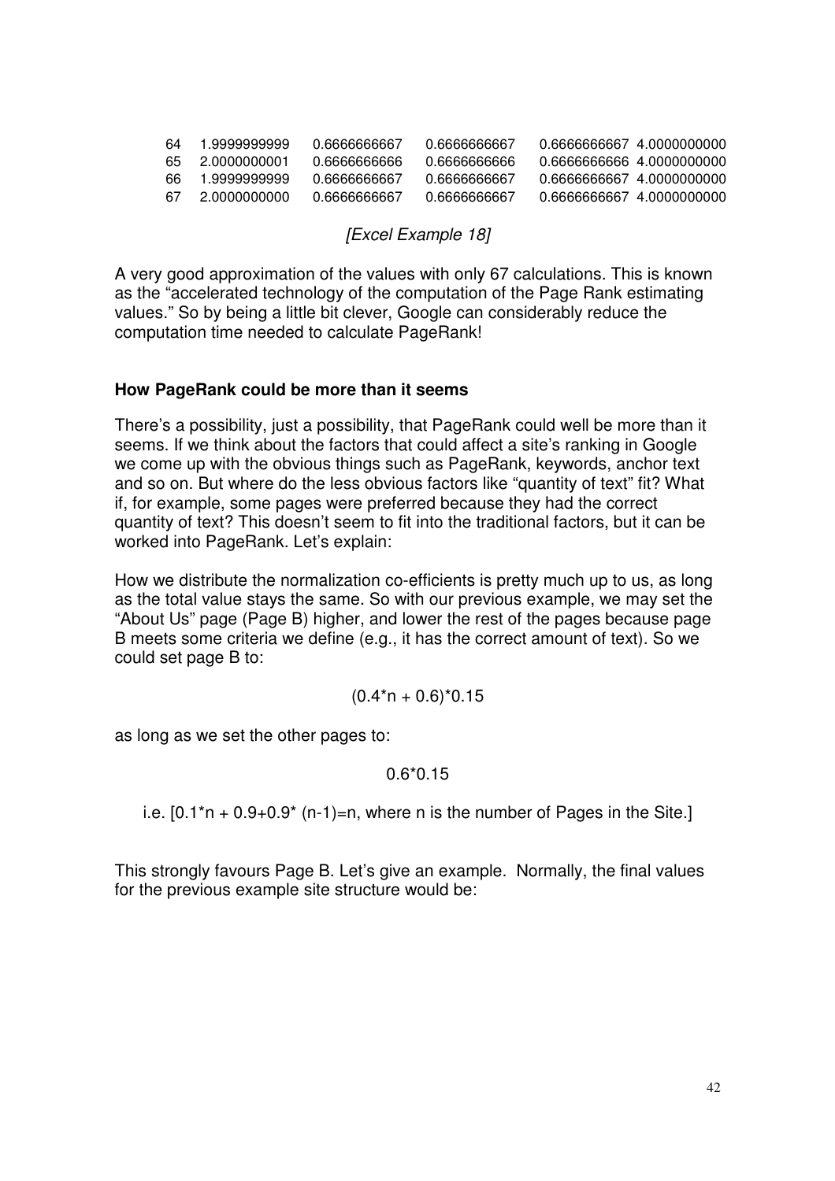| 64  | 1.9999999999  | 0 6666666667 | 0 6666666667 | 0.6666666667 4.0000000000  |  |
|-----|---------------|--------------|--------------|----------------------------|--|
| 65. | -2 0000000001 | 0 6666666666 | 0 6666666666 | 0 6666666666 4 0000000000  |  |
| 66. | 1.9999999999  | 0 6666666667 | 0 6666666667 | 0.6666666667 4.0000000000  |  |
| -67 | 2 0000000000  | 0 6666666667 | 0 6666666667 | 0 66666666667 4 0000000000 |  |

#### *[Excel Example 18]*

A very good approximation of the values with only 67 calculations. This is known as the "accelerated technology of the computation of the Page Rank estimating values." So by being a little bit clever, Google can considerably reduce the computation time needed to calculate PageRank!

#### **How PageRank could be more than it seems**

There's a possibility, just a possibility, that PageRank could well be more than it seems. If we think about the factors that could affect a site's ranking in Google we come up with the obvious things such as PageRank, keywords, anchor text and so on. But where do the less obvious factors like "quantity of text" fit? What if, for example, some pages were preferred because they had the correct quantity of text? This doesn't seem to fit into the traditional factors, but it can be worked into PageRank. Let's explain:

How we distribute the normalization co-efficients is pretty much up to us, as long as the total value stays the same. So with our previous example, we may set the "About Us" page (Page B) higher, and lower the rest of the pages because page B meets some criteria we define (e.g., it has the correct amount of text). So we could set page B to:

$$
(0.4*n + 0.6)*0.15
$$

as long as we set the other pages to:

#### 0.6\*0.15

i.e.  $[0.1<sup>*</sup>n + 0.9 + 0.9<sup>*</sup> (n-1)=n$ , where n is the number of Pages in the Site.]

This strongly favours Page B. Let's give an example. Normally, the final values for the previous example site structure would be: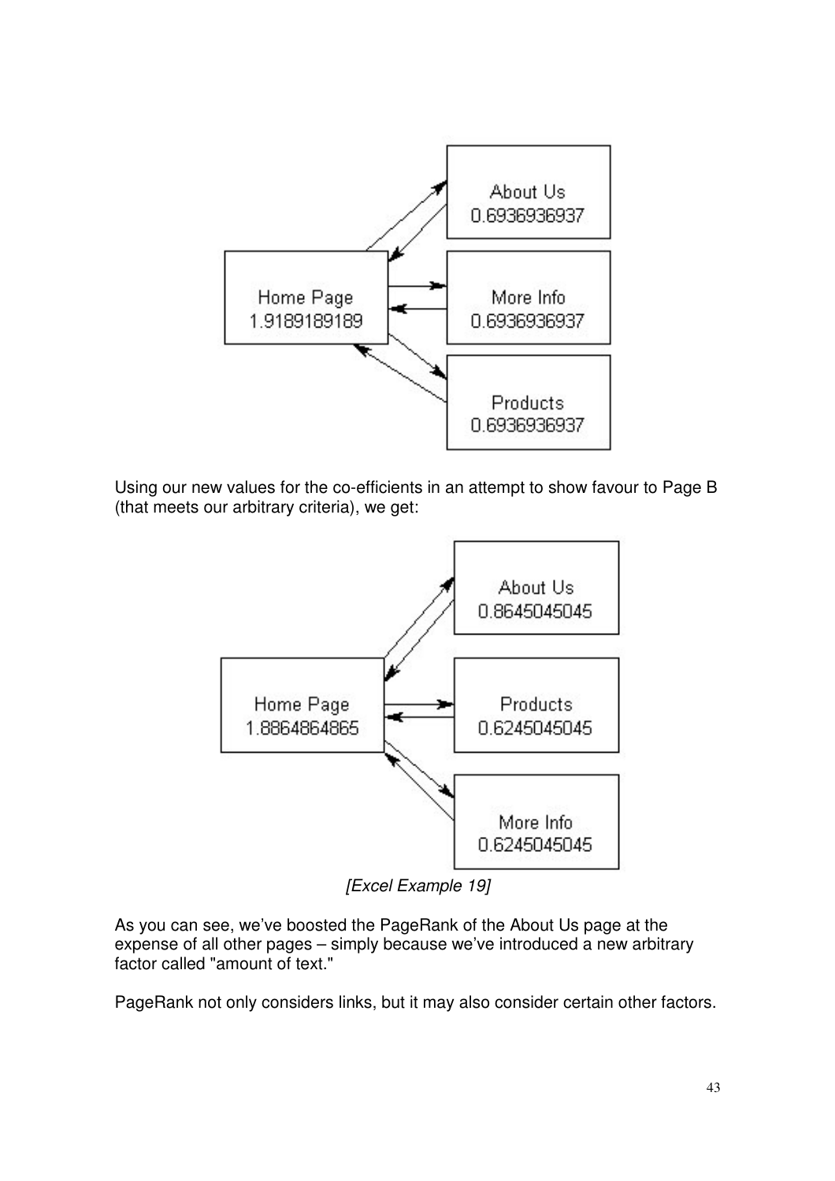

Using our new values for the co-efficients in an attempt to show favour to Page B (that meets our arbitrary criteria), we get:



*[Excel Example 19]*

As you can see, we've boosted the PageRank of the About Us page at the expense of all other pages – simply because we've introduced a new arbitrary factor called "amount of text."

PageRank not only considers links, but it may also consider certain other factors.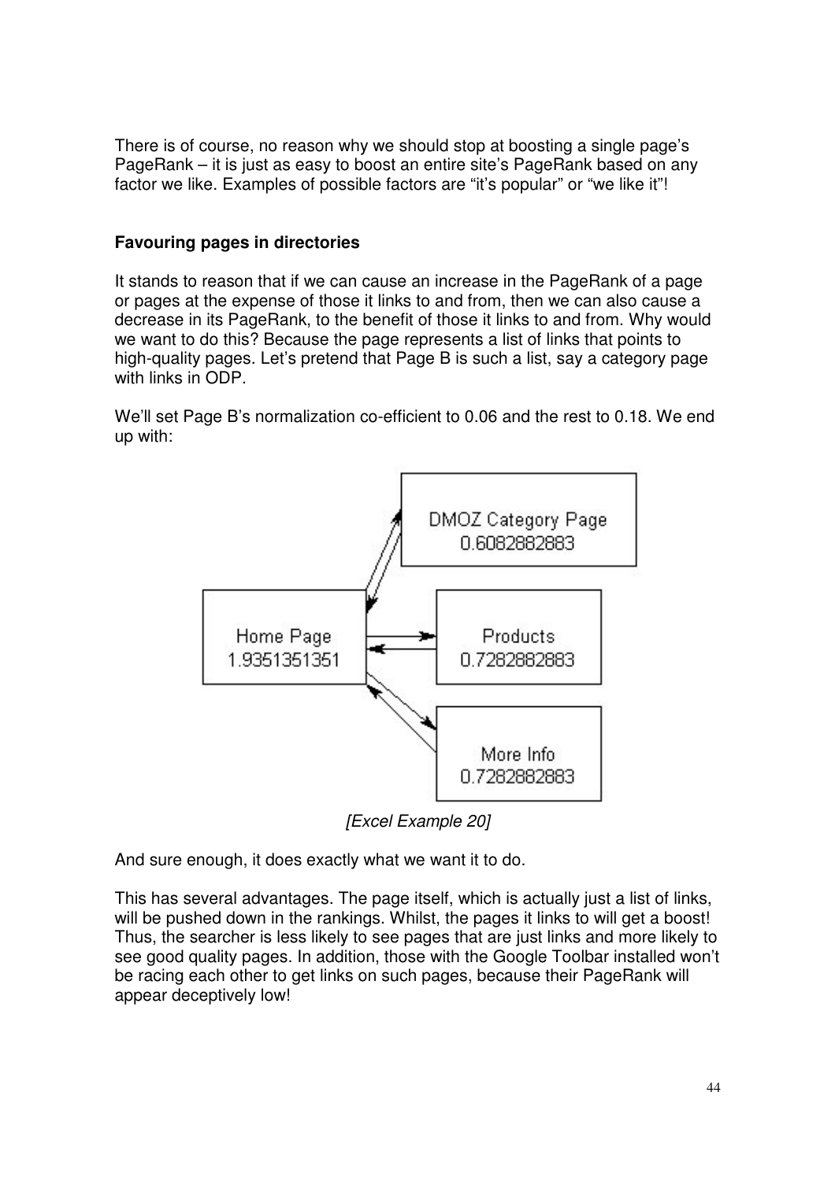There is of course, no reason why we should stop at boosting a single page's PageRank – it is just as easy to boost an entire site's PageRank based on any factor we like. Examples of possible factors are "it's popular" or "we like it"!

# **Favouring pages in directories**

It stands to reason that if we can cause an increase in the PageRank of a page or pages at the expense of those it links to and from, then we can also cause a decrease in its PageRank, to the benefit of those it links to and from. Why would we want to do this? Because the page represents a list of links that points to high-quality pages. Let's pretend that Page B is such a list, say a category page with links in ODP.

We'll set Page B's normalization co-efficient to 0.06 and the rest to 0.18. We end up with:



*[Excel Example 20]*

And sure enough, it does exactly what we want it to do.

This has several advantages. The page itself, which is actually just a list of links, will be pushed down in the rankings. Whilst, the pages it links to will get a boost! Thus, the searcher is less likely to see pages that are just links and more likely to see good quality pages. In addition, those with the Google Toolbar installed won't be racing each other to get links on such pages, because their PageRank will appear deceptively low!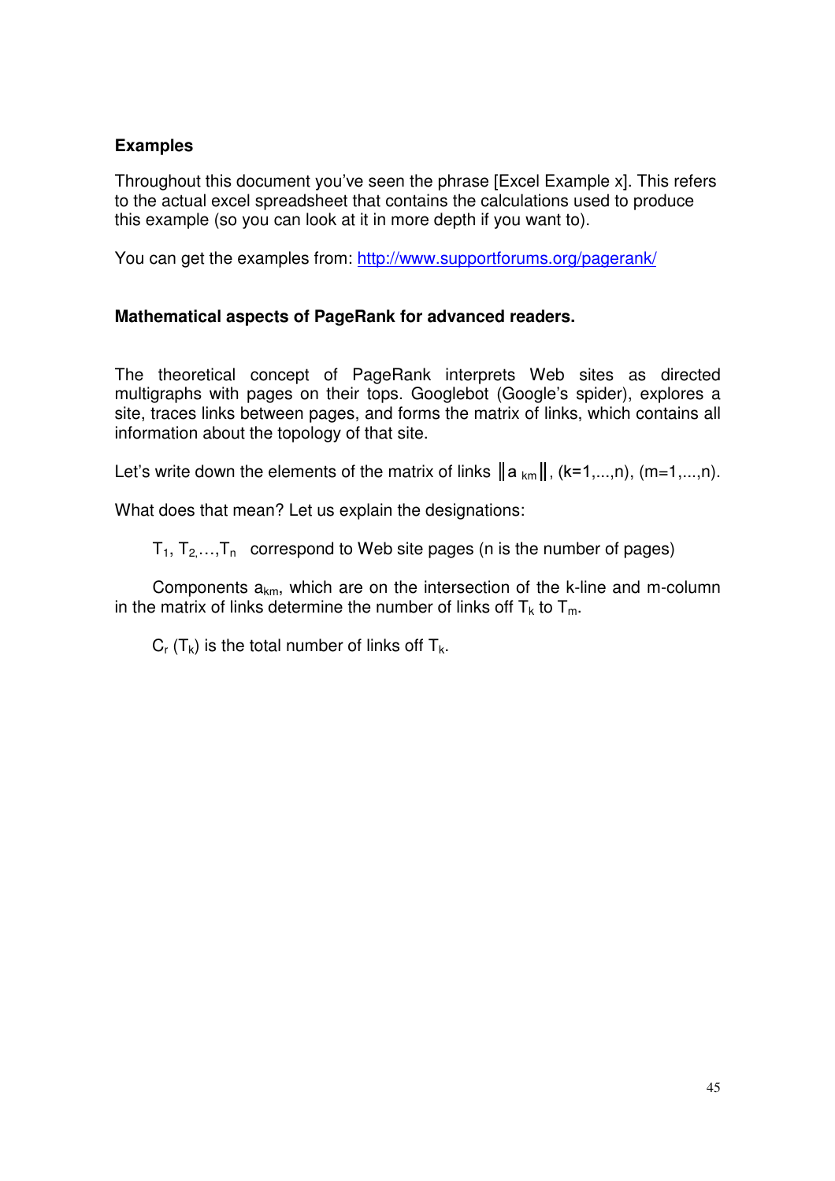# **Examples**

Throughout this document you've seen the phrase [Excel Example x]. This refers to the actual excel spreadsheet that contains the calculations used to produce this example (so you can look at it in more depth if you want to).

You can get the examples from: <http://www.supportforums.org/pagerank/>

# **Mathematical aspects of PageRank for advanced readers.**

The theoretical concept of PageRank interprets Web sites as directed multigraphs with pages on their tops. Googlebot (Google's spider), explores a site, traces links between pages, and forms the matrix of links, which contains all information about the topology of that site.

Let's write down the elements of the matrix of links  $\|a_{km}\|$ , (k=1,...,n), (m=1,...,n).

What does that mean? Let us explain the designations:

 $T_1, T_2, \ldots, T_n$  correspond to Web site pages (n is the number of pages)

Components  $a_{km}$ , which are on the intersection of the k-line and m-column in the matrix of links determine the number of links off  $T_k$  to  $T_m$ .

 $C_r$  (T<sub>k</sub>) is the total number of links off T<sub>k</sub>.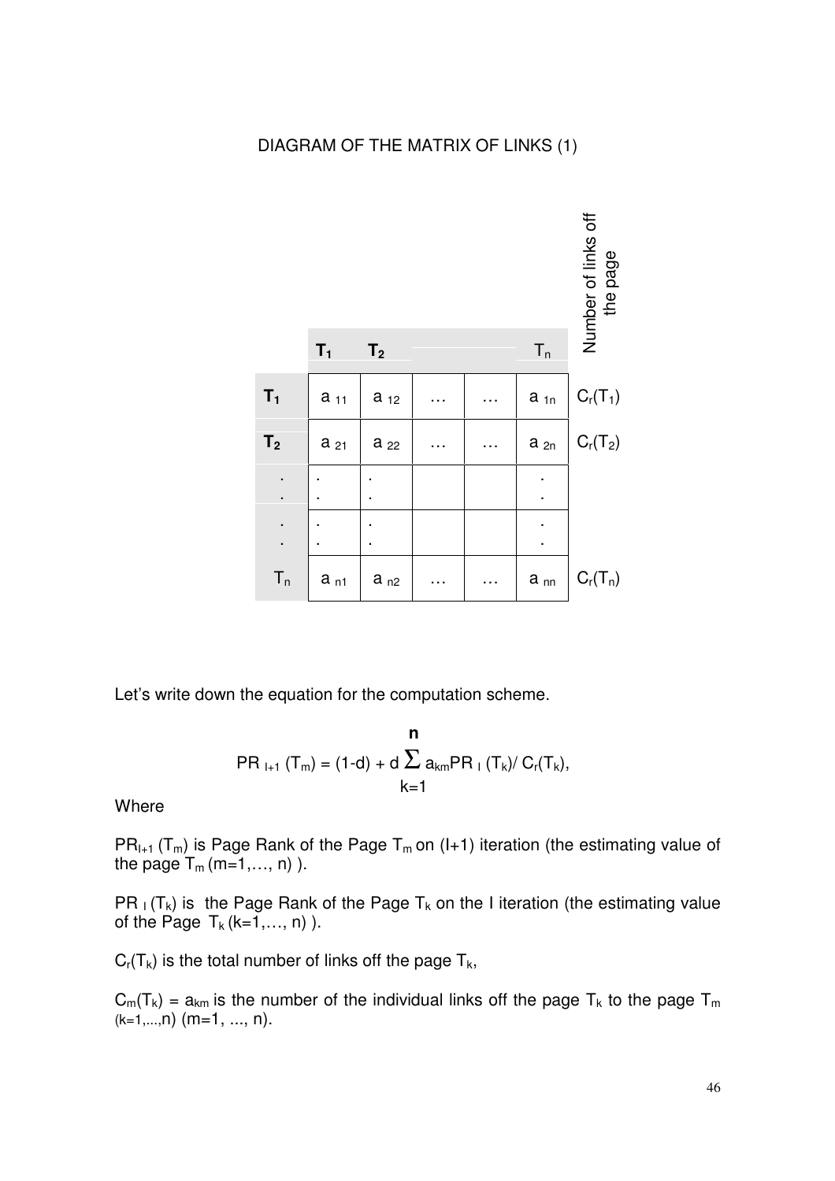# DIAGRAM OF THE MATRIX OF LINKS (1)



Let's write down the equation for the computation scheme.

$$
\begin{aligned} \mathbf{n} \\ \mathbf{PR}_{l+1} (T_m) &= (1 \text{-} d) + d \sum_{k=1}^n a_{km} \mathbf{PR}_l (T_k) / C_r(T_k), \end{aligned}
$$

**Where** 

 $PR_{l+1}$  (T<sub>m</sub>) is Page Rank of the Page T<sub>m</sub> on (I+1) iteration (the estimating value of the page  $T_m$  (m=1,..., n) ).

PR  $_I$  (T<sub>k</sub>) is the Page Rank of the Page T<sub>k</sub> on the I iteration (the estimating value of the Page  $T_k$  (k=1,..., n) ).

 $C_r(T_k)$  is the total number of links off the page  $T_k$ ,

 $C_m(T_k) = a_{km}$  is the number of the individual links off the page  $T_k$  to the page  $T_m$  $(k=1,...,n)$  (m=1, ..., n).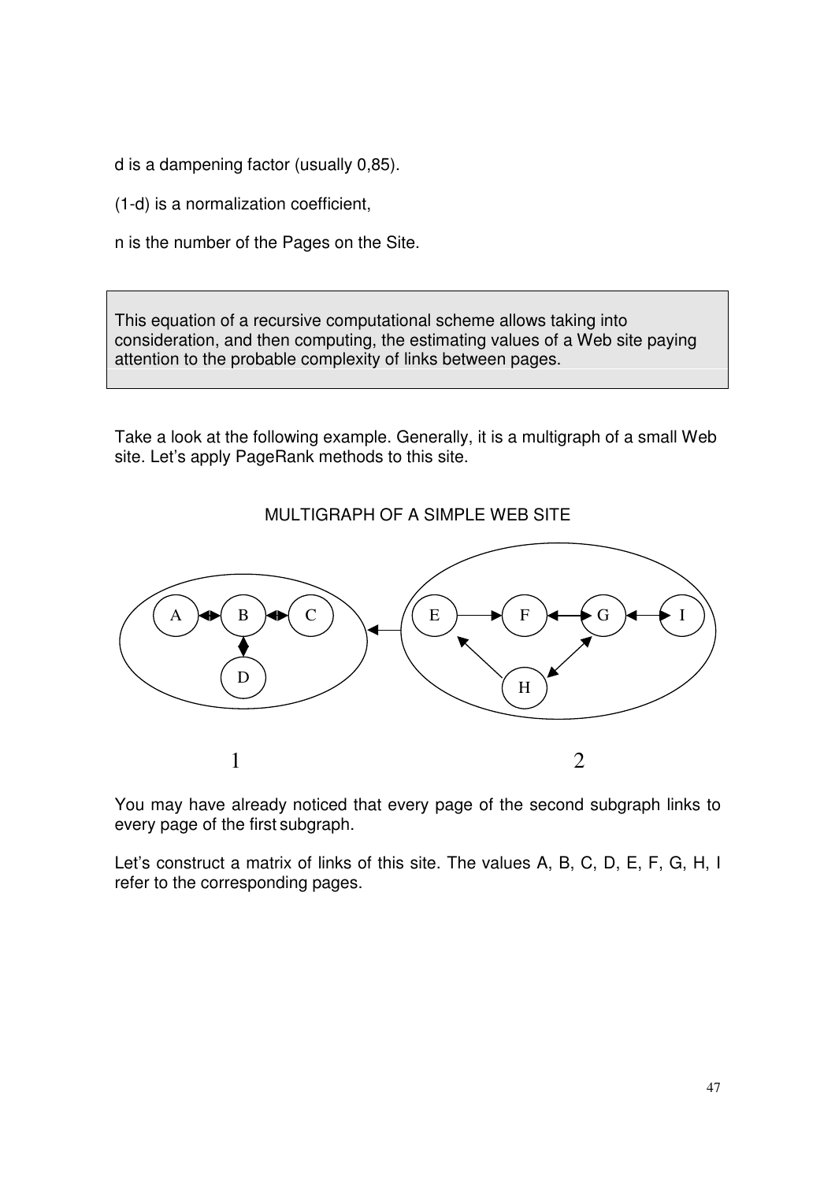d is a dampening factor (usually 0,85).

(1-d) is a normalization coefficient,

n is the number of the Pages on the Site.

This equation of a recursive computational scheme allows taking into consideration, and then computing, the estimating values of a Web site paying attention to the probable complexity of links between pages.

Take a look at the following example. Generally, it is a multigraph of a small Web site. Let's apply PageRank methods to this site.



MULTIGRAPH OF A SIMPLE WEB SITE

You may have already noticed that every page of the second subgraph links to every page of the first subgraph.

Let's construct a matrix of links of this site. The values A, B, C, D, E, F, G, H, I refer to the corresponding pages.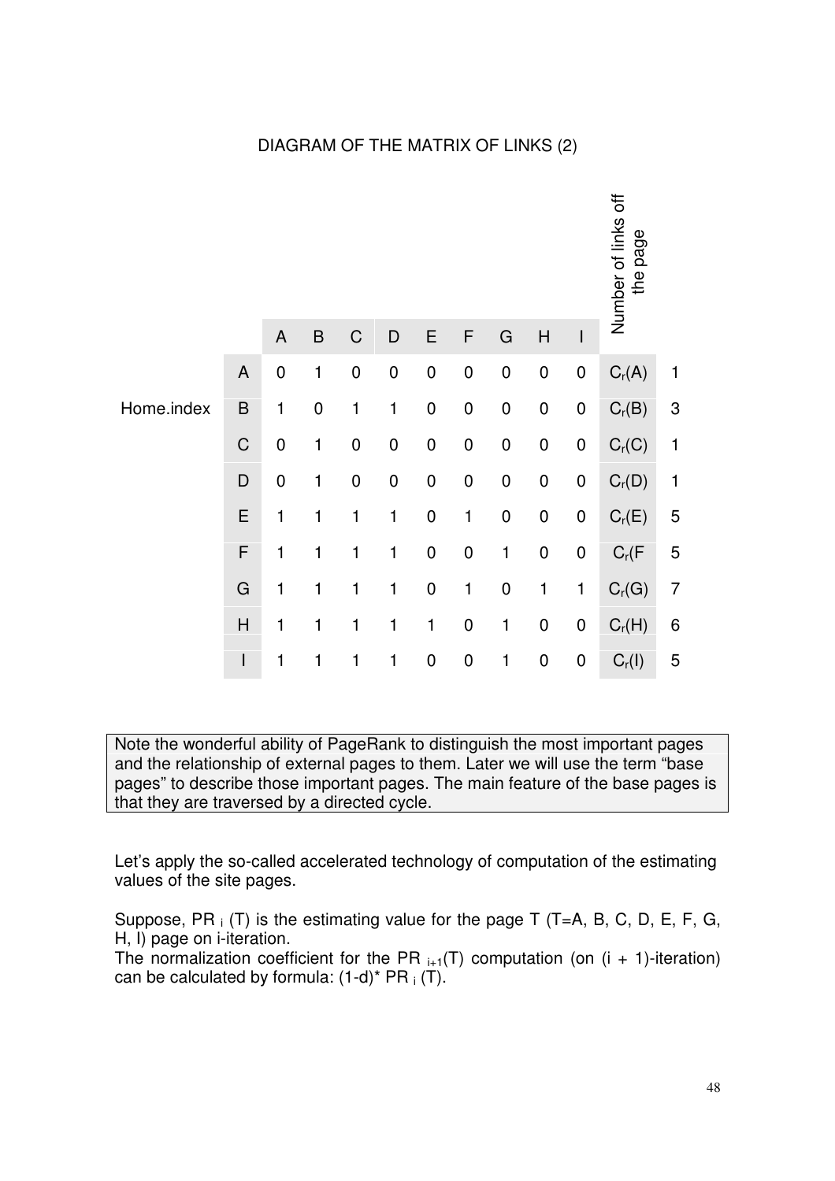# DIAGRAM OF THE MATRIX OF LINKS (2)

|            |              |             |              |                  |           |             |                  |              |                  |                          | Number of links off<br>page<br>the |                           |
|------------|--------------|-------------|--------------|------------------|-----------|-------------|------------------|--------------|------------------|--------------------------|------------------------------------|---------------------------|
|            |              | $\mathsf A$ | $\sf B$      | $\mathsf C$      | D         | E           | $\mathsf{F}$     | G            | H                | $\overline{\phantom{a}}$ |                                    |                           |
|            | ${\sf A}$    | $\mathbf 0$ | $\mathbf{1}$ | $\boldsymbol{0}$ | $\pmb{0}$ | $\mathbf 0$ | $\pmb{0}$        | $\pmb{0}$    | $\pmb{0}$        | $\pmb{0}$                | $C_r(A)$                           | 1                         |
| Home.index | $\sf B$      | 1           | $\pmb{0}$    | 1                | 1         | $\pmb{0}$   | $\boldsymbol{0}$ | $\pmb{0}$    | $\pmb{0}$        | $\pmb{0}$                | $C_r(B)$                           | $\ensuremath{\mathsf{3}}$ |
|            | $\mathsf C$  | $\pmb{0}$   | $\mathbf{1}$ | $\pmb{0}$        | $\pmb{0}$ | $\mathbf 0$ | $\pmb{0}$        | $\pmb{0}$    | ${\bf 0}$        | $\pmb{0}$                | $C_r(C)$                           | 1                         |
|            | $\mathsf D$  | $\pmb{0}$   | 1            | $\pmb{0}$        | $\pmb{0}$ | $\pmb{0}$   | $\pmb{0}$        | $\pmb{0}$    | $\pmb{0}$        | $\pmb{0}$                | $C_r(D)$                           | 1                         |
|            | E            | 1           | 1            | 1                | 1         | $\mathbf 0$ | 1                | $\pmb{0}$    | $\pmb{0}$        | $\pmb{0}$                | $C_r(E)$                           | 5                         |
|            | F            | 1           | $\mathbf 1$  | 1                | 1         | $\mathbf 0$ | $\mathbf 0$      | $\mathbf{1}$ | $\pmb{0}$        | $\pmb{0}$                | $C_r(F)$                           | 5                         |
|            | G            | 1           | 1            | 1                | 1         | $\mathbf 0$ | $\mathbf 1$      | $\pmb{0}$    | $\mathbf{1}$     | 1                        | $C_r(G)$                           | $\overline{7}$            |
|            | $\mathsf{H}$ | 1           | 1            | 1                | 1         | 1           | $\pmb{0}$        | 1            | $\boldsymbol{0}$ | $\boldsymbol{0}$         | $C_r(H)$                           | $6\phantom{1}6$           |
|            | $\mathsf{I}$ | 1           | 1            | 1                | 1         | $\mathbf 0$ | $\pmb{0}$        | 1            | $\mathbf 0$      | $\pmb{0}$                | $C_r(1)$                           | 5                         |

Note the wonderful ability of PageRank to distinguish the most important pages and the relationship of external pages to them. Later we will use the term "base pages" to describe those important pages. The main feature of the base pages is that they are traversed by a directed cycle.

Let's apply the so-called accelerated technology of computation of the estimating values of the site pages.

Suppose, PR  $_i$  (T) is the estimating value for the page T (T=A, B, C, D, E, F, G, H, I) page on i-iteration.

The normalization coefficient for the PR  $_{i+1}(T)$  computation (on  $(i + 1)$ -iteration) can be calculated by formula:  $(1-d)^* PR_1(T)$ .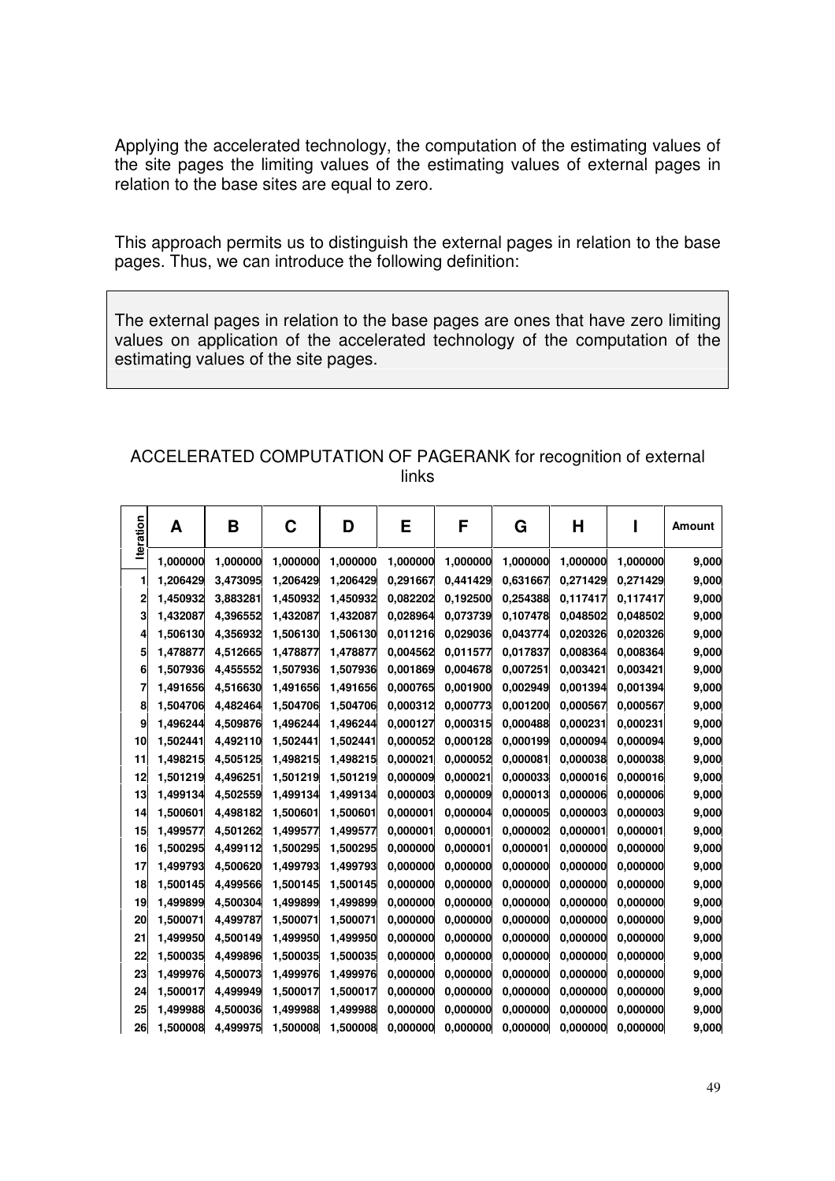Applying the accelerated technology, the computation of the estimating values of the site pages the limiting values of the estimating values of external pages in relation to the base sites are equal to zero.

This approach permits us to distinguish the external pages in relation to the base pages. Thus, we can introduce the following definition:

The external pages in relation to the base pages are ones that have zero limiting values on application of the accelerated technology of the computation of the estimating values of the site pages.

## ACCELERATED COMPUTATION OF PAGERANK for recognition of external links

| <b>Iteration</b> | A        | B        | C        | D        | E        | F        | G        | Н        |          | Amount |
|------------------|----------|----------|----------|----------|----------|----------|----------|----------|----------|--------|
|                  | 1,000000 | 1,000000 | 1,000000 | 1,000000 | 1,000000 | 1,000000 | 1,000000 | 1,000000 | 1,000000 | 9,000  |
| 1                | 1,206429 | 3,473095 | 1,206429 | 1,206429 | 0,291667 | 0,441429 | 0,631667 | 0,271429 | 0,271429 | 9,000  |
| 2                | 1,450932 | 3,883281 | 1,450932 | 1,450932 | 0,082202 | 0,192500 | 0,254388 | 0,117417 | 0,117417 | 9,000  |
| 3                | 1,432087 | 4,396552 | 1,432087 | 1,432087 | 0,028964 | 0,073739 | 0,107478 | 0,048502 | 0,048502 | 9,000  |
| 4                | 1,506130 | 4,356932 | 1,506130 | 1,506130 | 0,011216 | 0,029036 | 0,043774 | 0,020326 | 0,020326 | 9,000  |
| 5                | 1,478877 | 4,512665 | 1,478877 | 1,478877 | 0,004562 | 0,011577 | 0,017837 | 0,008364 | 0,008364 | 9,000  |
| 6                | 1,507936 | 4,455552 | 1,507936 | 1,507936 | 0,001869 | 0,004678 | 0,007251 | 0,003421 | 0,003421 | 9,000  |
| 7                | 1,491656 | 4,516630 | 1,491656 | 1,491656 | 0,000765 | 0,001900 | 0,002949 | 0,001394 | 0,001394 | 9,000  |
| 8                | 1,504706 | 4,482464 | 1,504706 | 1,504706 | 0,000312 | 0,000773 | 0,001200 | 0,000567 | 0,000567 | 9,000  |
| 9                | 1,496244 | 4,509876 | 1,496244 | 1,496244 | 0,000127 | 0,000315 | 0,000488 | 0,000231 | 0,000231 | 9,000  |
| 10               | 1,502441 | 4,492110 | 1,502441 | 1,502441 | 0,000052 | 0,000128 | 0,000199 | 0,000094 | 0,000094 | 9,000  |
| 11               | 1,498215 | 4,505125 | 1,498215 | 1,498215 | 0,000021 | 0,000052 | 0,000081 | 0,000038 | 0,000038 | 9,000  |
| 12               | 1,501219 | 4,496251 | 1,501219 | 1,501219 | 0,000009 | 0,000021 | 0,000033 | 0,000016 | 0,000016 | 9,000  |
| 13               | 1,499134 | 4,502559 | 1,499134 | 1,499134 | 0,000003 | 0,000009 | 0,000013 | 0,000006 | 0,000006 | 9,000  |
| 14               | 1,500601 | 4,498182 | 1,500601 | 1,500601 | 0,000001 | 0,000004 | 0,000005 | 0,000003 | 0,000003 | 9,000  |
| 15               | 1,499577 | 4,501262 | 1,499577 | 1,499577 | 0,000001 | 0,000001 | 0,000002 | 0,000001 | 0,000001 | 9,000  |
| 16               | 1,500295 | 4,499112 | 1,500295 | 1,500295 | 0,000000 | 0,000001 | 0,000001 | 0,000000 | 0,000000 | 9,000  |
| 17               | 1,499793 | 4,500620 | 1,499793 | 1,499793 | 0,000000 | 0,000000 | 0,000000 | 0,000000 | 0,000000 | 9,000  |
| 18               | 1,500145 | 4,499566 | 1,500145 | 1,500145 | 0,000000 | 0,000000 | 0,000000 | 0,000000 | 0,000000 | 9,000  |
| 19               | 1,499899 | 4,500304 | 1,499899 | 1,499899 | 0,000000 | 0,000000 | 0,000000 | 0,000000 | 0,000000 | 9,000  |
| 20               | 1,500071 | 4,499787 | 1,500071 | 1,500071 | 0,000000 | 0,000000 | 0,000000 | 0,000000 | 0,000000 | 9,000  |
| 21               | 1,499950 | 4,500149 | 1,499950 | 1,499950 | 0,000000 | 0,000000 | 0,000000 | 0,000000 | 0,000000 | 9,000  |
| 22               | 1,500035 | 4,499896 | 1,500035 | 1,500035 | 0,000000 | 0,000000 | 0,000000 | 0,000000 | 0,000000 | 9,000  |
| 23               | 1,499976 | 4,500073 | 1,499976 | 1,499976 | 0,000000 | 0,000000 | 0,000000 | 0,000000 | 0,000000 | 9,000  |
| 24               | 1,500017 | 4,499949 | 1,500017 | 1,500017 | 0,000000 | 0,000000 | 0,000000 | 0,000000 | 0,000000 | 9,000  |
| 25               | 1,499988 | 4,500036 | 1,499988 | 1,499988 | 0,000000 | 0,000000 | 0,000000 | 0,000000 | 0,000000 | 9,000  |
| 26               | 1,500008 | 4,499975 | 1,500008 | 1,500008 | 0,000000 | 0,000000 | 0,000000 | 0,000000 | 0,000000 | 9,000  |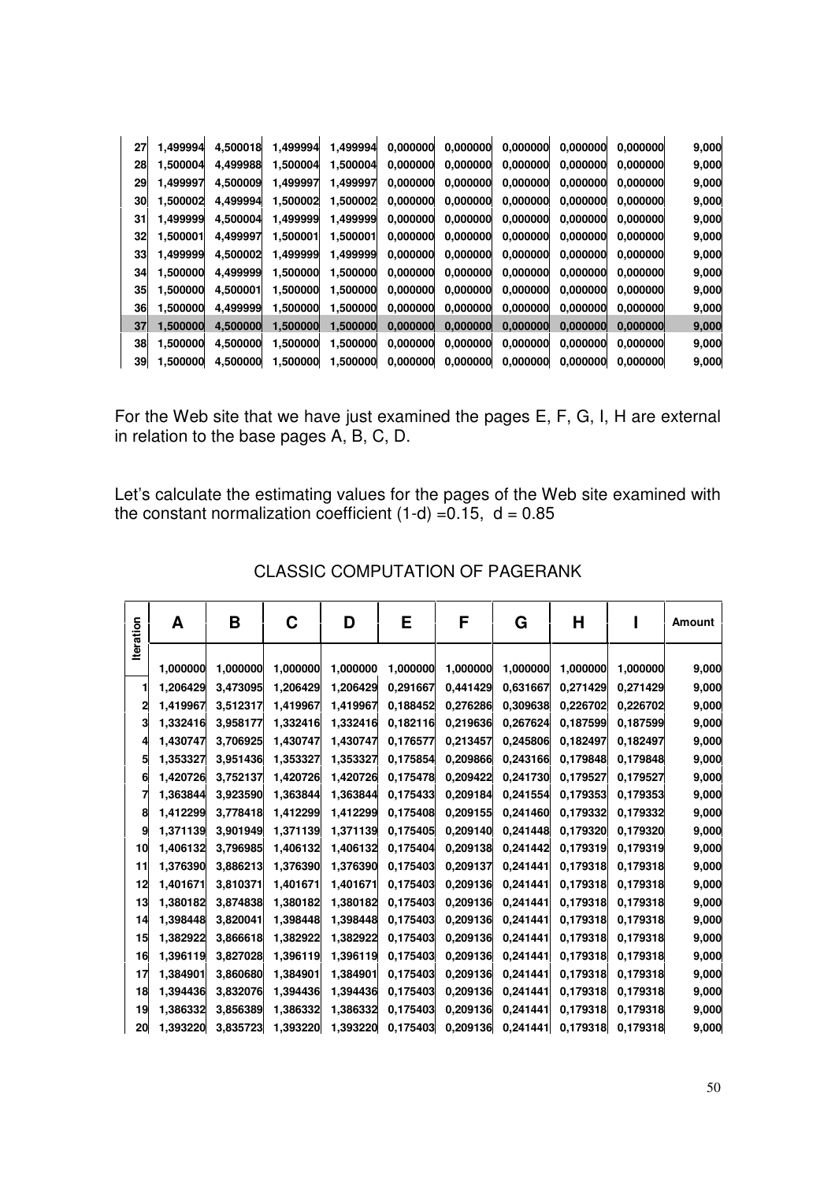| 27 | 1,499994 | 4,500018 | 1,499994 | 1,499994 | 0,000000 | 0,000000 | 0,000000 | 0,000000 | 0,000000 | 9,000 |
|----|----------|----------|----------|----------|----------|----------|----------|----------|----------|-------|
| 28 | 1,500004 | 4,499988 | 1,500004 | 1,500004 | 0,000000 | 0,000000 | 0,000000 | 0,000000 | 0,000000 | 9,000 |
| 29 | 1,499997 | 4,500009 | 1,499997 | 1,499997 | 0,000000 | 0,000000 | 0,000000 | 0,000000 | 0,000000 | 9,000 |
| 30 | 1,500002 | 4,499994 | 1,500002 | 1,500002 | 0,000000 | 0,000000 | 0,000000 | 0,000000 | 0,000000 | 9,000 |
| 31 | 1,499999 | 4,500004 | 1,499999 | 1,499999 | 0,000000 | 0,000000 | 0,000000 | 0,000000 | 0,000000 | 9,000 |
| 32 | 1,500001 | 4,499997 | 1,500001 | 1,500001 | 0,000000 | 0,000000 | 0,000000 | 0,000000 | 0.000000 | 9,000 |
| 33 | 1,499999 | 4,500002 | 1,499999 | 1,499999 | 0,000000 | 0,000000 | 0,000000 | 0,000000 | 0,000000 | 9,000 |
| 34 | 1,500000 | 4,499999 | 1,500000 | 1,500000 | 0,000000 | 0,000000 | 0,000000 | 0,000000 | 0,000000 | 9,000 |
| 35 | 1,500000 | 4,500001 | 1,500000 | 1,500000 | 0,000000 | 0,000000 | 0,000000 | 0,000000 | 0.000000 | 9,000 |
| 36 | 1,500000 | 4,499999 | 1,500000 | 1,500000 | 0,000000 | 0,000000 | 0,000000 | 0,000000 | 0,000000 | 9,000 |
| 37 | 1,500000 | 4,500000 | 1,500000 | 1,500000 | 0,000000 | 0,000000 | 0,000000 | 0,000000 | 0,000000 | 9,000 |
| 38 | 1,500000 | 4,500000 | 1,500000 | 1,500000 | 0,000000 | 0,000000 | 0,000000 | 0,000000 | 0,000000 | 9,000 |
| 39 | 1,500000 | 4,500000 | 1,500000 | 1,500000 | 0,000000 | 0,000000 | 0,000000 | 0,000000 | 0,000000 | 9,000 |

For the Web site that we have just examined the pages E, F, G, I, H are external in relation to the base pages A, B, C, D.

Let's calculate the estimating values for the pages of the Web site examined with the constant normalization coefficient (1-d) =0.15, d = 0.85

| <b>Iteration</b> | A        | B        | C        | D        | E        | F        | G        | Н        |          | Amount |
|------------------|----------|----------|----------|----------|----------|----------|----------|----------|----------|--------|
|                  |          |          |          |          |          |          |          |          |          |        |
|                  | 1,000000 | 1,000000 | 1,000000 | 1,000000 | 1,000000 | 1,000000 | 1,000000 | 1,000000 | 1,000000 | 9,000  |
|                  | 1,206429 | 3,473095 | 1,206429 | 1,206429 | 0,291667 | 0,441429 | 0,631667 | 0,271429 | 0,271429 | 9,000  |
| 2                | 1,419967 | 3,512317 | 1,419967 | 1,419967 | 0,188452 | 0,276286 | 0,309638 | 0,226702 | 0,226702 | 9,000  |
| 3                | 1,332416 | 3,958177 | 1,332416 | 1,332416 | 0,182116 | 0,219636 | 0,267624 | 0,187599 | 0,187599 | 9,000  |
| 4                | 1,430747 | 3,706925 | 1,430747 | 1,430747 | 0,176577 | 0,213457 | 0,245806 | 0,182497 | 0,182497 | 9,000  |
| 5                | 1,353327 | 3,951436 | 1,353327 | 1,353327 | 0,175854 | 0,209866 | 0,243166 | 0,179848 | 0,179848 | 9,000  |
| 6                | 1,420726 | 3,752137 | 1,420726 | 1,420726 | 0,175478 | 0,209422 | 0,241730 | 0,179527 | 0,179527 | 9,000  |
| 7                | 1,363844 | 3,923590 | 1,363844 | 1,363844 | 0,175433 | 0,209184 | 0,241554 | 0,179353 | 0,179353 | 9,000  |
| 8                | 1,412299 | 3,778418 | 1,412299 | 1,412299 | 0,175408 | 0,209155 | 0,241460 | 0,179332 | 0,179332 | 9,000  |
| 9                | 1,371139 | 3,901949 | 1,371139 | 1,371139 | 0,175405 | 0,209140 | 0,241448 | 0,179320 | 0,179320 | 9,000  |
| 10               | 1,406132 | 3,796985 | 1,406132 | 1,406132 | 0,175404 | 0,209138 | 0,241442 | 0,179319 | 0,179319 | 9,000  |
| 11               | 1,376390 | 3,886213 | 1,376390 | 1,376390 | 0,175403 | 0,209137 | 0,241441 | 0,179318 | 0,179318 | 9,000  |
| 12               | 1,401671 | 3,810371 | 1,401671 | 1,401671 | 0,175403 | 0,209136 | 0,241441 | 0,179318 | 0,179318 | 9,000  |
| 13               | 1,380182 | 3,874838 | 1,380182 | 1,380182 | 0,175403 | 0,209136 | 0,241441 | 0,179318 | 0,179318 | 9,000  |
| 14               | 1,398448 | 3,820041 | 1,398448 | 1,398448 | 0,175403 | 0,209136 | 0,241441 | 0,179318 | 0,179318 | 9,000  |
| 15               | 1,382922 | 3,866618 | 1,382922 | 1,382922 | 0,175403 | 0,209136 | 0,241441 | 0,179318 | 0,179318 | 9,000  |
| 16               | 1,396119 | 3,827028 | 1,396119 | 1,396119 | 0,175403 | 0,209136 | 0,241441 | 0,179318 | 0,179318 | 9,000  |
| 17               | 1,384901 | 3,860680 | 1,384901 | 1,384901 | 0,175403 | 0,209136 | 0,241441 | 0,179318 | 0,179318 | 9,000  |
| 18               | 1,394436 | 3,832076 | 1,394436 | 1,394436 | 0,175403 | 0,209136 | 0,241441 | 0,179318 | 0,179318 | 9,000  |
| 19               | 1,386332 | 3,856389 | 1,386332 | 1,386332 | 0,175403 | 0,209136 | 0,241441 | 0,179318 | 0,179318 | 9,000  |
| 20               | 1,393220 | 3,835723 | 1,393220 | 1,393220 | 0,175403 | 0,209136 | 0,241441 | 0,179318 | 0,179318 | 9,000  |

CLASSIC COMPUTATION OF PAGERANK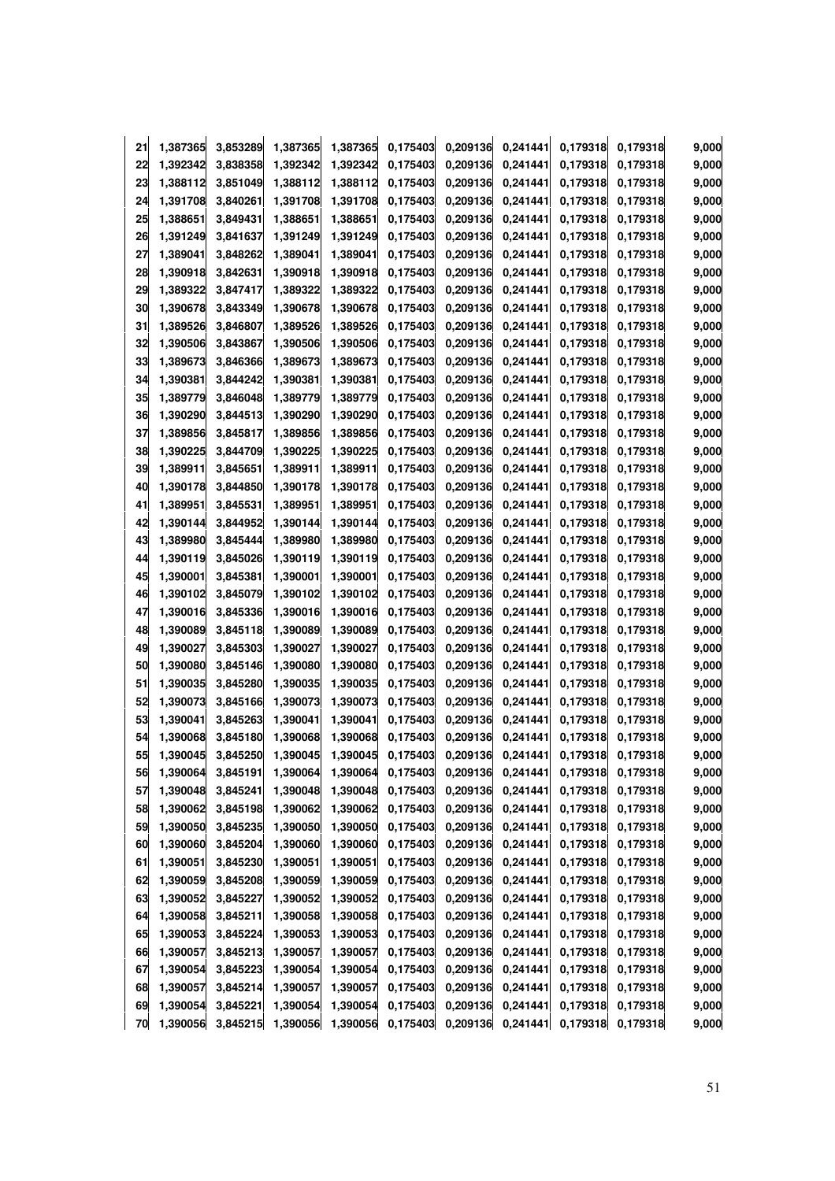| 21 | 1,387365 | 3,853289 | 1,387365 | 1,387365 | 0,175403 | 0,209136 | 0,241441 | 0,179318 | 0,179318 | 9,000 |
|----|----------|----------|----------|----------|----------|----------|----------|----------|----------|-------|
| 22 | 1,392342 | 3,838358 | 1,392342 | 1,392342 | 0,175403 | 0,209136 | 0,241441 | 0,179318 | 0,179318 | 9,000 |
| 23 | 1,388112 | 3,851049 | 1,388112 | 1,388112 | 0,175403 | 0,209136 | 0,241441 | 0,179318 | 0,179318 | 9,000 |
| 24 | 1,391708 | 3,840261 | 1,391708 | 1,391708 | 0,175403 | 0,209136 | 0,241441 | 0,179318 | 0,179318 | 9,000 |
| 25 | 1,388651 | 3,849431 | 1,388651 | 1,388651 | 0,175403 | 0,209136 | 0,241441 | 0,179318 | 0,179318 | 9,000 |
| 26 | 1,391249 | 3,841637 | 1,391249 | 1,391249 | 0,175403 | 0,209136 | 0,241441 | 0,179318 | 0,179318 | 9,000 |
| 27 | 1,389041 | 3,848262 | 1,389041 | 1,389041 | 0,175403 | 0,209136 | 0,241441 | 0,179318 | 0,179318 | 9,000 |
| 28 | 1,390918 | 3,842631 | 1,390918 | 1,390918 | 0,175403 | 0,209136 | 0,241441 | 0,179318 | 0,179318 | 9,000 |
| 29 | 1,389322 | 3,847417 | 1,389322 | 1,389322 | 0,175403 | 0,209136 | 0,241441 | 0,179318 | 0,179318 | 9,000 |
| 30 | 1,390678 | 3,843349 | 1,390678 | 1,390678 | 0,175403 | 0,209136 | 0,241441 | 0,179318 | 0,179318 | 9,000 |
| 31 | 1,389526 | 3,846807 | 1,389526 | 1,389526 | 0,175403 | 0,209136 | 0,241441 | 0,179318 | 0,179318 | 9,000 |
| 32 | 1,390506 | 3,843867 | 1,390506 | 1,390506 | 0,175403 | 0,209136 | 0,241441 | 0,179318 | 0,179318 | 9,000 |
| 33 | 1,389673 | 3,846366 | 1,389673 | 1,389673 | 0,175403 | 0,209136 | 0,241441 | 0,179318 | 0,179318 | 9,000 |
| 34 | 1,390381 | 3,844242 | 1,390381 | 1,390381 | 0,175403 | 0,209136 | 0,241441 | 0,179318 | 0,179318 | 9,000 |
| 35 | 1,389779 | 3,846048 | 1,389779 | 1,389779 | 0,175403 | 0,209136 | 0,241441 | 0,179318 | 0,179318 | 9,000 |
| 36 | 1,390290 | 3,844513 | 1,390290 | 1,390290 | 0,175403 | 0,209136 | 0,241441 | 0,179318 | 0,179318 | 9,000 |
| 37 | 1,389856 | 3,845817 | 1,389856 | 1,389856 | 0,175403 | 0,209136 | 0,241441 | 0,179318 | 0,179318 | 9,000 |
| 38 | 1,390225 | 3,844709 | 1,390225 | 1,390225 | 0,175403 | 0,209136 | 0,241441 | 0,179318 | 0,179318 | 9,000 |
| 39 | 1,389911 | 3,845651 | 1,389911 | 1,389911 | 0,175403 | 0,209136 | 0,241441 | 0,179318 | 0,179318 | 9,000 |
| 40 | 1,390178 | 3,844850 | 1,390178 | 1,390178 | 0,175403 | 0,209136 | 0,241441 | 0,179318 | 0,179318 | 9,000 |
| 41 | 1,389951 | 3,845531 | 1,389951 | 1,389951 | 0,175403 | 0,209136 | 0,241441 | 0,179318 | 0,179318 | 9,000 |
| 42 | 1,390144 | 3,844952 | 1,390144 | 1,390144 | 0,175403 | 0,209136 | 0,241441 | 0,179318 | 0,179318 | 9,000 |
| 43 | 1,389980 | 3,845444 | 1,389980 | 1,389980 | 0,175403 | 0,209136 | 0,241441 | 0,179318 | 0,179318 | 9,000 |
| 44 | 1,390119 | 3,845026 | 1,390119 | 1,390119 | 0,175403 | 0,209136 | 0,241441 | 0,179318 | 0,179318 | 9,000 |
| 45 | 1,390001 | 3,845381 | 1,390001 | 1,390001 | 0,175403 | 0,209136 | 0,241441 | 0,179318 | 0,179318 | 9,000 |
| 46 | 1,390102 | 3,845079 | 1,390102 | 1,390102 | 0,175403 | 0,209136 | 0,241441 | 0,179318 | 0,179318 | 9,000 |
| 47 | 1,390016 | 3,845336 | 1,390016 | 1,390016 | 0,175403 | 0,209136 | 0,241441 | 0,179318 | 0,179318 | 9,000 |
| 48 | 1,390089 | 3,845118 | 1,390089 | 1,390089 | 0,175403 | 0,209136 | 0,241441 | 0,179318 | 0,179318 | 9,000 |
| 49 | 1,390027 | 3,845303 | 1,390027 | 1,390027 | 0,175403 | 0,209136 | 0,241441 | 0,179318 | 0,179318 | 9,000 |
| 50 | 1,390080 | 3,845146 | 1,390080 | 1,390080 | 0,175403 | 0,209136 | 0,241441 | 0,179318 | 0,179318 | 9,000 |
| 51 | 1,390035 | 3,845280 | 1,390035 | 1,390035 | 0,175403 | 0,209136 | 0,241441 | 0,179318 | 0,179318 | 9,000 |
| 52 | 1,390073 | 3,845166 | 1,390073 | 1,390073 | 0,175403 | 0,209136 | 0,241441 | 0,179318 | 0,179318 | 9,000 |
| 53 | 1,390041 | 3,845263 | 1,390041 | 1,390041 | 0,175403 | 0,209136 | 0,241441 | 0,179318 | 0,179318 | 9,000 |
| 54 | 1,390068 | 3,845180 | 1,390068 | 1,390068 | 0,175403 | 0,209136 | 0,241441 | 0,179318 | 0,179318 | 9,000 |
| 55 | 1,390045 | 3,845250 | 1,390045 | 1,390045 | 0,175403 | 0,209136 | 0,241441 | 0,179318 | 0,179318 | 9,000 |
| 56 | 1,390064 | 3,845191 | 1,390064 | 1,390064 | 0,175403 | 0,209136 | 0,241441 | 0,179318 | 0,179318 | 9,000 |
| 57 | 1,390048 | 3,845241 | 1,390048 | 1,390048 | 0,175403 | 0,209136 | 0,241441 | 0,179318 | 0,179318 | 9,000 |
| 58 | 1,390062 | 3,845198 | 1,390062 | 1,390062 | 0,175403 | 0,209136 | 0,241441 | 0,179318 | 0,179318 | 9,000 |
| 59 | 1,390050 | 3,845235 | 1,390050 | 1,390050 | 0,175403 | 0,209136 | 0,241441 | 0,179318 | 0,179318 | 9,000 |
| 60 | 1,390060 | 3,845204 | 1,390060 | 1,390060 | 0,175403 | 0,209136 | 0,241441 | 0,179318 | 0,179318 | 9,000 |
| 61 | 1,390051 | 3,845230 | 1,390051 | 1,390051 | 0,175403 | 0,209136 | 0,241441 | 0,179318 | 0,179318 | 9,000 |
| 62 | 1,390059 | 3,845208 | 1,390059 | 1,390059 | 0,175403 | 0,209136 | 0,241441 | 0,179318 | 0,179318 | 9,000 |
| 63 | 1,390052 | 3,845227 | 1,390052 | 1,390052 | 0,175403 | 0,209136 | 0,241441 | 0,179318 | 0,179318 | 9,000 |
| 64 | 1,390058 | 3,845211 | 1,390058 | 1,390058 | 0,175403 | 0,209136 | 0,241441 | 0,179318 | 0,179318 | 9,000 |
| 65 | 1,390053 | 3,845224 | 1,390053 | 1,390053 | 0,175403 | 0,209136 | 0,241441 | 0,179318 | 0,179318 | 9,000 |
| 66 | 1,390057 | 3,845213 | 1,390057 | 1,390057 | 0,175403 | 0,209136 | 0,241441 | 0,179318 | 0,179318 | 9,000 |
| 67 | 1,390054 | 3,845223 | 1,390054 | 1,390054 | 0,175403 | 0,209136 | 0,241441 | 0,179318 | 0,179318 | 9,000 |
| 68 | 1,390057 | 3,845214 | 1,390057 | 1,390057 | 0,175403 | 0,209136 | 0,241441 | 0,179318 | 0,179318 | 9,000 |
| 69 | 1,390054 | 3,845221 | 1,390054 | 1,390054 | 0,175403 | 0,209136 | 0,241441 | 0,179318 | 0,179318 | 9,000 |
| 70 | 1,390056 | 3,845215 | 1,390056 | 1,390056 | 0,175403 | 0,209136 | 0,241441 | 0,179318 | 0,179318 | 9,000 |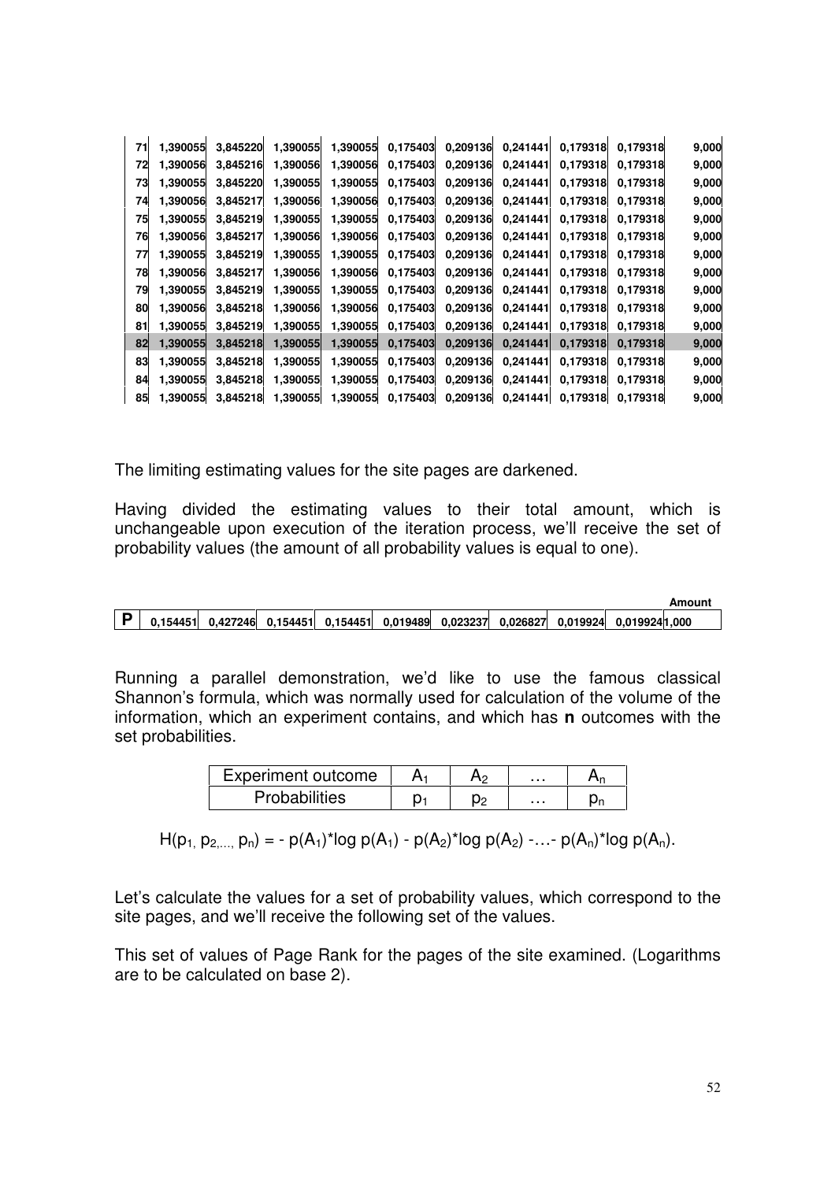| 71 | 1,390055 | 3,845220 | 1,390055 | 1,390055 | 0,175403 | 0,209136 | 0,241441 | 0,179318 | 0,179318 | 9,000 |
|----|----------|----------|----------|----------|----------|----------|----------|----------|----------|-------|
| 72 | 1,390056 | 3,845216 | 1,390056 | 1,390056 | 0,175403 | 0,209136 | 0,241441 | 0,179318 | 0,179318 | 9,000 |
| 73 | 1,390055 | 3,845220 | 1,390055 | 1,390055 | 0,175403 | 0,209136 | 0,241441 | 0.179318 | 0.179318 | 9,000 |
| 74 | 1,390056 | 3,845217 | 1,390056 | 1,390056 | 0,175403 | 0,209136 | 0,241441 | 0,179318 | 0.179318 | 9,000 |
| 75 | 1,390055 | 3,845219 | 1,390055 | 1,390055 | 0,175403 | 0,209136 | 0,241441 | 0,179318 | 0.179318 | 9,000 |
| 76 | 1,390056 | 3,845217 | 1,390056 | 1,390056 | 0,175403 | 0,209136 | 0,241441 | 0.179318 | 0,179318 | 9,000 |
| 77 | 1,390055 | 3,845219 | 1,390055 | 1,390055 | 0,175403 | 0,209136 | 0,241441 | 0.179318 | 0.179318 | 9,000 |
| 78 | 1,390056 | 3,845217 | 1,390056 | 1,390056 | 0,175403 | 0,209136 | 0,241441 | 0.179318 | 0,179318 | 9,000 |
| 79 | 1,390055 | 3,845219 | 1,390055 | 1,390055 | 0,175403 | 0,209136 | 0,241441 | 0.179318 | 0.179318 | 9,000 |
| 80 | 1,390056 | 3,845218 | 1,390056 | 1,390056 | 0,175403 | 0,209136 | 0,241441 | 0.179318 | 0,179318 | 9,000 |
| 81 | 1,390055 | 3,845219 | 1,390055 | 1,390055 | 0,175403 | 0,209136 | 0,241441 | 0,179318 | 0.179318 | 9,000 |
| 82 | 1,390055 | 3,845218 | 1,390055 | 1,390055 | 0,175403 | 0,209136 | 0,241441 | 0,179318 | 0,179318 | 9,000 |
| 83 | 1,390055 | 3,845218 | 1,390055 | 1,390055 | 0,175403 | 0,209136 | 0,241441 | 0.179318 | 0.179318 | 9,000 |
| 84 | 1,390055 | 3,845218 | 1,390055 | 1,390055 | 0.175403 | 0,209136 | 0,241441 | 0.179318 | 0.179318 | 9,000 |
| 85 | 1.390055 | 3.845218 | 1,390055 | 1,390055 | 0,175403 | 0,209136 | 0,241441 | 0.179318 | 0.179318 | 9,000 |
|    |          |          |          |          |          |          |          |          |          |       |

The limiting estimating values for the site pages are darkened.

Having divided the estimating values to their total amount, which is unchangeable upon execution of the iteration process, we'll receive the set of probability values (the amount of all probability values is equal to one).

|                                                                              |  |  |  | AUVUU         |
|------------------------------------------------------------------------------|--|--|--|---------------|
| ↑ 0.154451 0.427246 0.154451 0.154451 0.019489 0.023237 0.026827 0.019924 0. |  |  |  | 0.0199241.000 |

Running a parallel demonstration, we'd like to use the famous classical Shannon's formula, which was normally used for calculation of the volume of the information, which an experiment contains, and which has **n** outcomes with the set probabilities.

| Experiment outcome   |  | . |    |
|----------------------|--|---|----|
| <b>Probabilities</b> |  | . | Μr |

 $H(p_1, p_2,..., p_n) = -p(A_1)^* \log p(A_1) - p(A_2)^* \log p(A_2) - \ldots - p(A_n)^* \log p(A_n).$ 

Let's calculate the values for a set of probability values, which correspond to the site pages, and we'll receive the following set of the values.

This set of values of Page Rank for the pages of the site examined. (Logarithms are to be calculated on base 2).

**Amount**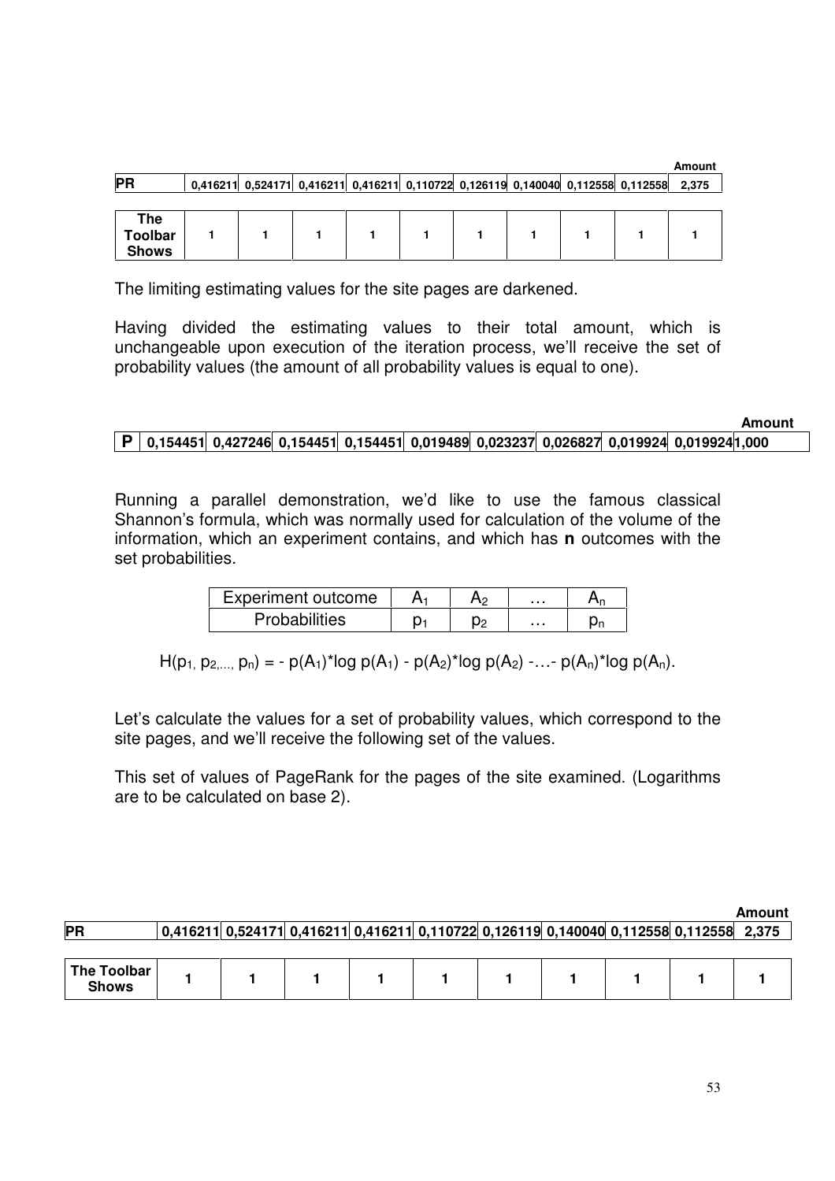|                |  |  |  |  |                                                                                  | Amount |
|----------------|--|--|--|--|----------------------------------------------------------------------------------|--------|
| <b>PR</b>      |  |  |  |  | 0,416211 0,524171 0,416211 0,416211 0,110722 0,126119 0,140040 0,112558 0,112558 | 2,375  |
|                |  |  |  |  |                                                                                  |        |
| <b>The</b>     |  |  |  |  |                                                                                  |        |
| <b>Toolbar</b> |  |  |  |  |                                                                                  |        |
| <b>Shows</b>   |  |  |  |  |                                                                                  |        |

The limiting estimating values for the site pages are darkened.

Having divided the estimating values to their total amount, which is unchangeable upon execution of the iteration process, we'll receive the set of probability values (the amount of all probability values is equal to one).

|                                                                                          |  |  |  |  | Amount |
|------------------------------------------------------------------------------------------|--|--|--|--|--------|
| P 0,154451 0,427246 0,154451 0,154451 0,019489 0,023237 0,026827 0,019924 0,019924 1,000 |  |  |  |  |        |

Running a parallel demonstration, we'd like to use the famous classical Shannon's formula, which was normally used for calculation of the volume of the information, which an experiment contains, and which has **n** outcomes with the set probabilities.

| Experiment outcome | -12 | . |  |
|--------------------|-----|---|--|
| Probabilities      | O۵  | . |  |

 $H(p_1, p_2,..., p_n) = -p(A_1)^* \log p(A_1) - p(A_2)^* \log p(A_2) - ... - p(A_n)^* \log p(A_n).$ 

Let's calculate the values for a set of probability values, which correspond to the site pages, and we'll receive the following set of the values.

This set of values of PageRank for the pages of the site examined. (Logarithms are to be calculated on base 2).

| <b>PR</b>                   |  |  |  |  | $\mid$ 0,416211 $\mid$ 0,524171 $\mid$ 0,416211 $\mid$ 0,416211 $\mid$ 0,110722 $\mid$ 0,126119 $\mid$ 0,140040 $\mid$ 0,112558 $\mid$ 0,112558 $\mid$ 2,375 | Allivulit |
|-----------------------------|--|--|--|--|--------------------------------------------------------------------------------------------------------------------------------------------------------------|-----------|
| The Toolbar<br><b>Shows</b> |  |  |  |  |                                                                                                                                                              |           |

**Amount**

**Amount**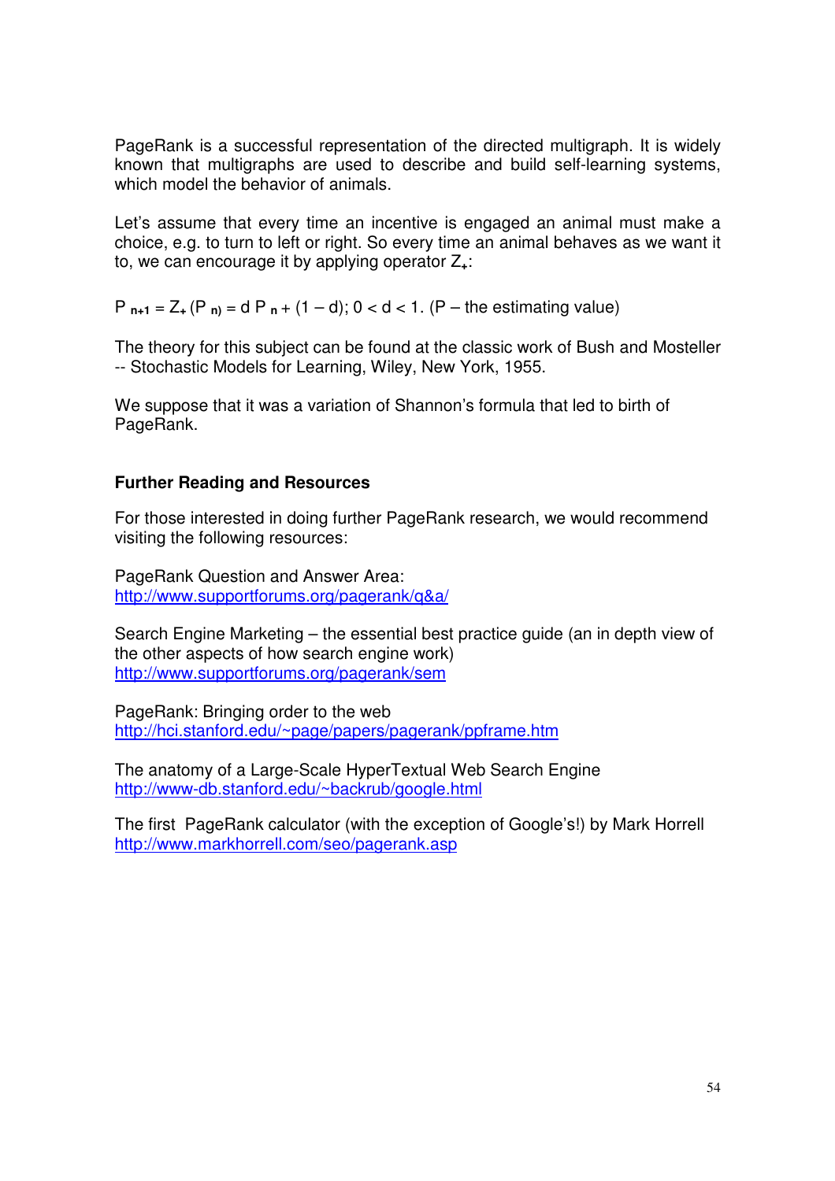PageRank is a successful representation of the directed multigraph. It is widely known that multigraphs are used to describe and build self-learning systems, which model the behavior of animals.

Let's assume that every time an incentive is engaged an animal must make a choice, e.g. to turn to left or right. So every time an animal behaves as we want it to, we can encourage it by applying operator Z**+**:

P **n+1** = Z**<sup>+</sup>** (P **n)** = d P **<sup>n</sup>** + (1 – d); 0 < d < 1. (P – the estimating value)

The theory for this subject can be found at the classic work of Bush and Mosteller -- Stochastic Models for Learning, Wiley, New York, 1955.

We suppose that it was a variation of Shannon's formula that led to birth of PageRank.

# **Further Reading and Resources**

For those interested in doing further PageRank research, we would recommend visiting the following resources:

PageRank Question and Answer Area: http:/[/www.supportforums.org/pagerank/q&a/](www.supportforums.org/pagerank/q&a/)

Search Engine Marketing – the essential best practice guide (an in depth view of the other aspects of how search engine work) <http://www.supportforums.org/pagerank/sem>

PageRank: Bringing order to the web <http://hci.stanford.edu/~page/papers/pagerank/ppframe.htm>

The anatomy of a Large-Scale HyperTextual Web Search Engine <http://www-db.stanford.edu/~backrub/google.html>

The first PageRank calculator (with the exception of Google's!) by Mark Horrell http://www.markhorrell.com/seo/pagerank.asp